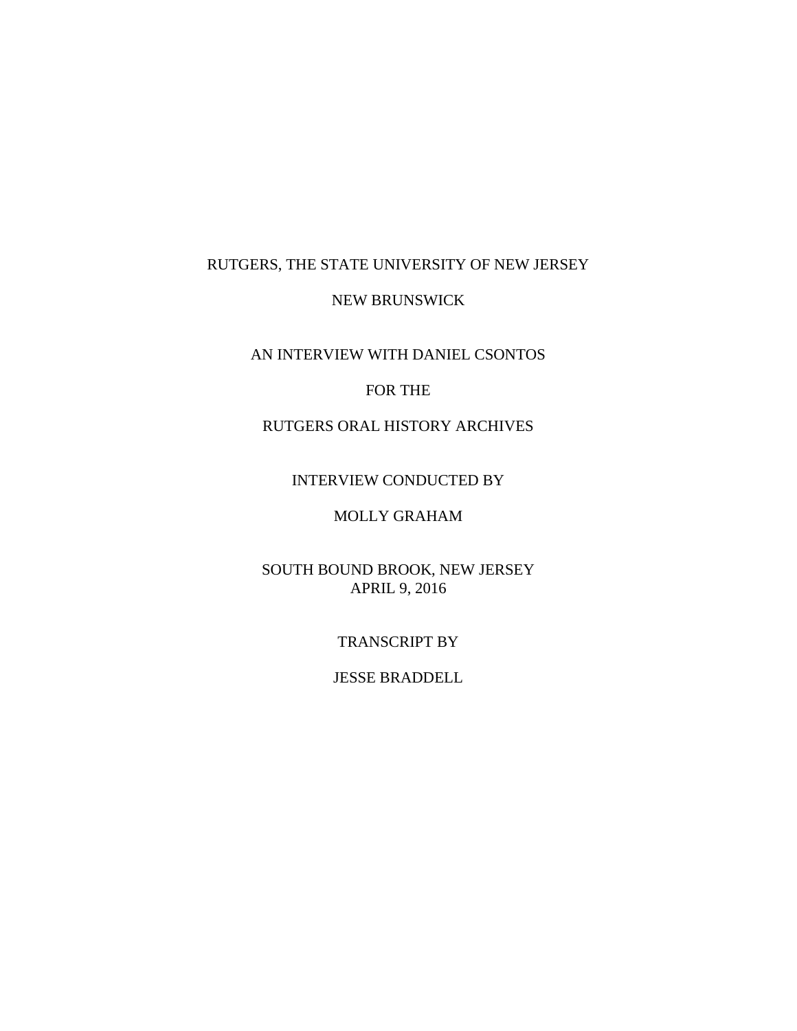## RUTGERS, THE STATE UNIVERSITY OF NEW JERSEY

#### NEW BRUNSWICK

# AN INTERVIEW WITH DANIEL CSONTOS

### FOR THE

## RUTGERS ORAL HISTORY ARCHIVES

#### INTERVIEW CONDUCTED BY

## MOLLY GRAHAM

## SOUTH BOUND BROOK, NEW JERSEY APRIL 9, 2016

#### TRANSCRIPT BY

### JESSE BRADDELL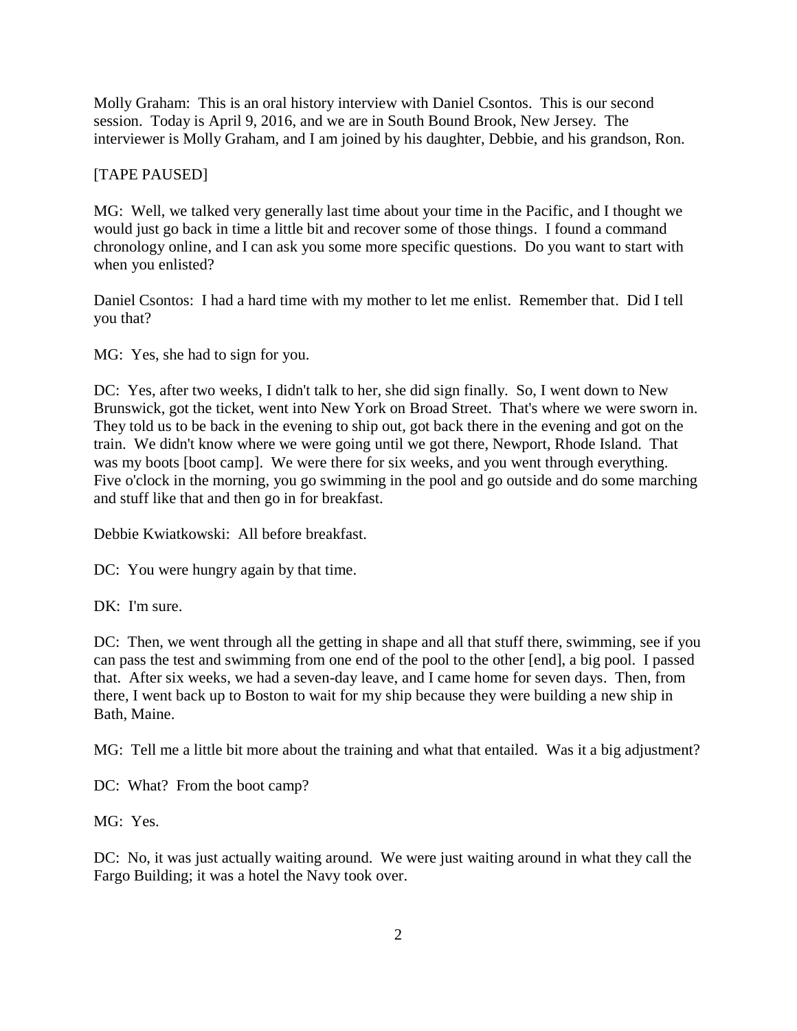Molly Graham: This is an oral history interview with Daniel Csontos. This is our second session. Today is April 9, 2016, and we are in South Bound Brook, New Jersey. The interviewer is Molly Graham, and I am joined by his daughter, Debbie, and his grandson, Ron.

## [TAPE PAUSED]

MG: Well, we talked very generally last time about your time in the Pacific, and I thought we would just go back in time a little bit and recover some of those things. I found a command chronology online, and I can ask you some more specific questions. Do you want to start with when you enlisted?

Daniel Csontos: I had a hard time with my mother to let me enlist. Remember that. Did I tell you that?

MG: Yes, she had to sign for you.

DC: Yes, after two weeks, I didn't talk to her, she did sign finally. So, I went down to New Brunswick, got the ticket, went into New York on Broad Street. That's where we were sworn in. They told us to be back in the evening to ship out, got back there in the evening and got on the train. We didn't know where we were going until we got there, Newport, Rhode Island. That was my boots [boot camp]. We were there for six weeks, and you went through everything. Five o'clock in the morning, you go swimming in the pool and go outside and do some marching and stuff like that and then go in for breakfast.

Debbie Kwiatkowski: All before breakfast.

DC: You were hungry again by that time.

DK: I'm sure.

DC: Then, we went through all the getting in shape and all that stuff there, swimming, see if you can pass the test and swimming from one end of the pool to the other [end], a big pool. I passed that. After six weeks, we had a seven-day leave, and I came home for seven days. Then, from there, I went back up to Boston to wait for my ship because they were building a new ship in Bath, Maine.

MG: Tell me a little bit more about the training and what that entailed. Was it a big adjustment?

DC: What? From the boot camp?

MG: Yes.

DC: No, it was just actually waiting around. We were just waiting around in what they call the Fargo Building; it was a hotel the Navy took over.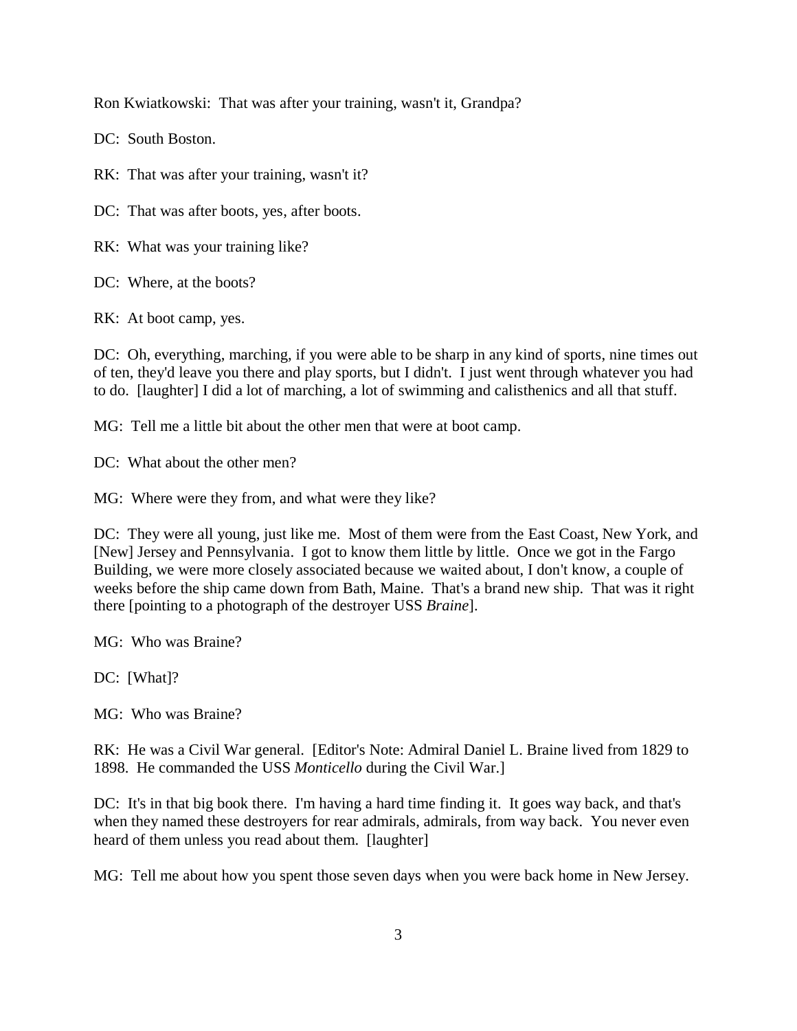Ron Kwiatkowski: That was after your training, wasn't it, Grandpa?

DC: South Boston.

RK: That was after your training, wasn't it?

DC: That was after boots, yes, after boots.

RK: What was your training like?

DC: Where, at the boots?

RK: At boot camp, yes.

DC: Oh, everything, marching, if you were able to be sharp in any kind of sports, nine times out of ten, they'd leave you there and play sports, but I didn't. I just went through whatever you had to do. [laughter] I did a lot of marching, a lot of swimming and calisthenics and all that stuff.

MG: Tell me a little bit about the other men that were at boot camp.

DC: What about the other men?

MG: Where were they from, and what were they like?

DC: They were all young, just like me. Most of them were from the East Coast, New York, and [New] Jersey and Pennsylvania. I got to know them little by little. Once we got in the Fargo Building, we were more closely associated because we waited about, I don't know, a couple of weeks before the ship came down from Bath, Maine. That's a brand new ship. That was it right there [pointing to a photograph of the destroyer USS *Braine*].

MG: Who was Braine?

DC: [What]?

MG: Who was Braine?

RK: He was a Civil War general. [Editor's Note: Admiral Daniel L. Braine lived from 1829 to 1898. He commanded the USS *Monticello* during the Civil War.]

DC: It's in that big book there. I'm having a hard time finding it. It goes way back, and that's when they named these destroyers for rear admirals, admirals, from way back. You never even heard of them unless you read about them. [laughter]

MG: Tell me about how you spent those seven days when you were back home in New Jersey.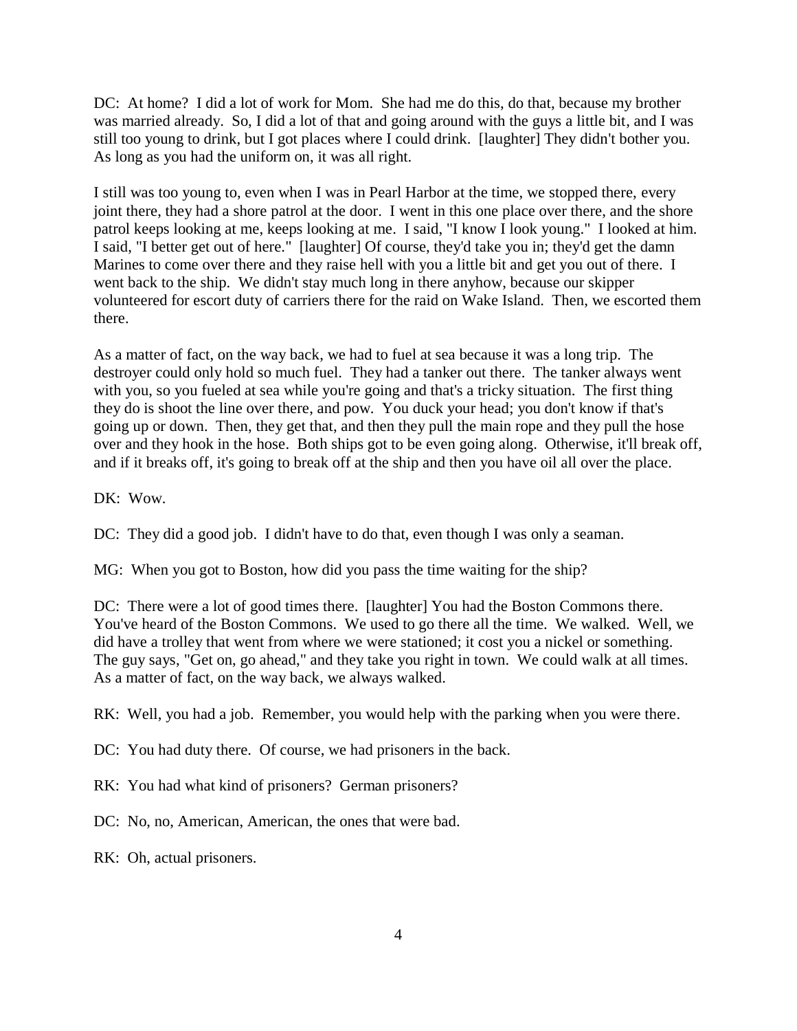DC: At home? I did a lot of work for Mom. She had me do this, do that, because my brother was married already. So, I did a lot of that and going around with the guys a little bit, and I was still too young to drink, but I got places where I could drink. [laughter] They didn't bother you. As long as you had the uniform on, it was all right.

I still was too young to, even when I was in Pearl Harbor at the time, we stopped there, every joint there, they had a shore patrol at the door. I went in this one place over there, and the shore patrol keeps looking at me, keeps looking at me. I said, "I know I look young." I looked at him. I said, "I better get out of here." [laughter] Of course, they'd take you in; they'd get the damn Marines to come over there and they raise hell with you a little bit and get you out of there. I went back to the ship. We didn't stay much long in there anyhow, because our skipper volunteered for escort duty of carriers there for the raid on Wake Island. Then, we escorted them there.

As a matter of fact, on the way back, we had to fuel at sea because it was a long trip. The destroyer could only hold so much fuel. They had a tanker out there. The tanker always went with you, so you fueled at sea while you're going and that's a tricky situation. The first thing they do is shoot the line over there, and pow. You duck your head; you don't know if that's going up or down. Then, they get that, and then they pull the main rope and they pull the hose over and they hook in the hose. Both ships got to be even going along. Otherwise, it'll break off, and if it breaks off, it's going to break off at the ship and then you have oil all over the place.

DK: Wow.

DC: They did a good job. I didn't have to do that, even though I was only a seaman.

MG: When you got to Boston, how did you pass the time waiting for the ship?

DC: There were a lot of good times there. [laughter] You had the Boston Commons there. You've heard of the Boston Commons. We used to go there all the time. We walked. Well, we did have a trolley that went from where we were stationed; it cost you a nickel or something. The guy says, "Get on, go ahead," and they take you right in town. We could walk at all times. As a matter of fact, on the way back, we always walked.

RK: Well, you had a job. Remember, you would help with the parking when you were there.

DC: You had duty there. Of course, we had prisoners in the back.

RK: You had what kind of prisoners? German prisoners?

DC: No, no, American, American, the ones that were bad.

RK: Oh, actual prisoners.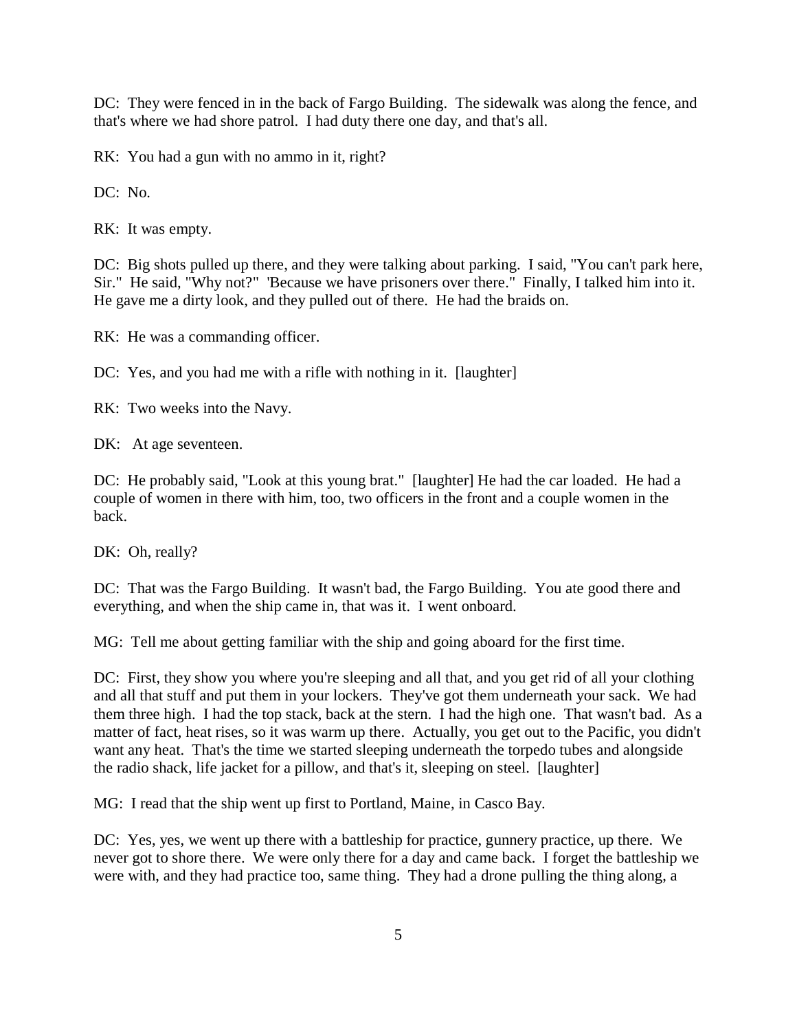DC: They were fenced in in the back of Fargo Building. The sidewalk was along the fence, and that's where we had shore patrol. I had duty there one day, and that's all.

RK: You had a gun with no ammo in it, right?

DC: No.

RK: It was empty.

DC: Big shots pulled up there, and they were talking about parking. I said, "You can't park here, Sir." He said, "Why not?" 'Because we have prisoners over there." Finally, I talked him into it. He gave me a dirty look, and they pulled out of there. He had the braids on.

RK: He was a commanding officer.

DC: Yes, and you had me with a rifle with nothing in it. [laughter]

RK: Two weeks into the Navy.

DK: At age seventeen.

DC: He probably said, "Look at this young brat." [laughter] He had the car loaded. He had a couple of women in there with him, too, two officers in the front and a couple women in the back.

DK: Oh, really?

DC: That was the Fargo Building. It wasn't bad, the Fargo Building. You ate good there and everything, and when the ship came in, that was it. I went onboard.

MG: Tell me about getting familiar with the ship and going aboard for the first time.

DC: First, they show you where you're sleeping and all that, and you get rid of all your clothing and all that stuff and put them in your lockers. They've got them underneath your sack. We had them three high. I had the top stack, back at the stern. I had the high one. That wasn't bad. As a matter of fact, heat rises, so it was warm up there. Actually, you get out to the Pacific, you didn't want any heat. That's the time we started sleeping underneath the torpedo tubes and alongside the radio shack, life jacket for a pillow, and that's it, sleeping on steel. [laughter]

MG: I read that the ship went up first to Portland, Maine, in Casco Bay.

DC: Yes, yes, we went up there with a battleship for practice, gunnery practice, up there. We never got to shore there. We were only there for a day and came back. I forget the battleship we were with, and they had practice too, same thing. They had a drone pulling the thing along, a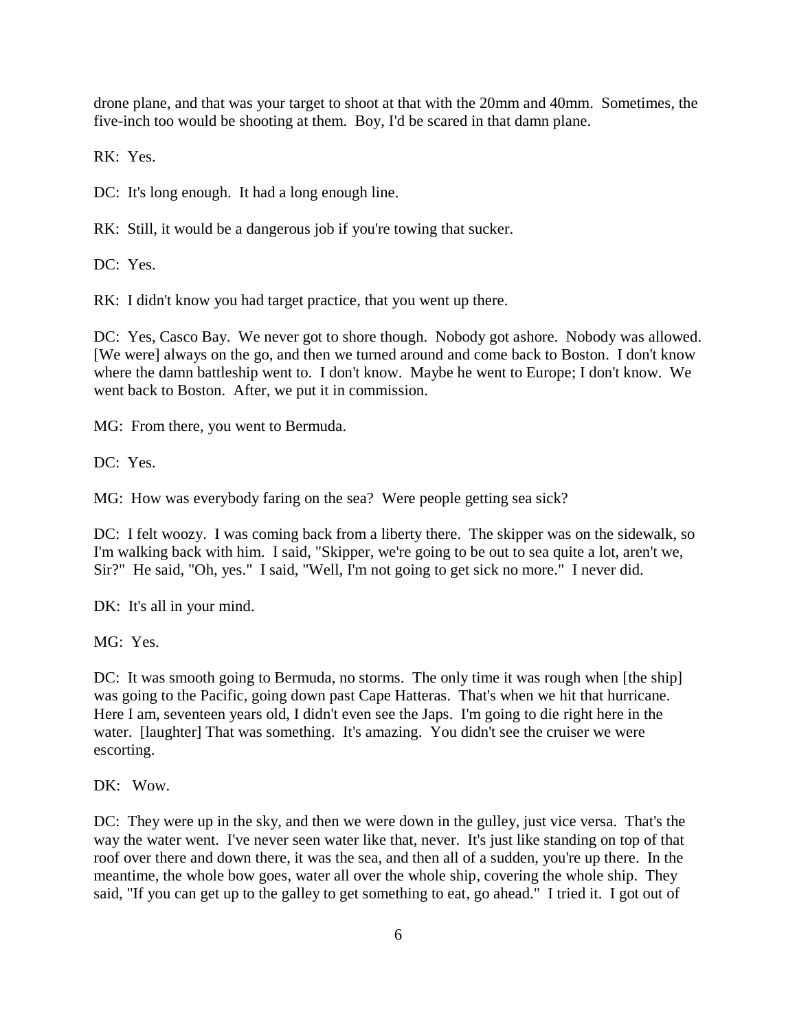drone plane, and that was your target to shoot at that with the 20mm and 40mm. Sometimes, the five-inch too would be shooting at them. Boy, I'd be scared in that damn plane.

RK: Yes.

DC: It's long enough. It had a long enough line.

RK: Still, it would be a dangerous job if you're towing that sucker.

DC: Yes.

RK: I didn't know you had target practice, that you went up there.

DC: Yes, Casco Bay. We never got to shore though. Nobody got ashore. Nobody was allowed. [We were] always on the go, and then we turned around and come back to Boston. I don't know where the damn battleship went to. I don't know. Maybe he went to Europe; I don't know. We went back to Boston. After, we put it in commission.

MG: From there, you went to Bermuda.

DC: Yes.

MG: How was everybody faring on the sea? Were people getting sea sick?

DC: I felt woozy. I was coming back from a liberty there. The skipper was on the sidewalk, so I'm walking back with him. I said, "Skipper, we're going to be out to sea quite a lot, aren't we, Sir?" He said, "Oh, yes." I said, "Well, I'm not going to get sick no more." I never did.

DK: It's all in your mind.

MG: Yes.

DC: It was smooth going to Bermuda, no storms. The only time it was rough when [the ship] was going to the Pacific, going down past Cape Hatteras. That's when we hit that hurricane. Here I am, seventeen years old, I didn't even see the Japs. I'm going to die right here in the water. [laughter] That was something. It's amazing. You didn't see the cruiser we were escorting.

DK: Wow.

DC: They were up in the sky, and then we were down in the gulley, just vice versa. That's the way the water went. I've never seen water like that, never. It's just like standing on top of that roof over there and down there, it was the sea, and then all of a sudden, you're up there. In the meantime, the whole bow goes, water all over the whole ship, covering the whole ship. They said, "If you can get up to the galley to get something to eat, go ahead." I tried it. I got out of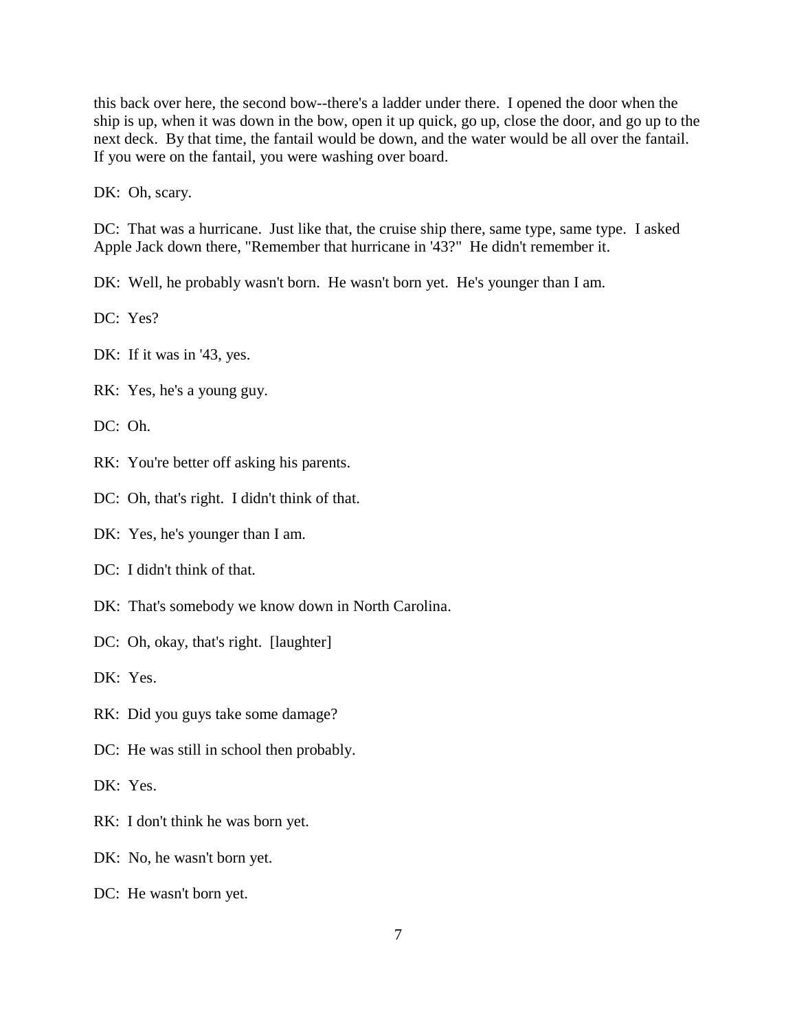this back over here, the second bow--there's a ladder under there. I opened the door when the ship is up, when it was down in the bow, open it up quick, go up, close the door, and go up to the next deck. By that time, the fantail would be down, and the water would be all over the fantail. If you were on the fantail, you were washing over board.

DK: Oh, scary.

DC: That was a hurricane. Just like that, the cruise ship there, same type, same type. I asked Apple Jack down there, "Remember that hurricane in '43?" He didn't remember it.

DK: Well, he probably wasn't born. He wasn't born yet. He's younger than I am.

DC: Yes?

DK: If it was in '43, yes.

RK: Yes, he's a young guy.

DC: Oh.

RK: You're better off asking his parents.

DC: Oh, that's right. I didn't think of that.

DK: Yes, he's younger than I am.

DC: I didn't think of that.

DK: That's somebody we know down in North Carolina.

DC: Oh, okay, that's right. [laughter]

DK: Yes.

RK: Did you guys take some damage?

DC: He was still in school then probably.

DK: Yes.

RK: I don't think he was born yet.

DK: No, he wasn't born yet.

DC: He wasn't born yet.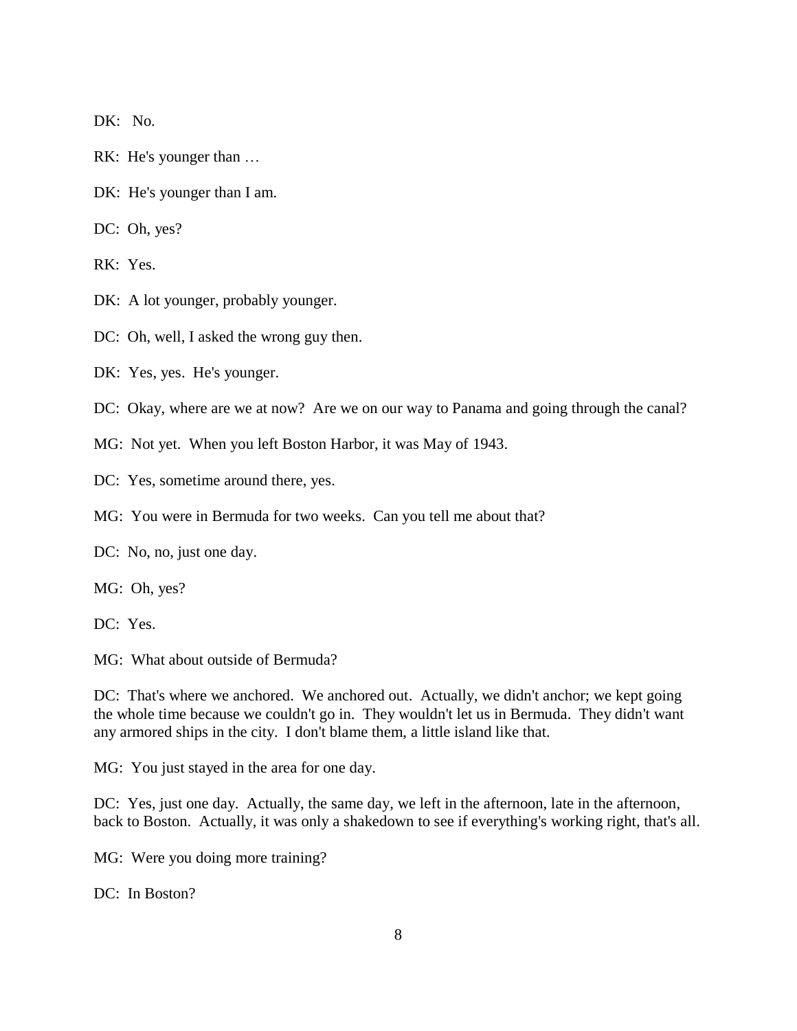DK: No.

- RK: He's younger than …
- DK: He's younger than I am.
- DC: Oh, yes?

RK: Yes.

- DK: A lot younger, probably younger.
- DC: Oh, well, I asked the wrong guy then.
- DK: Yes, yes. He's younger.
- DC: Okay, where are we at now? Are we on our way to Panama and going through the canal?
- MG: Not yet. When you left Boston Harbor, it was May of 1943.
- DC: Yes, sometime around there, yes.
- MG: You were in Bermuda for two weeks. Can you tell me about that?
- DC: No, no, just one day.
- MG: Oh, yes?
- DC: Yes.

MG: What about outside of Bermuda?

DC: That's where we anchored. We anchored out. Actually, we didn't anchor; we kept going the whole time because we couldn't go in. They wouldn't let us in Bermuda. They didn't want any armored ships in the city. I don't blame them, a little island like that.

MG: You just stayed in the area for one day.

DC: Yes, just one day. Actually, the same day, we left in the afternoon, late in the afternoon, back to Boston. Actually, it was only a shakedown to see if everything's working right, that's all.

MG: Were you doing more training?

DC: In Boston?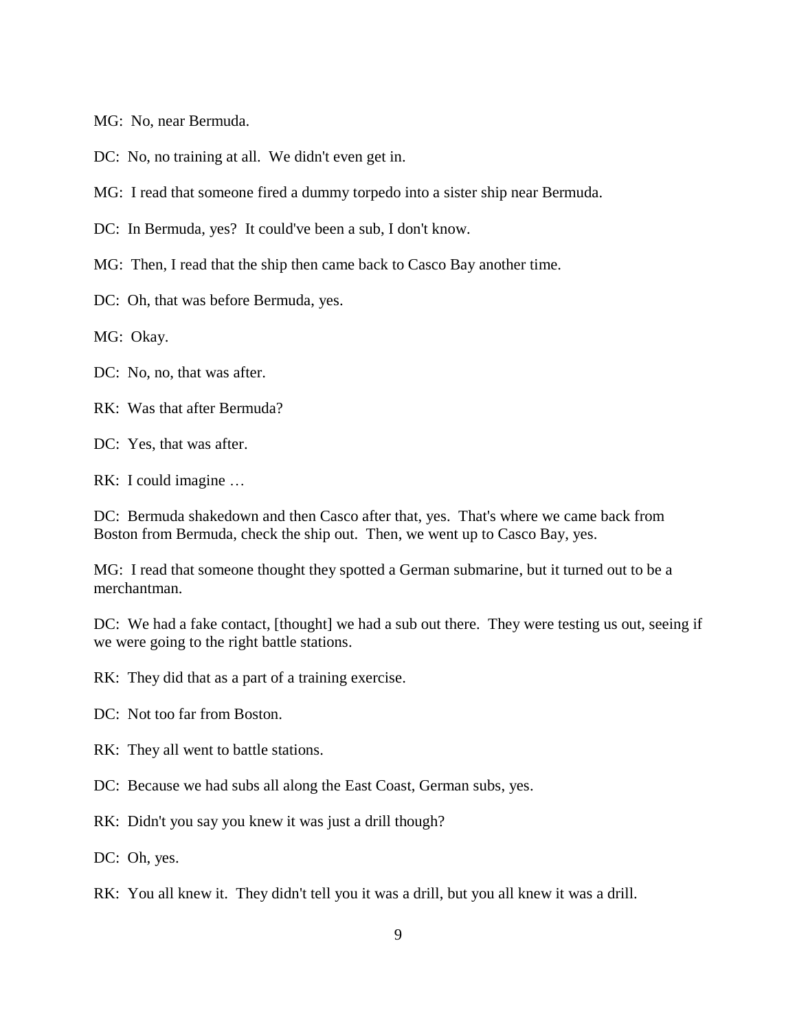MG: No, near Bermuda.

DC: No, no training at all. We didn't even get in.

MG: I read that someone fired a dummy torpedo into a sister ship near Bermuda.

DC: In Bermuda, yes? It could've been a sub, I don't know.

MG: Then, I read that the ship then came back to Casco Bay another time.

DC: Oh, that was before Bermuda, yes.

MG: Okay.

DC: No, no, that was after.

RK: Was that after Bermuda?

DC: Yes, that was after.

RK: I could imagine …

DC: Bermuda shakedown and then Casco after that, yes. That's where we came back from Boston from Bermuda, check the ship out. Then, we went up to Casco Bay, yes.

MG: I read that someone thought they spotted a German submarine, but it turned out to be a merchantman.

DC: We had a fake contact, [thought] we had a sub out there. They were testing us out, seeing if we were going to the right battle stations.

RK: They did that as a part of a training exercise.

DC: Not too far from Boston.

RK: They all went to battle stations.

DC: Because we had subs all along the East Coast, German subs, yes.

RK: Didn't you say you knew it was just a drill though?

DC: Oh, yes.

RK: You all knew it. They didn't tell you it was a drill, but you all knew it was a drill.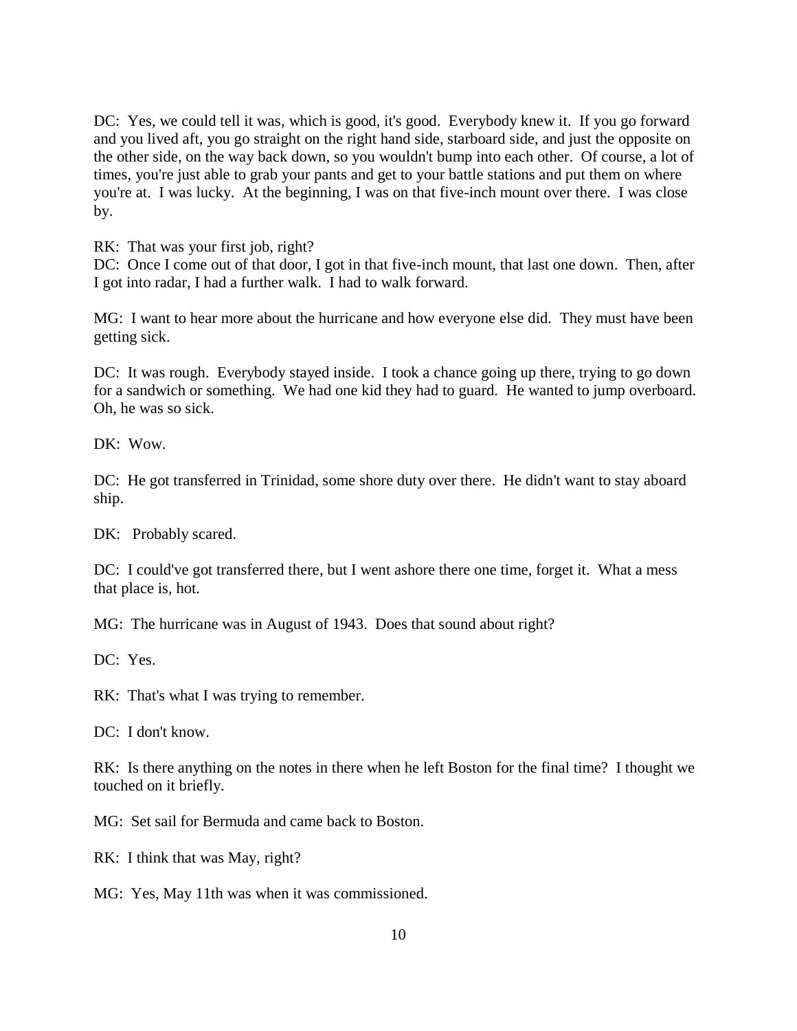DC: Yes, we could tell it was, which is good, it's good. Everybody knew it. If you go forward and you lived aft, you go straight on the right hand side, starboard side, and just the opposite on the other side, on the way back down, so you wouldn't bump into each other. Of course, a lot of times, you're just able to grab your pants and get to your battle stations and put them on where you're at. I was lucky. At the beginning, I was on that five-inch mount over there. I was close by.

RK: That was your first job, right?

DC: Once I come out of that door, I got in that five-inch mount, that last one down. Then, after I got into radar, I had a further walk. I had to walk forward.

MG: I want to hear more about the hurricane and how everyone else did. They must have been getting sick.

DC: It was rough. Everybody stayed inside. I took a chance going up there, trying to go down for a sandwich or something. We had one kid they had to guard. He wanted to jump overboard. Oh, he was so sick.

DK: Wow.

DC: He got transferred in Trinidad, some shore duty over there. He didn't want to stay aboard ship.

DK: Probably scared.

DC: I could've got transferred there, but I went ashore there one time, forget it. What a mess that place is, hot.

MG: The hurricane was in August of 1943. Does that sound about right?

DC: Yes.

RK: That's what I was trying to remember.

DC: I don't know.

RK: Is there anything on the notes in there when he left Boston for the final time? I thought we touched on it briefly.

MG: Set sail for Bermuda and came back to Boston.

RK: I think that was May, right?

MG: Yes, May 11th was when it was commissioned.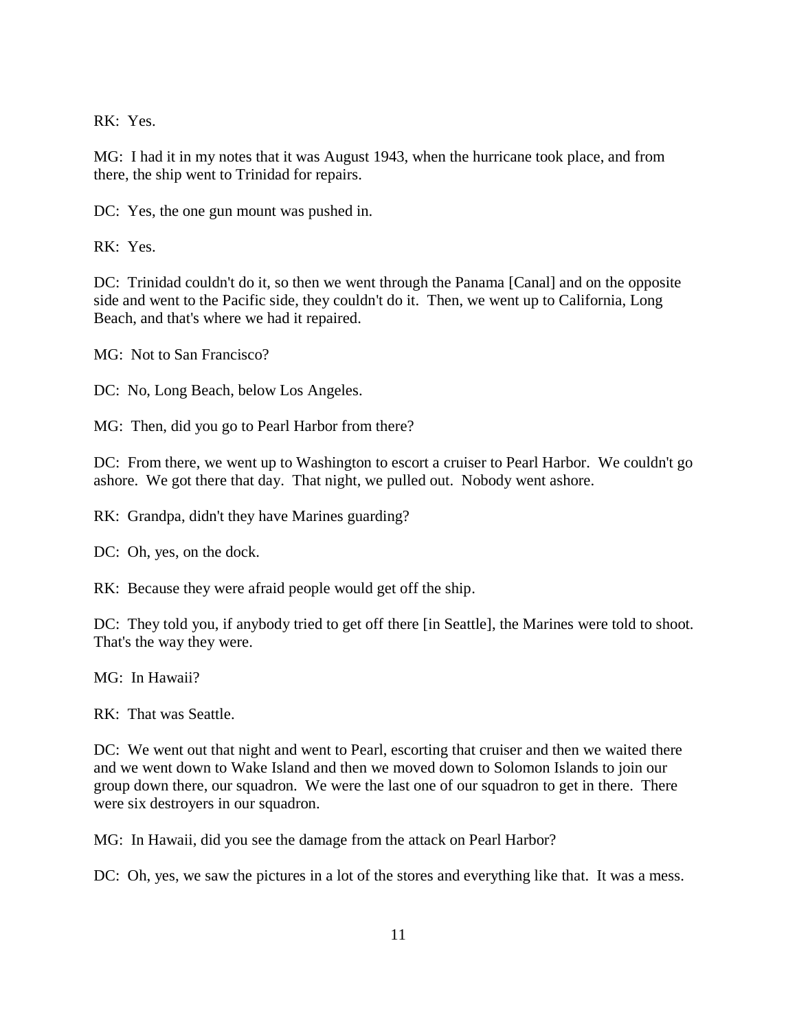RK: Yes.

MG: I had it in my notes that it was August 1943, when the hurricane took place, and from there, the ship went to Trinidad for repairs.

DC: Yes, the one gun mount was pushed in.

RK: Yes.

DC: Trinidad couldn't do it, so then we went through the Panama [Canal] and on the opposite side and went to the Pacific side, they couldn't do it. Then, we went up to California, Long Beach, and that's where we had it repaired.

MG: Not to San Francisco?

DC: No, Long Beach, below Los Angeles.

MG: Then, did you go to Pearl Harbor from there?

DC: From there, we went up to Washington to escort a cruiser to Pearl Harbor. We couldn't go ashore. We got there that day. That night, we pulled out. Nobody went ashore.

RK: Grandpa, didn't they have Marines guarding?

DC: Oh, yes, on the dock.

RK: Because they were afraid people would get off the ship.

DC: They told you, if anybody tried to get off there [in Seattle], the Marines were told to shoot. That's the way they were.

MG: In Hawaii?

RK: That was Seattle.

DC: We went out that night and went to Pearl, escorting that cruiser and then we waited there and we went down to Wake Island and then we moved down to Solomon Islands to join our group down there, our squadron. We were the last one of our squadron to get in there. There were six destroyers in our squadron.

MG: In Hawaii, did you see the damage from the attack on Pearl Harbor?

DC: Oh, yes, we saw the pictures in a lot of the stores and everything like that. It was a mess.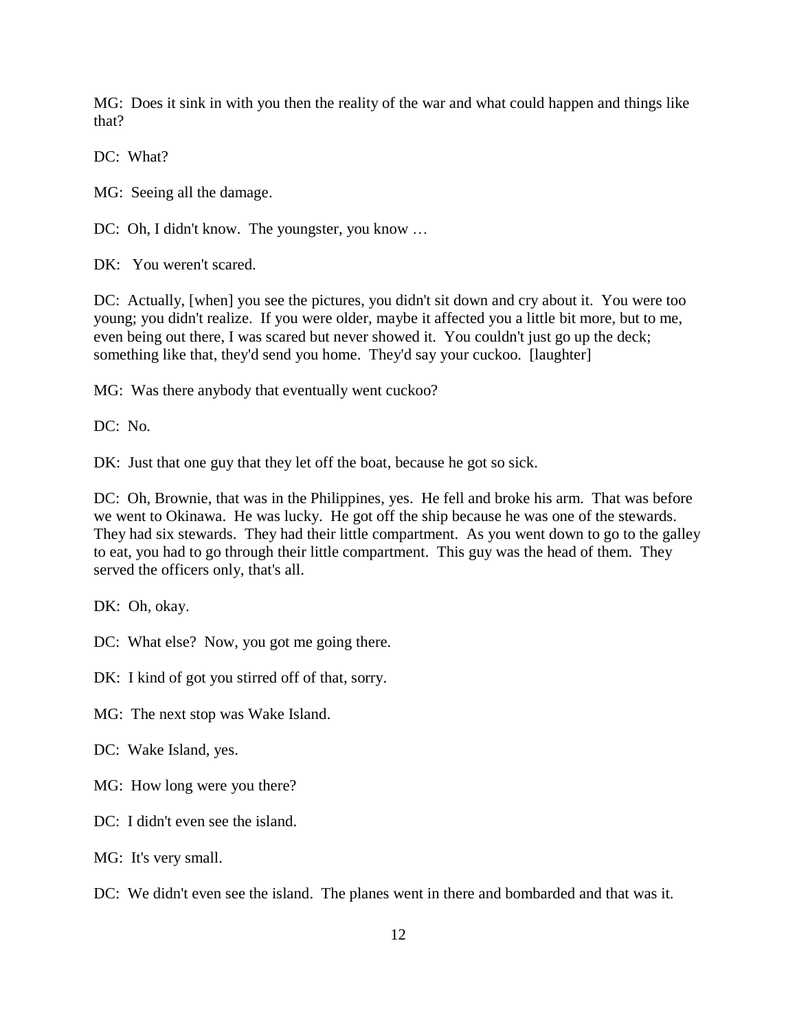MG: Does it sink in with you then the reality of the war and what could happen and things like that?

DC: What?

MG: Seeing all the damage.

DC: Oh, I didn't know. The youngster, you know …

DK: You weren't scared.

DC: Actually, [when] you see the pictures, you didn't sit down and cry about it. You were too young; you didn't realize. If you were older, maybe it affected you a little bit more, but to me, even being out there, I was scared but never showed it. You couldn't just go up the deck; something like that, they'd send you home. They'd say your cuckoo. [laughter]

MG: Was there anybody that eventually went cuckoo?

DC: No.

DK: Just that one guy that they let off the boat, because he got so sick.

DC: Oh, Brownie, that was in the Philippines, yes. He fell and broke his arm. That was before we went to Okinawa. He was lucky. He got off the ship because he was one of the stewards. They had six stewards. They had their little compartment. As you went down to go to the galley to eat, you had to go through their little compartment. This guy was the head of them. They served the officers only, that's all.

DK: Oh, okay.

DC: What else? Now, you got me going there.

DK: I kind of got you stirred off of that, sorry.

MG: The next stop was Wake Island.

DC: Wake Island, yes.

MG: How long were you there?

DC: I didn't even see the island.

MG: It's very small.

DC: We didn't even see the island. The planes went in there and bombarded and that was it.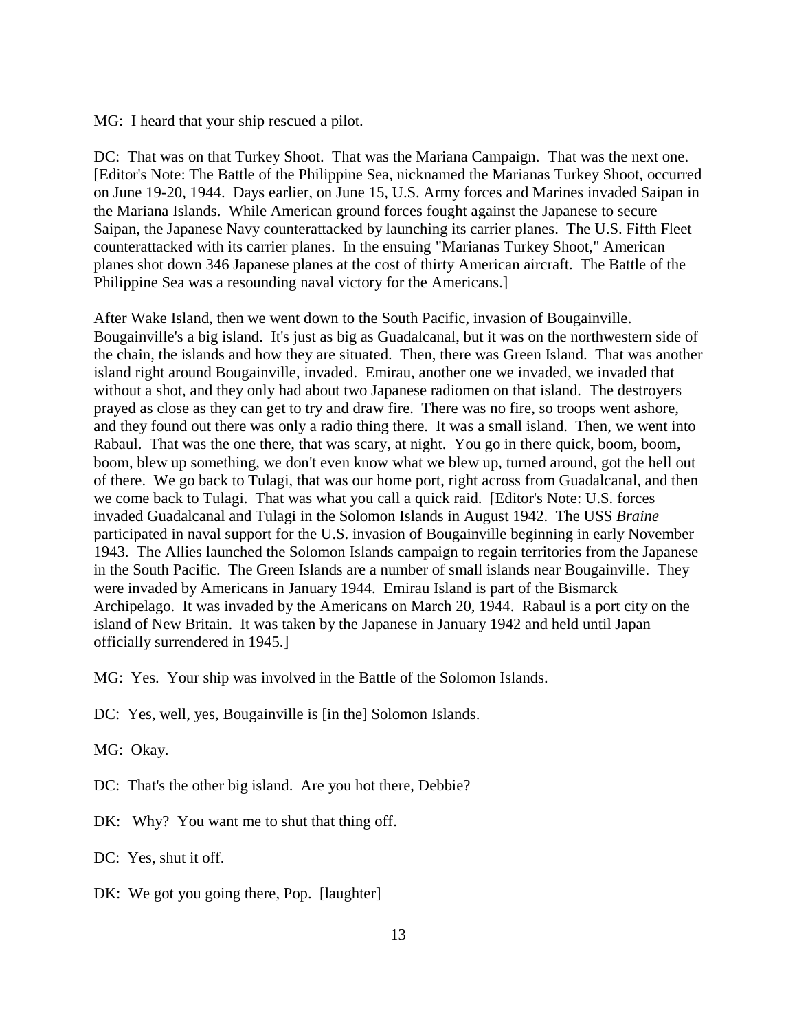MG: I heard that your ship rescued a pilot.

DC: That was on that Turkey Shoot. That was the Mariana Campaign. That was the next one. [Editor's Note: The Battle of the Philippine Sea, nicknamed the Marianas Turkey Shoot, occurred on June 19-20, 1944. Days earlier, on June 15, U.S. Army forces and Marines invaded Saipan in the Mariana Islands. While American ground forces fought against the Japanese to secure Saipan, the Japanese Navy counterattacked by launching its carrier planes. The U.S. Fifth Fleet counterattacked with its carrier planes. In the ensuing "Marianas Turkey Shoot," American planes shot down 346 Japanese planes at the cost of thirty American aircraft. The Battle of the Philippine Sea was a resounding naval victory for the Americans.]

After Wake Island, then we went down to the South Pacific, invasion of Bougainville. Bougainville's a big island. It's just as big as Guadalcanal, but it was on the northwestern side of the chain, the islands and how they are situated. Then, there was Green Island. That was another island right around Bougainville, invaded. Emirau, another one we invaded, we invaded that without a shot, and they only had about two Japanese radiomen on that island. The destroyers prayed as close as they can get to try and draw fire. There was no fire, so troops went ashore, and they found out there was only a radio thing there. It was a small island. Then, we went into Rabaul. That was the one there, that was scary, at night. You go in there quick, boom, boom, boom, blew up something, we don't even know what we blew up, turned around, got the hell out of there. We go back to Tulagi, that was our home port, right across from Guadalcanal, and then we come back to Tulagi. That was what you call a quick raid. [Editor's Note: U.S. forces invaded Guadalcanal and Tulagi in the Solomon Islands in August 1942. The USS *Braine* participated in naval support for the U.S. invasion of Bougainville beginning in early November 1943. The Allies launched the Solomon Islands campaign to regain territories from the Japanese in the South Pacific. The Green Islands are a number of small islands near Bougainville. They were invaded by Americans in January 1944. Emirau Island is part of the Bismarck Archipelago. It was invaded by the Americans on March 20, 1944. Rabaul is a port city on the island of New Britain. It was taken by the Japanese in January 1942 and held until Japan officially surrendered in 1945.]

MG: Yes. Your ship was involved in the Battle of the Solomon Islands.

- DC: Yes, well, yes, Bougainville is [in the] Solomon Islands.
- MG: Okay.

DC: That's the other big island. Are you hot there, Debbie?

- DK: Why? You want me to shut that thing off.
- DC: Yes, shut it off.
- DK: We got you going there, Pop. [laughter]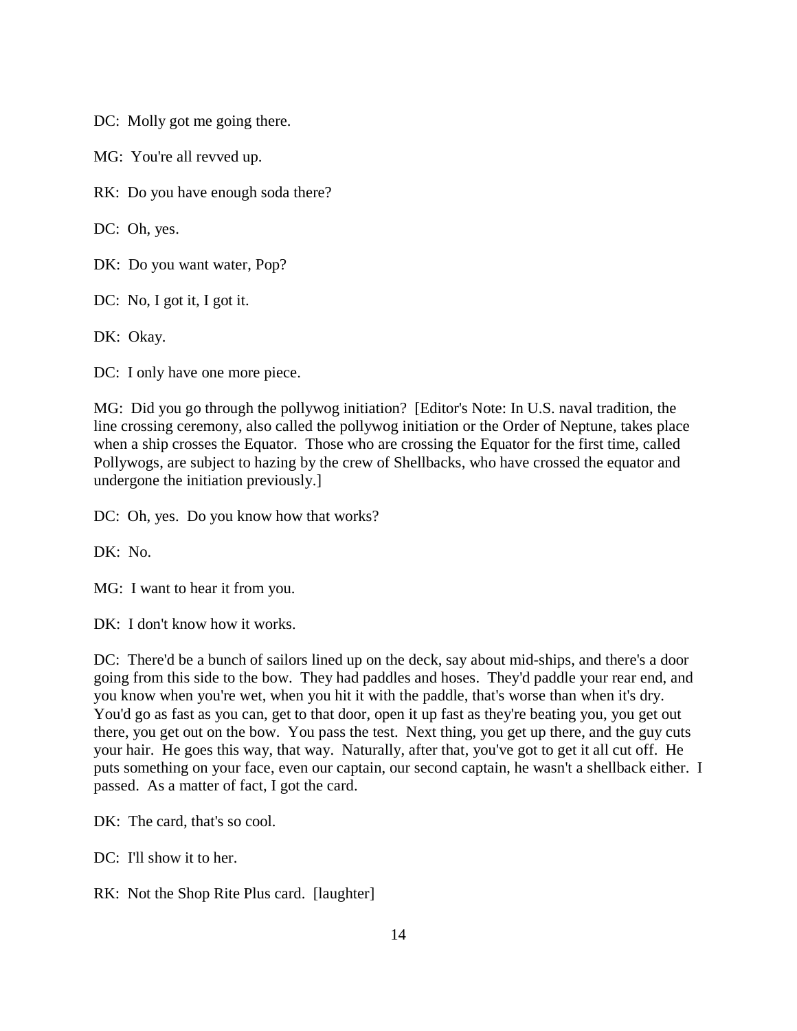DC: Molly got me going there.

MG: You're all revved up.

RK: Do you have enough soda there?

DC: Oh, yes.

DK: Do you want water, Pop?

DC: No, I got it, I got it.

DK: Okay.

DC: I only have one more piece.

MG: Did you go through the pollywog initiation? [Editor's Note: In U.S. naval tradition, the line crossing ceremony, also called the pollywog initiation or the Order of Neptune, takes place when a ship crosses the Equator. Those who are crossing the Equator for the first time, called Pollywogs, are subject to hazing by the crew of Shellbacks, who have crossed the equator and undergone the initiation previously.]

DC: Oh, yes. Do you know how that works?

DK: No.

MG: I want to hear it from you.

DK: I don't know how it works.

DC: There'd be a bunch of sailors lined up on the deck, say about mid-ships, and there's a door going from this side to the bow. They had paddles and hoses. They'd paddle your rear end, and you know when you're wet, when you hit it with the paddle, that's worse than when it's dry. You'd go as fast as you can, get to that door, open it up fast as they're beating you, you get out there, you get out on the bow. You pass the test. Next thing, you get up there, and the guy cuts your hair. He goes this way, that way. Naturally, after that, you've got to get it all cut off. He puts something on your face, even our captain, our second captain, he wasn't a shellback either. I passed. As a matter of fact, I got the card.

DK: The card, that's so cool.

DC: I'll show it to her.

RK: Not the Shop Rite Plus card. [laughter]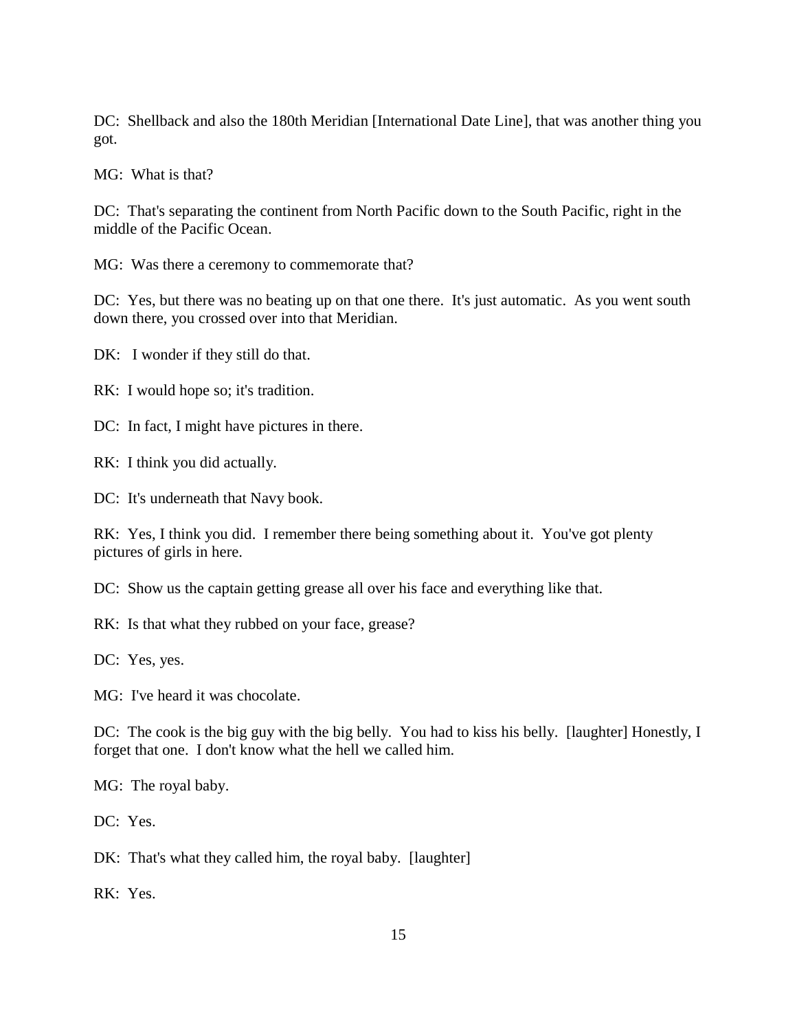DC: Shellback and also the 180th Meridian [International Date Line], that was another thing you got.

MG: What is that?

DC: That's separating the continent from North Pacific down to the South Pacific, right in the middle of the Pacific Ocean.

MG: Was there a ceremony to commemorate that?

DC: Yes, but there was no beating up on that one there. It's just automatic. As you went south down there, you crossed over into that Meridian.

DK: I wonder if they still do that.

RK: I would hope so; it's tradition.

DC: In fact, I might have pictures in there.

RK: I think you did actually.

DC: It's underneath that Navy book.

RK: Yes, I think you did. I remember there being something about it. You've got plenty pictures of girls in here.

DC: Show us the captain getting grease all over his face and everything like that.

RK: Is that what they rubbed on your face, grease?

DC: Yes, yes.

MG: I've heard it was chocolate.

DC: The cook is the big guy with the big belly. You had to kiss his belly. [laughter] Honestly, I forget that one. I don't know what the hell we called him.

MG: The royal baby.

DC: Yes.

DK: That's what they called him, the royal baby. [laughter]

RK: Yes.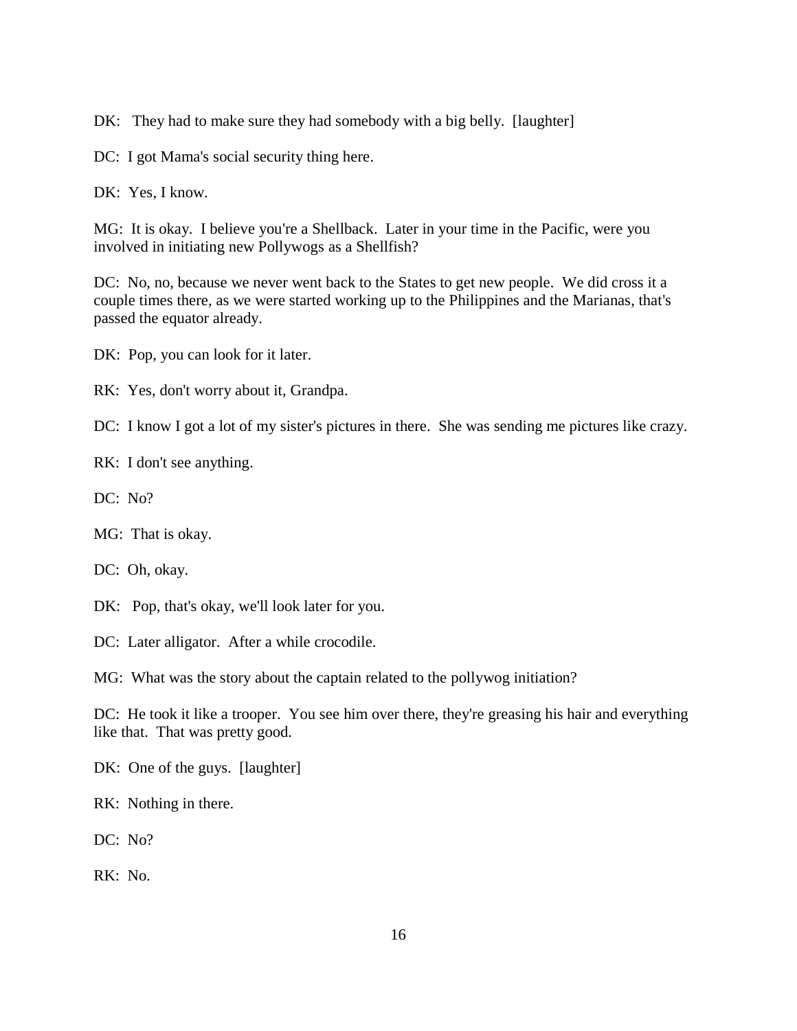DK: They had to make sure they had somebody with a big belly. [laughter]

DC: I got Mama's social security thing here.

DK: Yes, I know.

MG: It is okay. I believe you're a Shellback. Later in your time in the Pacific, were you involved in initiating new Pollywogs as a Shellfish?

DC: No, no, because we never went back to the States to get new people. We did cross it a couple times there, as we were started working up to the Philippines and the Marianas, that's passed the equator already.

DK: Pop, you can look for it later.

RK: Yes, don't worry about it, Grandpa.

DC: I know I got a lot of my sister's pictures in there. She was sending me pictures like crazy.

RK: I don't see anything.

DC: No?

MG: That is okay.

DC: Oh, okay.

DK: Pop, that's okay, we'll look later for you.

DC: Later alligator. After a while crocodile.

MG: What was the story about the captain related to the pollywog initiation?

DC: He took it like a trooper. You see him over there, they're greasing his hair and everything like that. That was pretty good.

DK: One of the guys. [laughter]

RK: Nothing in there.

DC: No?

RK: No.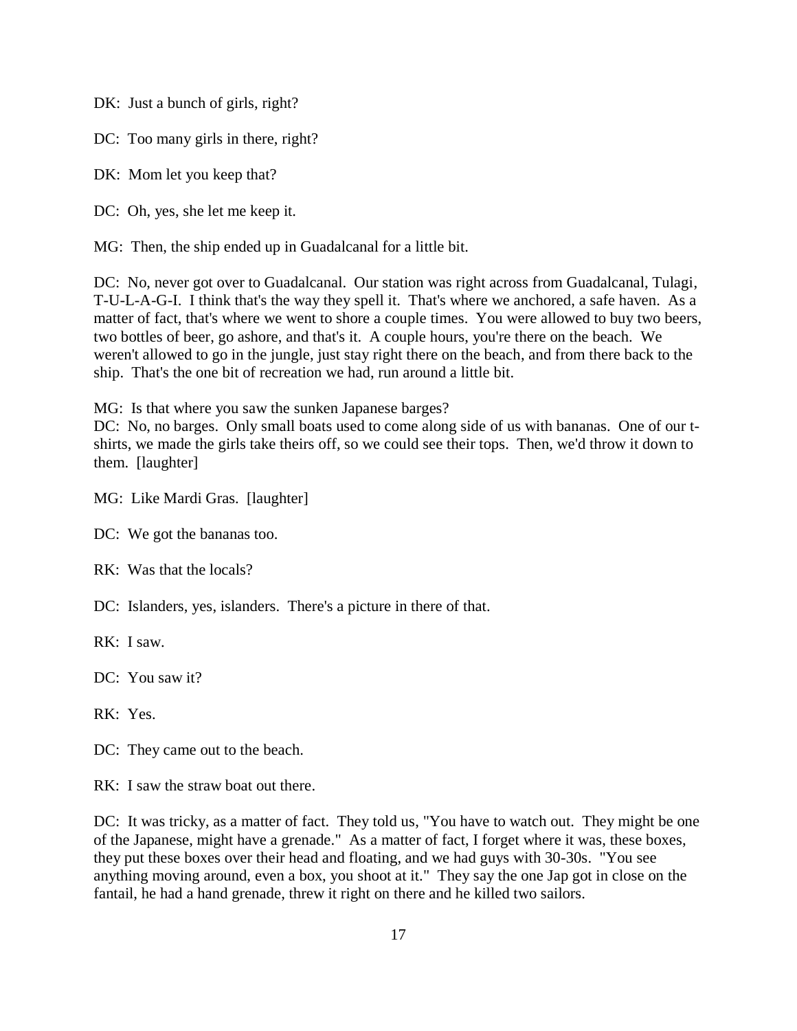DK: Just a bunch of girls, right?

DC: Too many girls in there, right?

DK: Mom let you keep that?

DC: Oh, yes, she let me keep it.

MG: Then, the ship ended up in Guadalcanal for a little bit.

DC: No, never got over to Guadalcanal. Our station was right across from Guadalcanal, Tulagi, T-U-L-A-G-I. I think that's the way they spell it. That's where we anchored, a safe haven. As a matter of fact, that's where we went to shore a couple times. You were allowed to buy two beers, two bottles of beer, go ashore, and that's it. A couple hours, you're there on the beach. We weren't allowed to go in the jungle, just stay right there on the beach, and from there back to the ship. That's the one bit of recreation we had, run around a little bit.

MG: Is that where you saw the sunken Japanese barges?

DC: No, no barges. Only small boats used to come along side of us with bananas. One of our tshirts, we made the girls take theirs off, so we could see their tops. Then, we'd throw it down to them. [laughter]

MG: Like Mardi Gras. [laughter]

DC: We got the bananas too.

RK: Was that the locals?

DC: Islanders, yes, islanders. There's a picture in there of that.

RK: I saw.

DC: You saw it?

RK: Yes.

DC: They came out to the beach.

RK: I saw the straw boat out there.

DC: It was tricky, as a matter of fact. They told us, "You have to watch out. They might be one of the Japanese, might have a grenade." As a matter of fact, I forget where it was, these boxes, they put these boxes over their head and floating, and we had guys with 30-30s. "You see anything moving around, even a box, you shoot at it." They say the one Jap got in close on the fantail, he had a hand grenade, threw it right on there and he killed two sailors.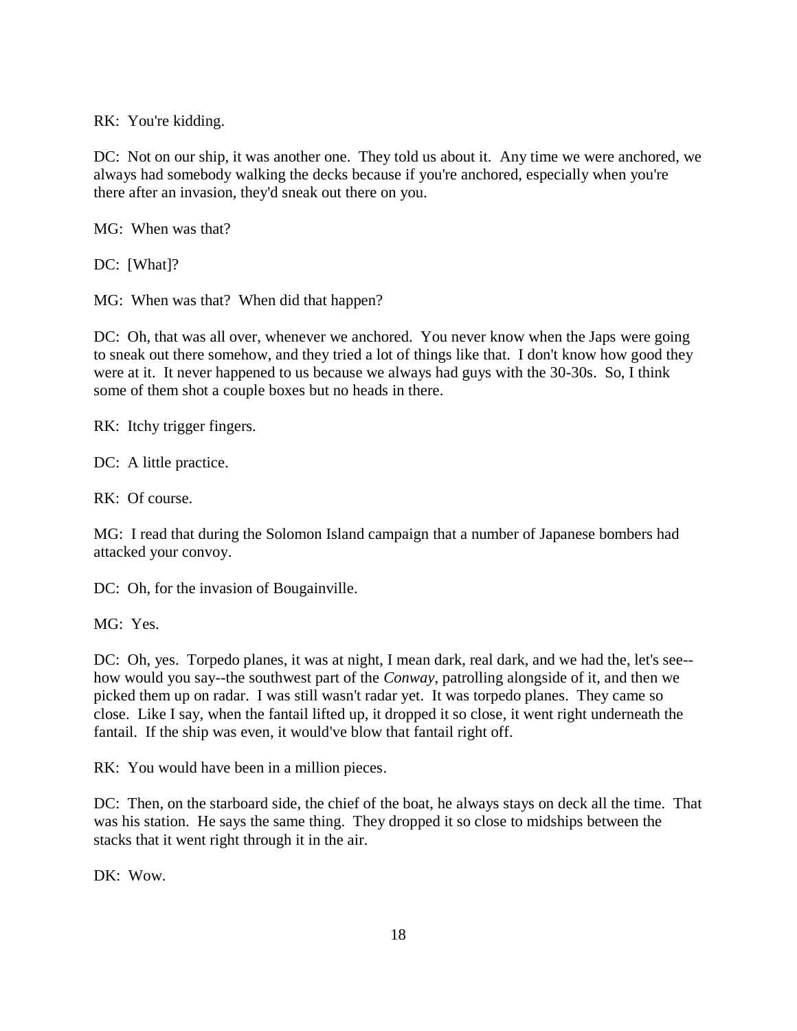RK: You're kidding.

DC: Not on our ship, it was another one. They told us about it. Any time we were anchored, we always had somebody walking the decks because if you're anchored, especially when you're there after an invasion, they'd sneak out there on you.

MG: When was that?

DC: [What]?

MG: When was that? When did that happen?

DC: Oh, that was all over, whenever we anchored. You never know when the Japs were going to sneak out there somehow, and they tried a lot of things like that. I don't know how good they were at it. It never happened to us because we always had guys with the 30-30s. So, I think some of them shot a couple boxes but no heads in there.

RK: Itchy trigger fingers.

DC: A little practice.

RK: Of course.

MG: I read that during the Solomon Island campaign that a number of Japanese bombers had attacked your convoy.

DC: Oh, for the invasion of Bougainville.

MG: Yes.

DC: Oh, yes. Torpedo planes, it was at night, I mean dark, real dark, and we had the, let's see-how would you say--the southwest part of the *Conway*, patrolling alongside of it, and then we picked them up on radar. I was still wasn't radar yet. It was torpedo planes. They came so close. Like I say, when the fantail lifted up, it dropped it so close, it went right underneath the fantail. If the ship was even, it would've blow that fantail right off.

RK: You would have been in a million pieces.

DC: Then, on the starboard side, the chief of the boat, he always stays on deck all the time. That was his station. He says the same thing. They dropped it so close to midships between the stacks that it went right through it in the air.

DK: Wow.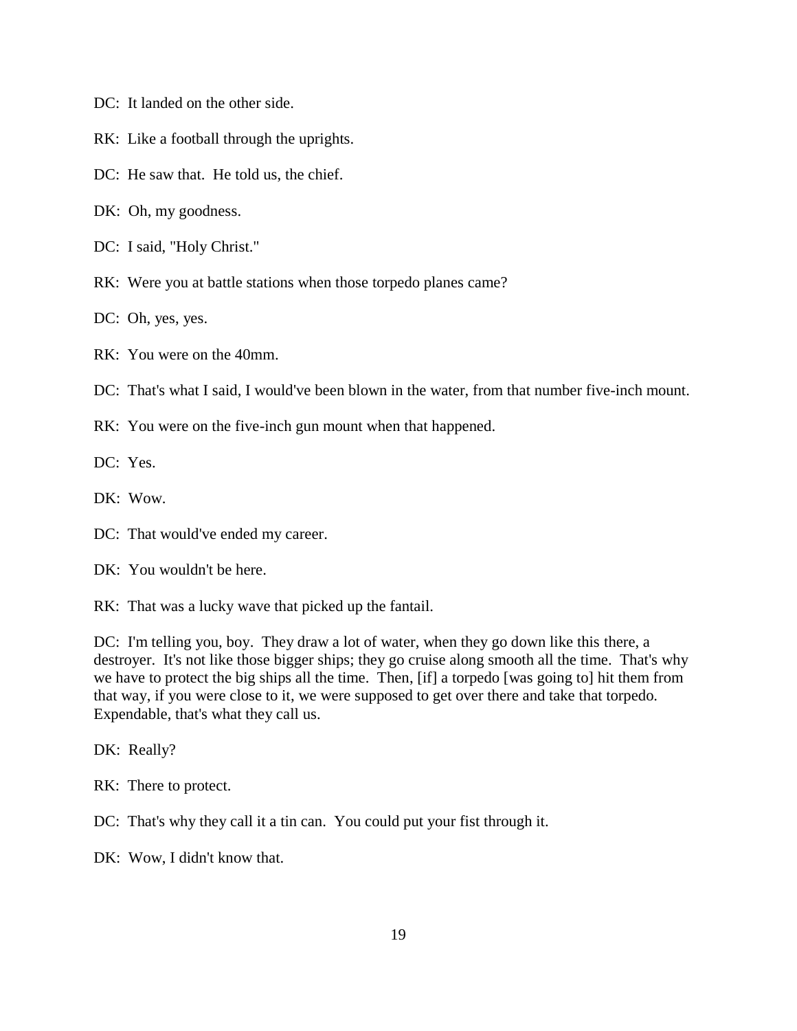- DC: It landed on the other side.
- RK: Like a football through the uprights.
- DC: He saw that. He told us, the chief.
- DK: Oh, my goodness.
- DC: I said, "Holy Christ."
- RK: Were you at battle stations when those torpedo planes came?
- DC: Oh, yes, yes.
- RK: You were on the 40mm.
- DC: That's what I said, I would've been blown in the water, from that number five-inch mount.
- RK: You were on the five-inch gun mount when that happened.

DC: Yes.

- DK: Wow.
- DC: That would've ended my career.
- DK: You wouldn't be here.

RK: That was a lucky wave that picked up the fantail.

DC: I'm telling you, boy. They draw a lot of water, when they go down like this there, a destroyer. It's not like those bigger ships; they go cruise along smooth all the time. That's why we have to protect the big ships all the time. Then, [if] a torpedo [was going to] hit them from that way, if you were close to it, we were supposed to get over there and take that torpedo. Expendable, that's what they call us.

DK: Really?

RK: There to protect.

DC: That's why they call it a tin can. You could put your fist through it.

DK: Wow, I didn't know that.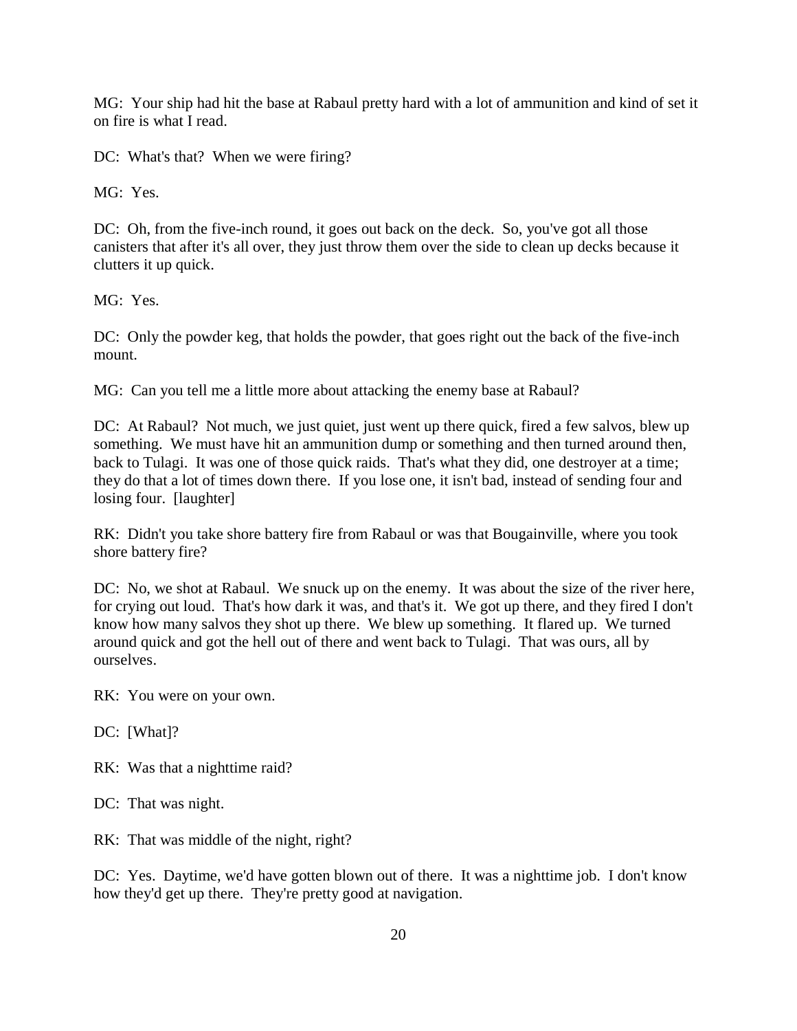MG: Your ship had hit the base at Rabaul pretty hard with a lot of ammunition and kind of set it on fire is what I read.

DC: What's that? When we were firing?

MG: Yes.

DC: Oh, from the five-inch round, it goes out back on the deck. So, you've got all those canisters that after it's all over, they just throw them over the side to clean up decks because it clutters it up quick.

MG: Yes.

DC: Only the powder keg, that holds the powder, that goes right out the back of the five-inch mount.

MG: Can you tell me a little more about attacking the enemy base at Rabaul?

DC: At Rabaul? Not much, we just quiet, just went up there quick, fired a few salvos, blew up something. We must have hit an ammunition dump or something and then turned around then, back to Tulagi. It was one of those quick raids. That's what they did, one destroyer at a time; they do that a lot of times down there. If you lose one, it isn't bad, instead of sending four and losing four. [laughter]

RK: Didn't you take shore battery fire from Rabaul or was that Bougainville, where you took shore battery fire?

DC: No, we shot at Rabaul. We snuck up on the enemy. It was about the size of the river here, for crying out loud. That's how dark it was, and that's it. We got up there, and they fired I don't know how many salvos they shot up there. We blew up something. It flared up. We turned around quick and got the hell out of there and went back to Tulagi. That was ours, all by ourselves.

RK: You were on your own.

DC: [What]?

RK: Was that a nighttime raid?

DC: That was night.

RK: That was middle of the night, right?

DC: Yes. Daytime, we'd have gotten blown out of there. It was a nighttime job. I don't know how they'd get up there. They're pretty good at navigation.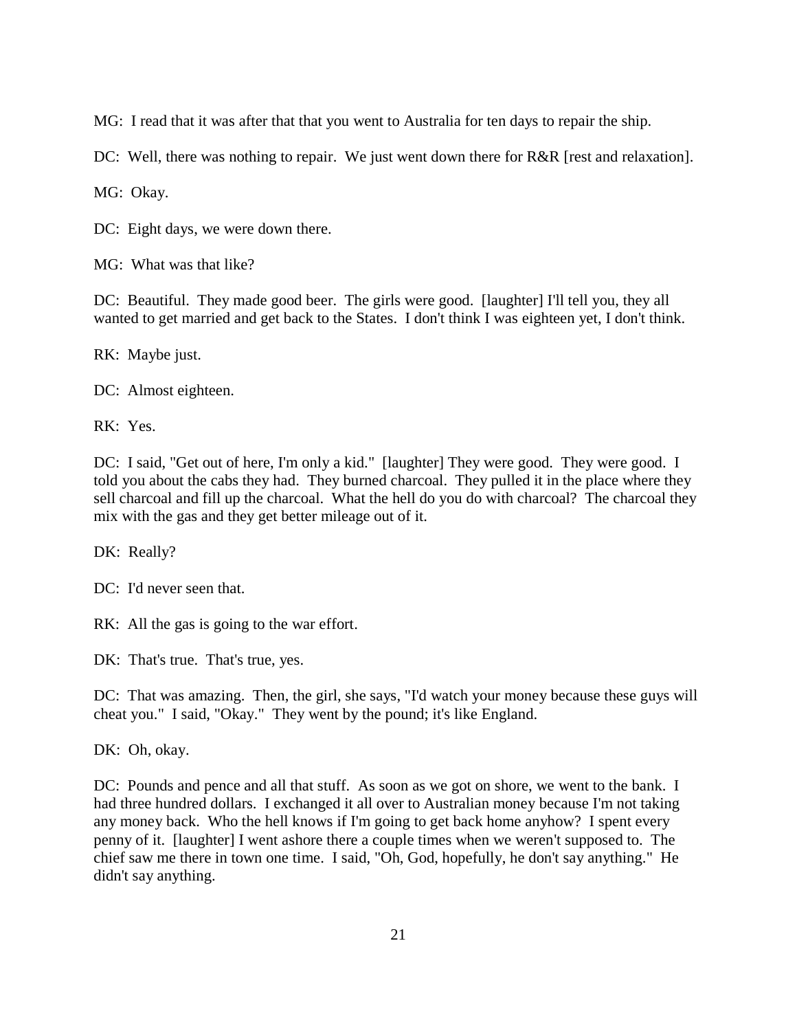MG: I read that it was after that that you went to Australia for ten days to repair the ship.

DC: Well, there was nothing to repair. We just went down there for R&R [rest and relaxation].

MG: Okay.

DC: Eight days, we were down there.

MG: What was that like?

DC: Beautiful. They made good beer. The girls were good. [laughter] I'll tell you, they all wanted to get married and get back to the States. I don't think I was eighteen yet, I don't think.

RK: Maybe just.

DC: Almost eighteen.

RK: Yes.

DC: I said, "Get out of here, I'm only a kid." [laughter] They were good. They were good. I told you about the cabs they had. They burned charcoal. They pulled it in the place where they sell charcoal and fill up the charcoal. What the hell do you do with charcoal? The charcoal they mix with the gas and they get better mileage out of it.

DK: Really?

DC: I'd never seen that.

RK: All the gas is going to the war effort.

DK: That's true. That's true, yes.

DC: That was amazing. Then, the girl, she says, "I'd watch your money because these guys will cheat you." I said, "Okay." They went by the pound; it's like England.

DK: Oh, okay.

DC: Pounds and pence and all that stuff. As soon as we got on shore, we went to the bank. I had three hundred dollars. I exchanged it all over to Australian money because I'm not taking any money back. Who the hell knows if I'm going to get back home anyhow? I spent every penny of it. [laughter] I went ashore there a couple times when we weren't supposed to. The chief saw me there in town one time. I said, "Oh, God, hopefully, he don't say anything." He didn't say anything.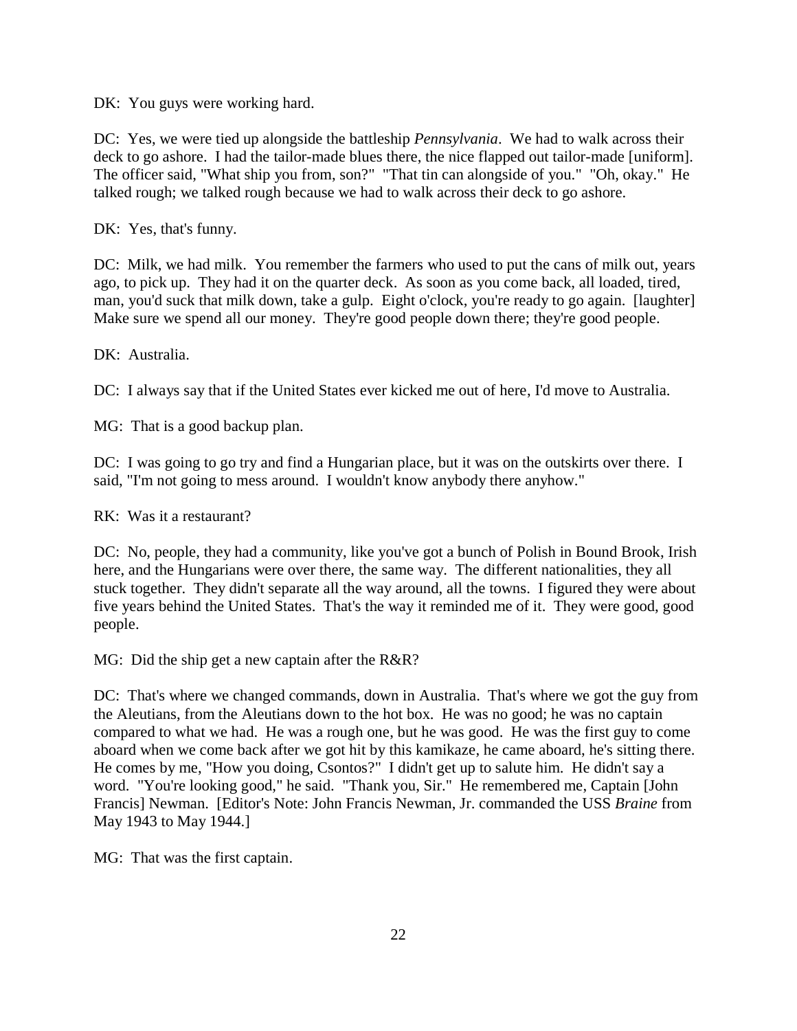DK: You guys were working hard.

DC: Yes, we were tied up alongside the battleship *Pennsylvania*. We had to walk across their deck to go ashore. I had the tailor-made blues there, the nice flapped out tailor-made [uniform]. The officer said, "What ship you from, son?" "That tin can alongside of you." "Oh, okay." He talked rough; we talked rough because we had to walk across their deck to go ashore.

DK: Yes, that's funny.

DC: Milk, we had milk. You remember the farmers who used to put the cans of milk out, years ago, to pick up. They had it on the quarter deck. As soon as you come back, all loaded, tired, man, you'd suck that milk down, take a gulp. Eight o'clock, you're ready to go again. [laughter] Make sure we spend all our money. They're good people down there; they're good people.

DK: Australia.

DC: I always say that if the United States ever kicked me out of here, I'd move to Australia.

MG: That is a good backup plan.

DC: I was going to go try and find a Hungarian place, but it was on the outskirts over there. I said, "I'm not going to mess around. I wouldn't know anybody there anyhow."

RK: Was it a restaurant?

DC: No, people, they had a community, like you've got a bunch of Polish in Bound Brook, Irish here, and the Hungarians were over there, the same way. The different nationalities, they all stuck together. They didn't separate all the way around, all the towns. I figured they were about five years behind the United States. That's the way it reminded me of it. They were good, good people.

MG: Did the ship get a new captain after the R&R?

DC: That's where we changed commands, down in Australia. That's where we got the guy from the Aleutians, from the Aleutians down to the hot box. He was no good; he was no captain compared to what we had. He was a rough one, but he was good. He was the first guy to come aboard when we come back after we got hit by this kamikaze, he came aboard, he's sitting there. He comes by me, "How you doing, Csontos?" I didn't get up to salute him. He didn't say a word. "You're looking good," he said. "Thank you, Sir." He remembered me, Captain [John Francis] Newman. [Editor's Note: John Francis Newman, Jr. commanded the USS *Braine* from May 1943 to May 1944.]

MG: That was the first captain.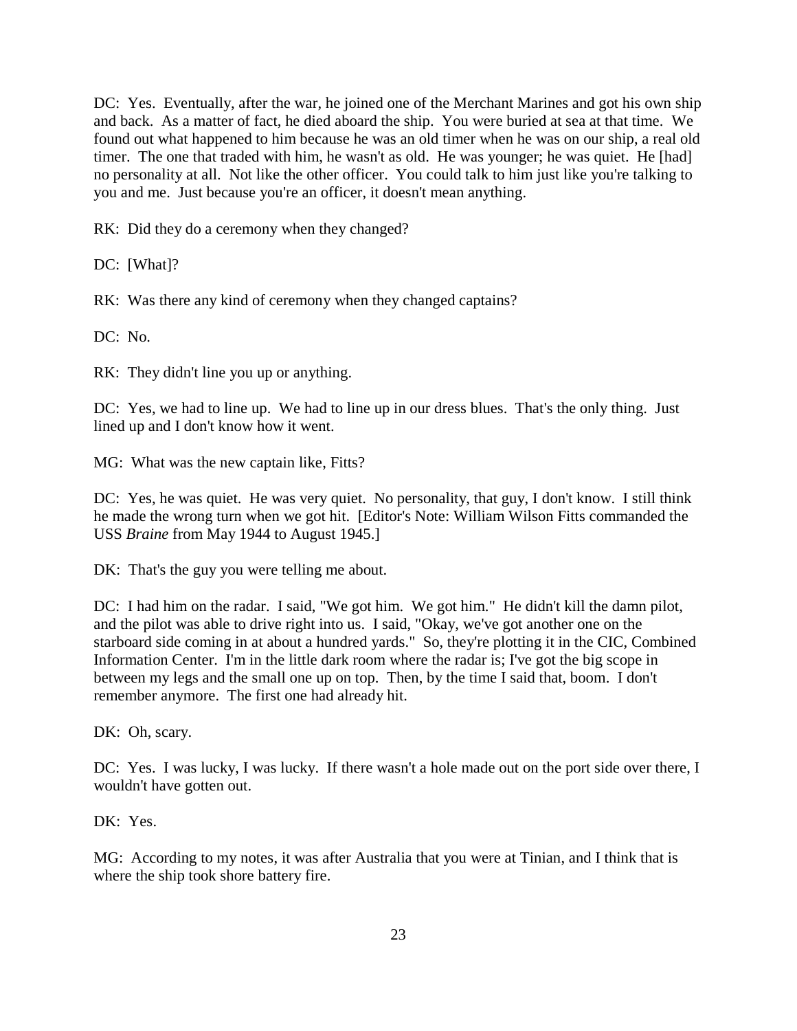DC: Yes. Eventually, after the war, he joined one of the Merchant Marines and got his own ship and back. As a matter of fact, he died aboard the ship. You were buried at sea at that time. We found out what happened to him because he was an old timer when he was on our ship, a real old timer. The one that traded with him, he wasn't as old. He was younger; he was quiet. He [had] no personality at all. Not like the other officer. You could talk to him just like you're talking to you and me. Just because you're an officer, it doesn't mean anything.

RK: Did they do a ceremony when they changed?

DC: [What]?

RK: Was there any kind of ceremony when they changed captains?

DC: No.

RK: They didn't line you up or anything.

DC: Yes, we had to line up. We had to line up in our dress blues. That's the only thing. Just lined up and I don't know how it went.

MG: What was the new captain like, Fitts?

DC: Yes, he was quiet. He was very quiet. No personality, that guy, I don't know. I still think he made the wrong turn when we got hit. [Editor's Note: William Wilson Fitts commanded the USS *Braine* from May 1944 to August 1945.]

DK: That's the guy you were telling me about.

DC: I had him on the radar. I said, "We got him. We got him." He didn't kill the damn pilot, and the pilot was able to drive right into us. I said, "Okay, we've got another one on the starboard side coming in at about a hundred yards." So, they're plotting it in the CIC, Combined Information Center. I'm in the little dark room where the radar is; I've got the big scope in between my legs and the small one up on top. Then, by the time I said that, boom. I don't remember anymore. The first one had already hit.

DK: Oh, scary.

DC: Yes. I was lucky, I was lucky. If there wasn't a hole made out on the port side over there, I wouldn't have gotten out.

DK: Yes.

MG: According to my notes, it was after Australia that you were at Tinian, and I think that is where the ship took shore battery fire.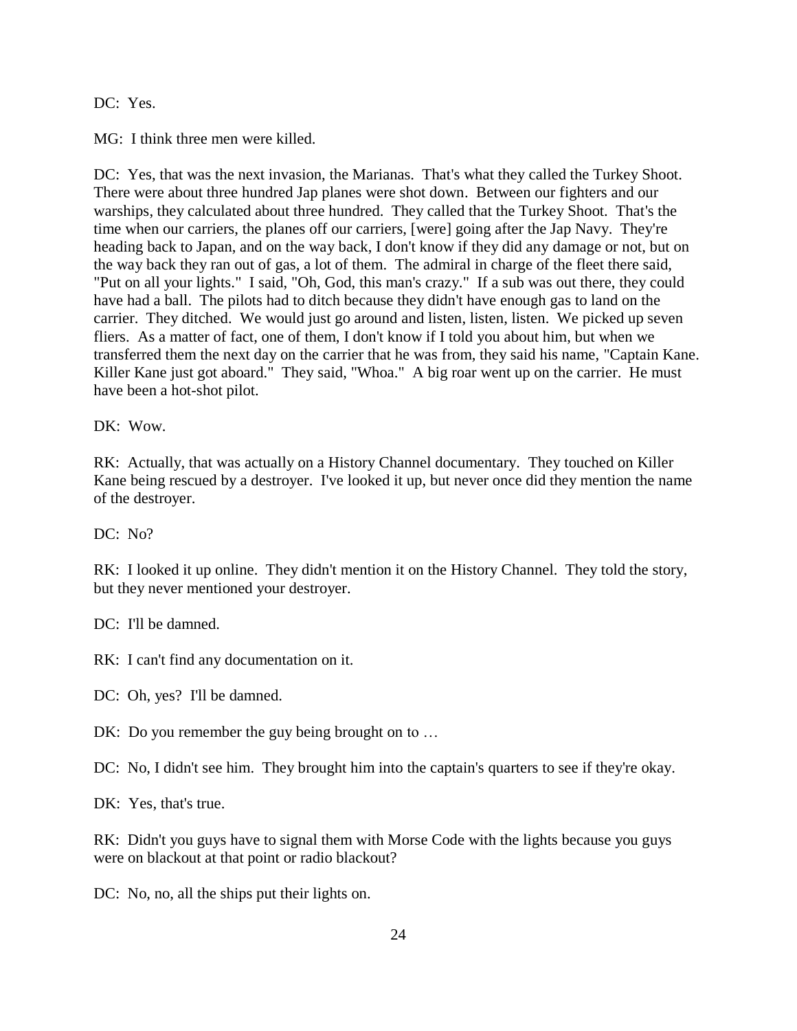#### DC: Yes.

MG: I think three men were killed.

DC: Yes, that was the next invasion, the Marianas. That's what they called the Turkey Shoot. There were about three hundred Jap planes were shot down. Between our fighters and our warships, they calculated about three hundred. They called that the Turkey Shoot. That's the time when our carriers, the planes off our carriers, [were] going after the Jap Navy. They're heading back to Japan, and on the way back, I don't know if they did any damage or not, but on the way back they ran out of gas, a lot of them. The admiral in charge of the fleet there said, "Put on all your lights." I said, "Oh, God, this man's crazy." If a sub was out there, they could have had a ball. The pilots had to ditch because they didn't have enough gas to land on the carrier. They ditched. We would just go around and listen, listen, listen. We picked up seven fliers. As a matter of fact, one of them, I don't know if I told you about him, but when we transferred them the next day on the carrier that he was from, they said his name, "Captain Kane. Killer Kane just got aboard." They said, "Whoa." A big roar went up on the carrier. He must have been a hot-shot pilot.

DK: Wow.

RK: Actually, that was actually on a History Channel documentary. They touched on Killer Kane being rescued by a destroyer. I've looked it up, but never once did they mention the name of the destroyer.

 $DC: No?$ 

RK: I looked it up online. They didn't mention it on the History Channel. They told the story, but they never mentioned your destroyer.

DC: I'll be damned.

RK: I can't find any documentation on it.

DC: Oh, yes? I'll be damned.

DK: Do you remember the guy being brought on to ...

DC: No, I didn't see him. They brought him into the captain's quarters to see if they're okay.

DK: Yes, that's true.

RK: Didn't you guys have to signal them with Morse Code with the lights because you guys were on blackout at that point or radio blackout?

DC: No, no, all the ships put their lights on.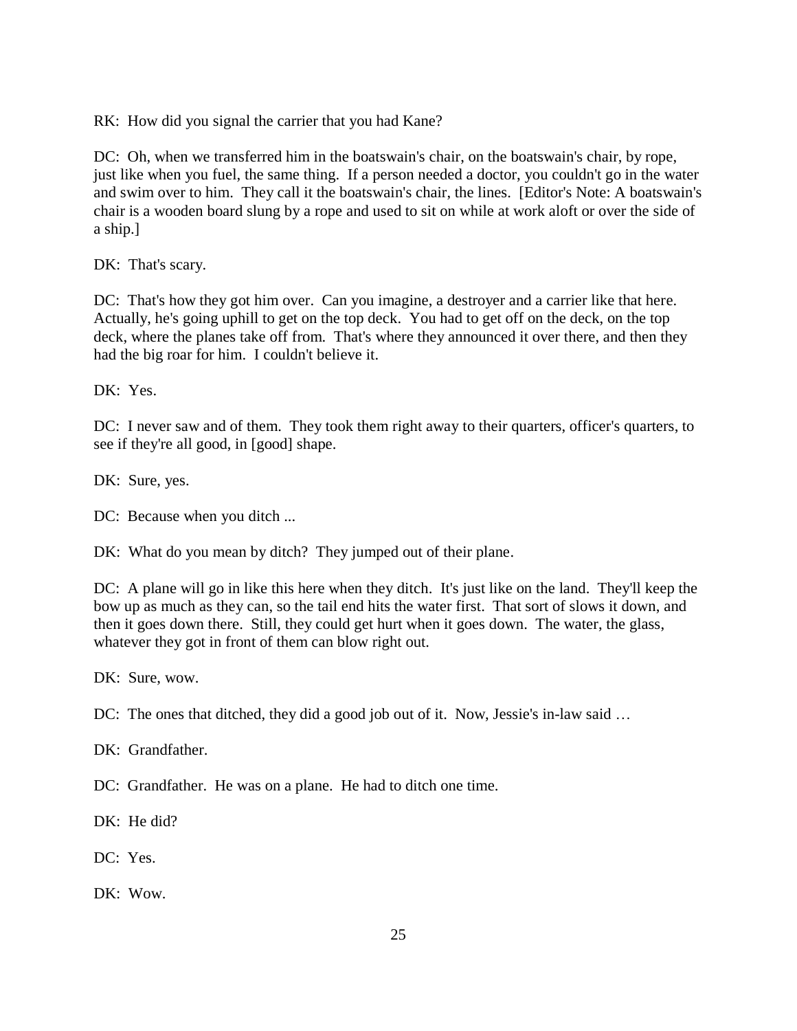RK: How did you signal the carrier that you had Kane?

DC: Oh, when we transferred him in the boatswain's chair, on the boatswain's chair, by rope, just like when you fuel, the same thing. If a person needed a doctor, you couldn't go in the water and swim over to him. They call it the boatswain's chair, the lines. [Editor's Note: A boatswain's chair is a wooden board slung by a rope and used to sit on while at work aloft or over the side of a ship.]

DK: That's scary.

DC: That's how they got him over. Can you imagine, a destroyer and a carrier like that here. Actually, he's going uphill to get on the top deck. You had to get off on the deck, on the top deck, where the planes take off from. That's where they announced it over there, and then they had the big roar for him. I couldn't believe it.

DK: Yes.

DC: I never saw and of them. They took them right away to their quarters, officer's quarters, to see if they're all good, in [good] shape.

DK: Sure, yes.

DC: Because when you ditch ...

DK: What do you mean by ditch? They jumped out of their plane.

DC: A plane will go in like this here when they ditch. It's just like on the land. They'll keep the bow up as much as they can, so the tail end hits the water first. That sort of slows it down, and then it goes down there. Still, they could get hurt when it goes down. The water, the glass, whatever they got in front of them can blow right out.

DK: Sure, wow.

DC: The ones that ditched, they did a good job out of it. Now, Jessie's in-law said ...

DK: Grandfather.

DC: Grandfather. He was on a plane. He had to ditch one time.

DK: He did?

DC: Yes.

DK: Wow.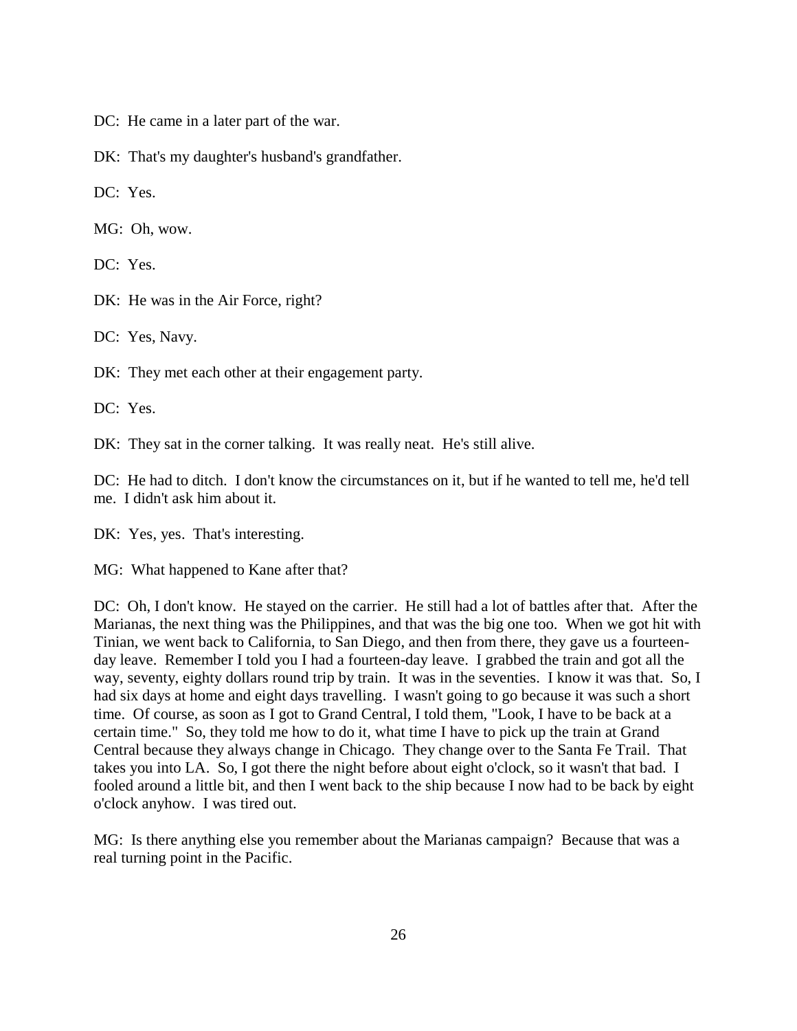DC: He came in a later part of the war.

DK: That's my daughter's husband's grandfather.

DC: Yes.

MG: Oh, wow.

DC: Yes.

DK: He was in the Air Force, right?

DC: Yes, Navy.

DK: They met each other at their engagement party.

DC: Yes.

DK: They sat in the corner talking. It was really neat. He's still alive.

DC: He had to ditch. I don't know the circumstances on it, but if he wanted to tell me, he'd tell me. I didn't ask him about it.

DK: Yes, yes. That's interesting.

MG: What happened to Kane after that?

DC: Oh, I don't know. He stayed on the carrier. He still had a lot of battles after that. After the Marianas, the next thing was the Philippines, and that was the big one too. When we got hit with Tinian, we went back to California, to San Diego, and then from there, they gave us a fourteenday leave. Remember I told you I had a fourteen-day leave. I grabbed the train and got all the way, seventy, eighty dollars round trip by train. It was in the seventies. I know it was that. So, I had six days at home and eight days travelling. I wasn't going to go because it was such a short time. Of course, as soon as I got to Grand Central, I told them, "Look, I have to be back at a certain time." So, they told me how to do it, what time I have to pick up the train at Grand Central because they always change in Chicago. They change over to the Santa Fe Trail. That takes you into LA. So, I got there the night before about eight o'clock, so it wasn't that bad. I fooled around a little bit, and then I went back to the ship because I now had to be back by eight o'clock anyhow. I was tired out.

MG: Is there anything else you remember about the Marianas campaign? Because that was a real turning point in the Pacific.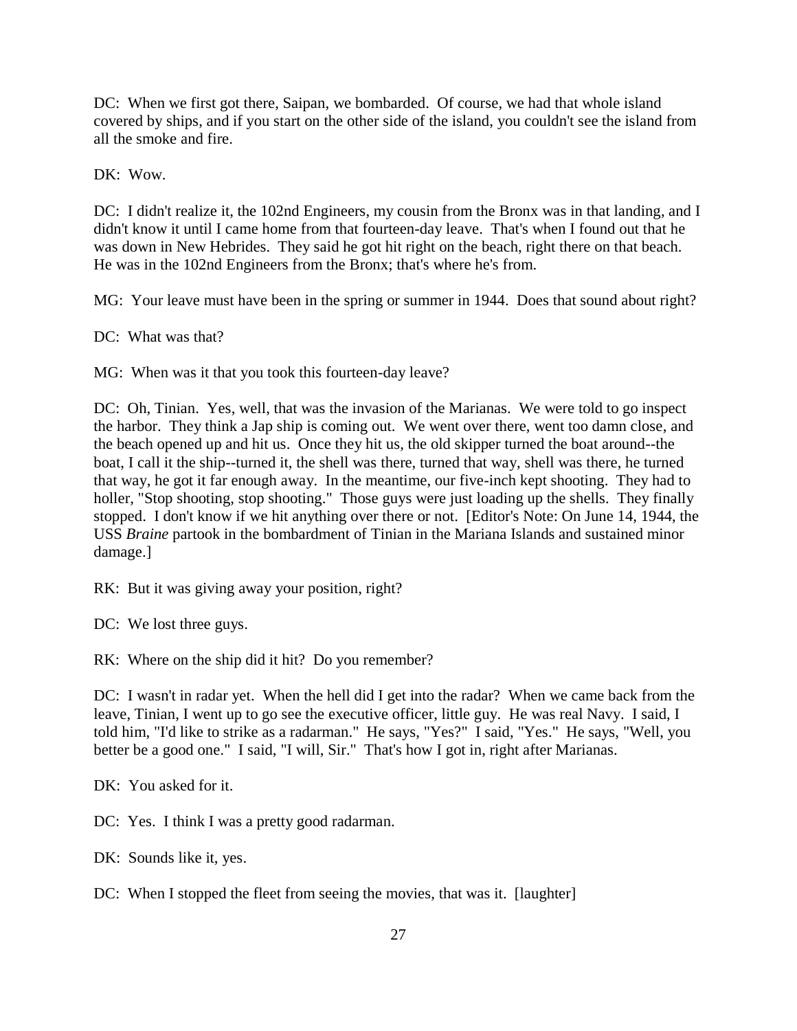DC: When we first got there, Saipan, we bombarded. Of course, we had that whole island covered by ships, and if you start on the other side of the island, you couldn't see the island from all the smoke and fire.

DK: Wow.

DC: I didn't realize it, the 102nd Engineers, my cousin from the Bronx was in that landing, and I didn't know it until I came home from that fourteen-day leave. That's when I found out that he was down in New Hebrides. They said he got hit right on the beach, right there on that beach. He was in the 102nd Engineers from the Bronx; that's where he's from.

MG: Your leave must have been in the spring or summer in 1944. Does that sound about right?

DC: What was that?

MG: When was it that you took this fourteen-day leave?

DC: Oh, Tinian. Yes, well, that was the invasion of the Marianas. We were told to go inspect the harbor. They think a Jap ship is coming out. We went over there, went too damn close, and the beach opened up and hit us. Once they hit us, the old skipper turned the boat around--the boat, I call it the ship--turned it, the shell was there, turned that way, shell was there, he turned that way, he got it far enough away. In the meantime, our five-inch kept shooting. They had to holler, "Stop shooting, stop shooting." Those guys were just loading up the shells. They finally stopped. I don't know if we hit anything over there or not. [Editor's Note: On June 14, 1944, the USS *Braine* partook in the bombardment of Tinian in the Mariana Islands and sustained minor damage.]

RK: But it was giving away your position, right?

DC: We lost three guys.

RK: Where on the ship did it hit? Do you remember?

DC: I wasn't in radar yet. When the hell did I get into the radar? When we came back from the leave, Tinian, I went up to go see the executive officer, little guy. He was real Navy. I said, I told him, "I'd like to strike as a radarman." He says, "Yes?" I said, "Yes." He says, "Well, you better be a good one." I said, "I will, Sir." That's how I got in, right after Marianas.

DK: You asked for it.

DC: Yes. I think I was a pretty good radarman.

DK: Sounds like it, yes.

DC: When I stopped the fleet from seeing the movies, that was it. [laughter]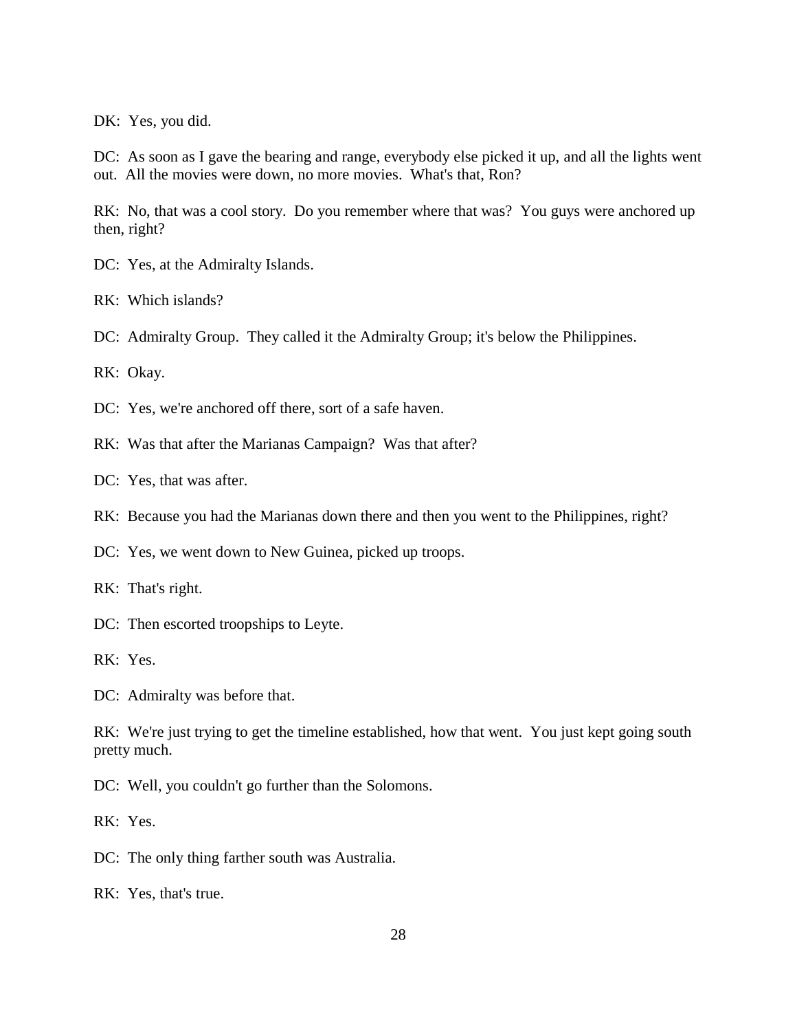DK: Yes, you did.

DC: As soon as I gave the bearing and range, everybody else picked it up, and all the lights went out. All the movies were down, no more movies. What's that, Ron?

RK: No, that was a cool story. Do you remember where that was? You guys were anchored up then, right?

DC: Yes, at the Admiralty Islands.

RK: Which islands?

DC: Admiralty Group. They called it the Admiralty Group; it's below the Philippines.

RK: Okay.

DC: Yes, we're anchored off there, sort of a safe haven.

RK: Was that after the Marianas Campaign? Was that after?

DC: Yes, that was after.

RK: Because you had the Marianas down there and then you went to the Philippines, right?

DC: Yes, we went down to New Guinea, picked up troops.

RK: That's right.

DC: Then escorted troopships to Leyte.

RK: Yes.

DC: Admiralty was before that.

RK: We're just trying to get the timeline established, how that went. You just kept going south pretty much.

DC: Well, you couldn't go further than the Solomons.

RK: Yes.

DC: The only thing farther south was Australia.

RK: Yes, that's true.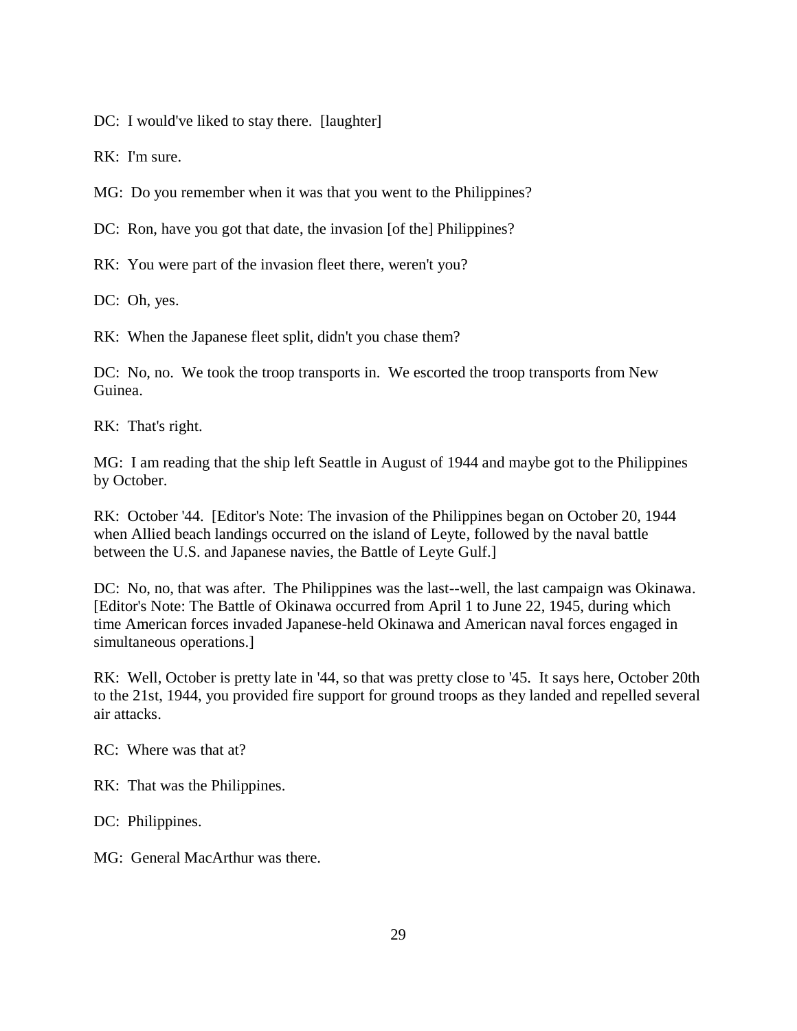DC: I would've liked to stay there. [laughter]

RK: I'm sure.

MG: Do you remember when it was that you went to the Philippines?

DC: Ron, have you got that date, the invasion [of the] Philippines?

RK: You were part of the invasion fleet there, weren't you?

DC: Oh, yes.

RK: When the Japanese fleet split, didn't you chase them?

DC: No, no. We took the troop transports in. We escorted the troop transports from New Guinea.

RK: That's right.

MG: I am reading that the ship left Seattle in August of 1944 and maybe got to the Philippines by October.

RK: October '44. [Editor's Note: The invasion of the Philippines began on October 20, 1944 when Allied beach landings occurred on the island of Leyte, followed by the naval battle between the U.S. and Japanese navies, the Battle of Leyte Gulf.]

DC: No, no, that was after. The Philippines was the last--well, the last campaign was Okinawa. [Editor's Note: The Battle of Okinawa occurred from April 1 to June 22, 1945, during which time American forces invaded Japanese-held Okinawa and American naval forces engaged in simultaneous operations.]

RK: Well, October is pretty late in '44, so that was pretty close to '45. It says here, October 20th to the 21st, 1944, you provided fire support for ground troops as they landed and repelled several air attacks.

RC: Where was that at?

RK: That was the Philippines.

DC: Philippines.

MG: General MacArthur was there.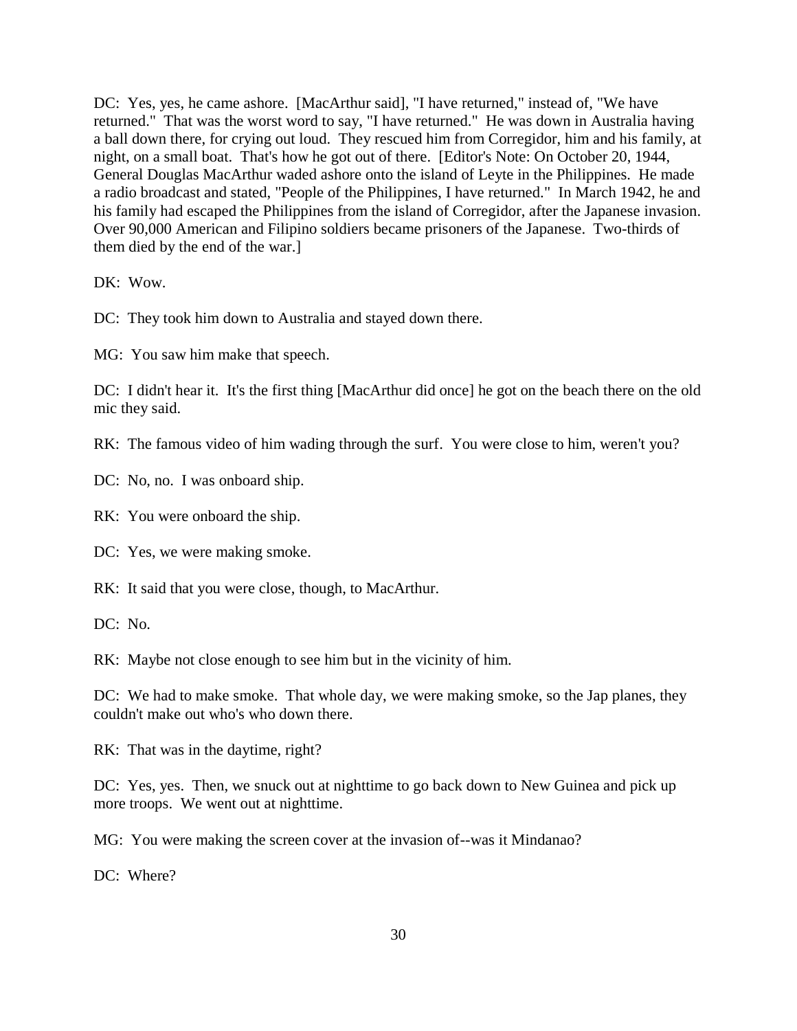DC: Yes, yes, he came ashore. [MacArthur said], "I have returned," instead of, "We have returned." That was the worst word to say, "I have returned." He was down in Australia having a ball down there, for crying out loud. They rescued him from Corregidor, him and his family, at night, on a small boat. That's how he got out of there. [Editor's Note: On October 20, 1944, General Douglas MacArthur waded ashore onto the island of Leyte in the Philippines. He made a radio broadcast and stated, "People of the Philippines, I have returned." In March 1942, he and his family had escaped the Philippines from the island of Corregidor, after the Japanese invasion. Over 90,000 American and Filipino soldiers became prisoners of the Japanese. Two-thirds of them died by the end of the war.]

DK: Wow.

DC: They took him down to Australia and stayed down there.

MG: You saw him make that speech.

DC: I didn't hear it. It's the first thing [MacArthur did once] he got on the beach there on the old mic they said.

RK: The famous video of him wading through the surf. You were close to him, weren't you?

DC: No, no. I was onboard ship.

RK: You were onboard the ship.

DC: Yes, we were making smoke.

RK: It said that you were close, though, to MacArthur.

DC: No.

RK: Maybe not close enough to see him but in the vicinity of him.

DC: We had to make smoke. That whole day, we were making smoke, so the Jap planes, they couldn't make out who's who down there.

RK: That was in the daytime, right?

DC: Yes, yes. Then, we snuck out at nighttime to go back down to New Guinea and pick up more troops. We went out at nighttime.

MG: You were making the screen cover at the invasion of--was it Mindanao?

DC: Where?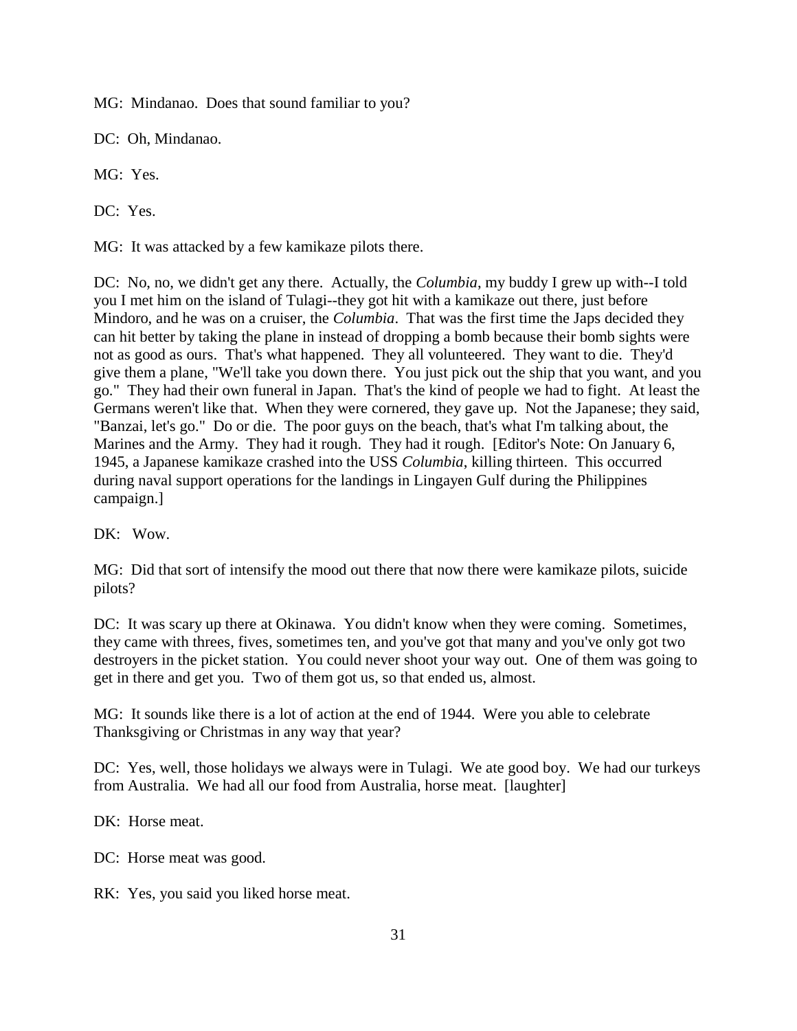MG: Mindanao. Does that sound familiar to you?

DC: Oh, Mindanao.

MG: Yes.

DC: Yes.

MG: It was attacked by a few kamikaze pilots there.

DC: No, no, we didn't get any there. Actually, the *Columbia*, my buddy I grew up with--I told you I met him on the island of Tulagi--they got hit with a kamikaze out there, just before Mindoro, and he was on a cruiser, the *Columbia*. That was the first time the Japs decided they can hit better by taking the plane in instead of dropping a bomb because their bomb sights were not as good as ours. That's what happened. They all volunteered. They want to die. They'd give them a plane, "We'll take you down there. You just pick out the ship that you want, and you go." They had their own funeral in Japan. That's the kind of people we had to fight. At least the Germans weren't like that. When they were cornered, they gave up. Not the Japanese; they said, "Banzai, let's go." Do or die. The poor guys on the beach, that's what I'm talking about, the Marines and the Army. They had it rough. They had it rough. [Editor's Note: On January 6, 1945, a Japanese kamikaze crashed into the USS *Columbia*, killing thirteen. This occurred during naval support operations for the landings in Lingayen Gulf during the Philippines campaign.]

DK: Wow.

MG: Did that sort of intensify the mood out there that now there were kamikaze pilots, suicide pilots?

DC: It was scary up there at Okinawa. You didn't know when they were coming. Sometimes, they came with threes, fives, sometimes ten, and you've got that many and you've only got two destroyers in the picket station. You could never shoot your way out. One of them was going to get in there and get you. Two of them got us, so that ended us, almost.

MG: It sounds like there is a lot of action at the end of 1944. Were you able to celebrate Thanksgiving or Christmas in any way that year?

DC: Yes, well, those holidays we always were in Tulagi. We ate good boy. We had our turkeys from Australia. We had all our food from Australia, horse meat. [laughter]

DK: Horse meat.

DC: Horse meat was good.

RK: Yes, you said you liked horse meat.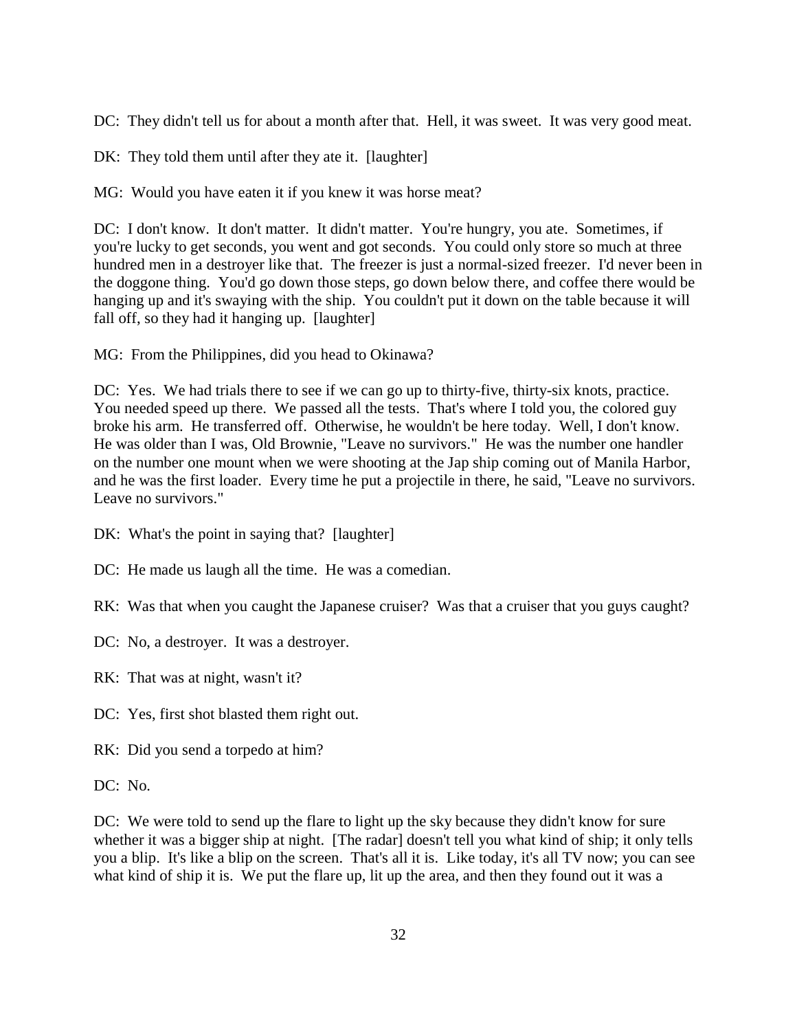DC: They didn't tell us for about a month after that. Hell, it was sweet. It was very good meat.

DK: They told them until after they ate it. [laughter]

MG: Would you have eaten it if you knew it was horse meat?

DC: I don't know. It don't matter. It didn't matter. You're hungry, you ate. Sometimes, if you're lucky to get seconds, you went and got seconds. You could only store so much at three hundred men in a destroyer like that. The freezer is just a normal-sized freezer. I'd never been in the doggone thing. You'd go down those steps, go down below there, and coffee there would be hanging up and it's swaying with the ship. You couldn't put it down on the table because it will fall off, so they had it hanging up. [laughter]

MG: From the Philippines, did you head to Okinawa?

DC: Yes. We had trials there to see if we can go up to thirty-five, thirty-six knots, practice. You needed speed up there. We passed all the tests. That's where I told you, the colored guy broke his arm. He transferred off. Otherwise, he wouldn't be here today. Well, I don't know. He was older than I was, Old Brownie, "Leave no survivors." He was the number one handler on the number one mount when we were shooting at the Jap ship coming out of Manila Harbor, and he was the first loader. Every time he put a projectile in there, he said, "Leave no survivors. Leave no survivors."

- DK: What's the point in saying that? [laughter]
- DC: He made us laugh all the time. He was a comedian.
- RK: Was that when you caught the Japanese cruiser? Was that a cruiser that you guys caught?
- DC: No, a destroyer. It was a destroyer.
- RK: That was at night, wasn't it?
- DC: Yes, first shot blasted them right out.
- RK: Did you send a torpedo at him?

DC: No.

DC: We were told to send up the flare to light up the sky because they didn't know for sure whether it was a bigger ship at night. [The radar] doesn't tell you what kind of ship; it only tells you a blip. It's like a blip on the screen. That's all it is. Like today, it's all TV now; you can see what kind of ship it is. We put the flare up, lit up the area, and then they found out it was a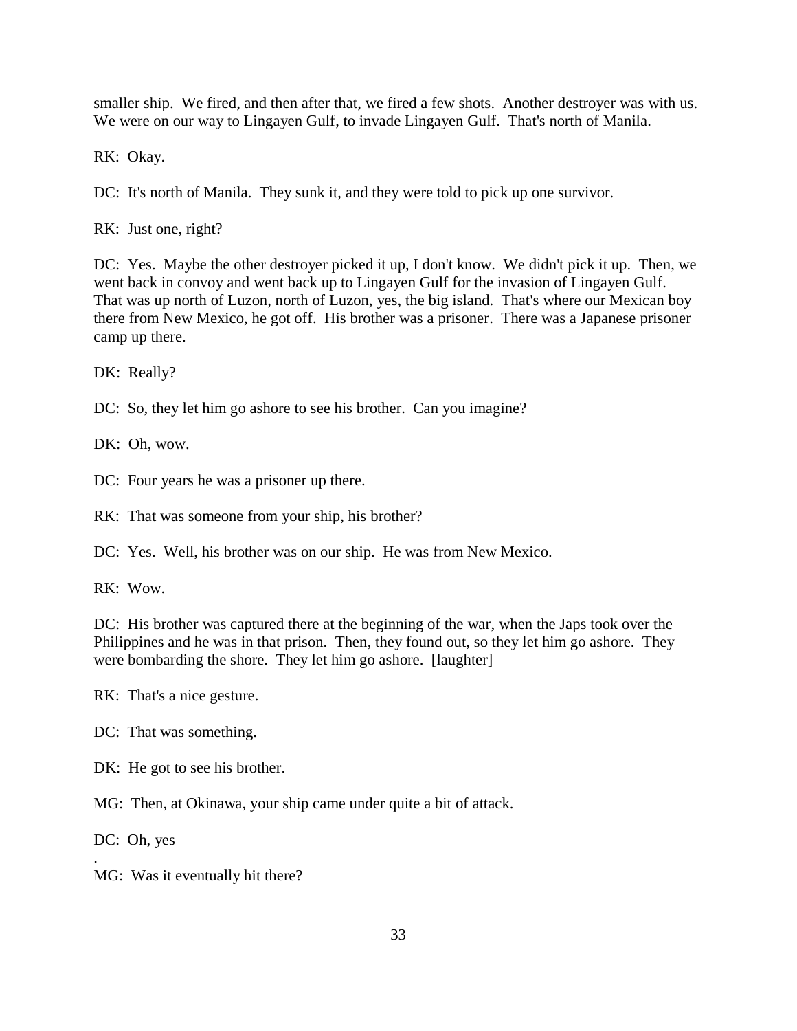smaller ship. We fired, and then after that, we fired a few shots. Another destroyer was with us. We were on our way to Lingayen Gulf, to invade Lingayen Gulf. That's north of Manila.

RK: Okay.

DC: It's north of Manila. They sunk it, and they were told to pick up one survivor.

RK: Just one, right?

DC: Yes. Maybe the other destroyer picked it up, I don't know. We didn't pick it up. Then, we went back in convoy and went back up to Lingayen Gulf for the invasion of Lingayen Gulf. That was up north of Luzon, north of Luzon, yes, the big island. That's where our Mexican boy there from New Mexico, he got off. His brother was a prisoner. There was a Japanese prisoner camp up there.

DK: Really?

DC: So, they let him go ashore to see his brother. Can you imagine?

DK: Oh, wow.

DC: Four years he was a prisoner up there.

RK: That was someone from your ship, his brother?

DC: Yes. Well, his brother was on our ship. He was from New Mexico.

RK: Wow.

DC: His brother was captured there at the beginning of the war, when the Japs took over the Philippines and he was in that prison. Then, they found out, so they let him go ashore. They were bombarding the shore. They let him go ashore. [laughter]

RK: That's a nice gesture.

DC: That was something.

DK: He got to see his brother.

MG: Then, at Okinawa, your ship came under quite a bit of attack.

DC: Oh, yes

.

MG: Was it eventually hit there?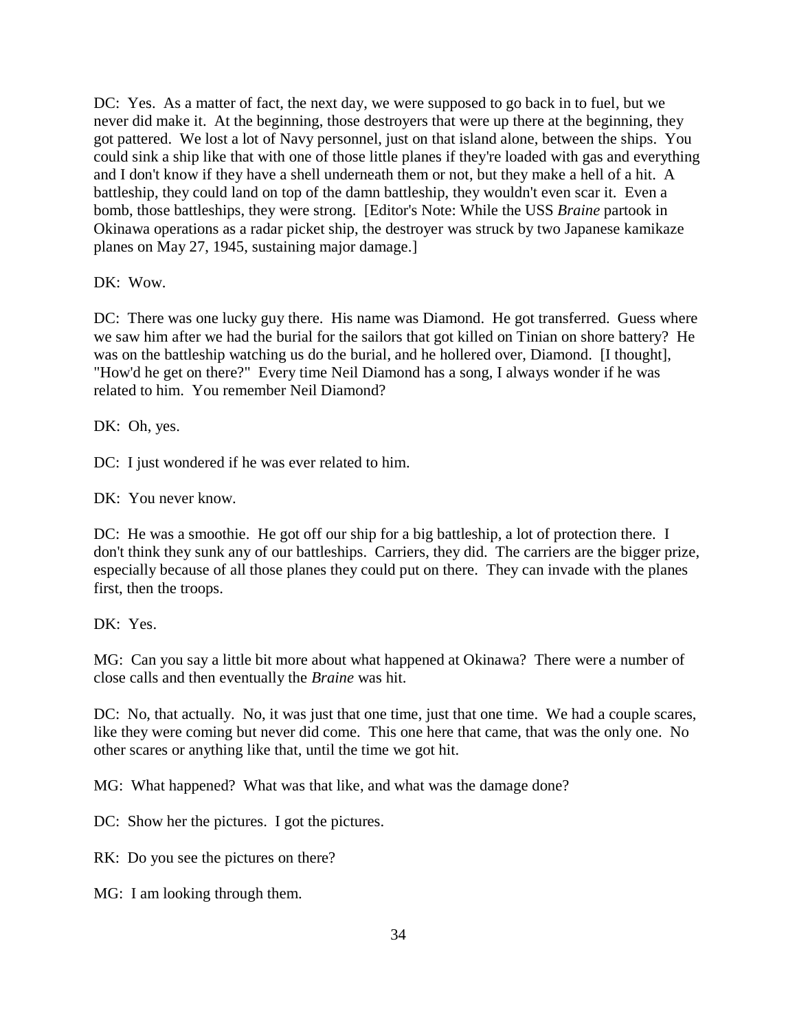DC: Yes. As a matter of fact, the next day, we were supposed to go back in to fuel, but we never did make it. At the beginning, those destroyers that were up there at the beginning, they got pattered. We lost a lot of Navy personnel, just on that island alone, between the ships. You could sink a ship like that with one of those little planes if they're loaded with gas and everything and I don't know if they have a shell underneath them or not, but they make a hell of a hit. A battleship, they could land on top of the damn battleship, they wouldn't even scar it. Even a bomb, those battleships, they were strong. [Editor's Note: While the USS *Braine* partook in Okinawa operations as a radar picket ship, the destroyer was struck by two Japanese kamikaze planes on May 27, 1945, sustaining major damage.]

DK: Wow.

DC: There was one lucky guy there. His name was Diamond. He got transferred. Guess where we saw him after we had the burial for the sailors that got killed on Tinian on shore battery? He was on the battleship watching us do the burial, and he hollered over, Diamond. [I thought], "How'd he get on there?" Every time Neil Diamond has a song, I always wonder if he was related to him. You remember Neil Diamond?

DK: Oh, yes.

DC: I just wondered if he was ever related to him.

DK: You never know.

DC: He was a smoothie. He got off our ship for a big battleship, a lot of protection there. I don't think they sunk any of our battleships. Carriers, they did. The carriers are the bigger prize, especially because of all those planes they could put on there. They can invade with the planes first, then the troops.

DK: Yes.

MG: Can you say a little bit more about what happened at Okinawa? There were a number of close calls and then eventually the *Braine* was hit.

DC: No, that actually. No, it was just that one time, just that one time. We had a couple scares, like they were coming but never did come. This one here that came, that was the only one. No other scares or anything like that, until the time we got hit.

MG: What happened? What was that like, and what was the damage done?

DC: Show her the pictures. I got the pictures.

RK: Do you see the pictures on there?

MG: I am looking through them.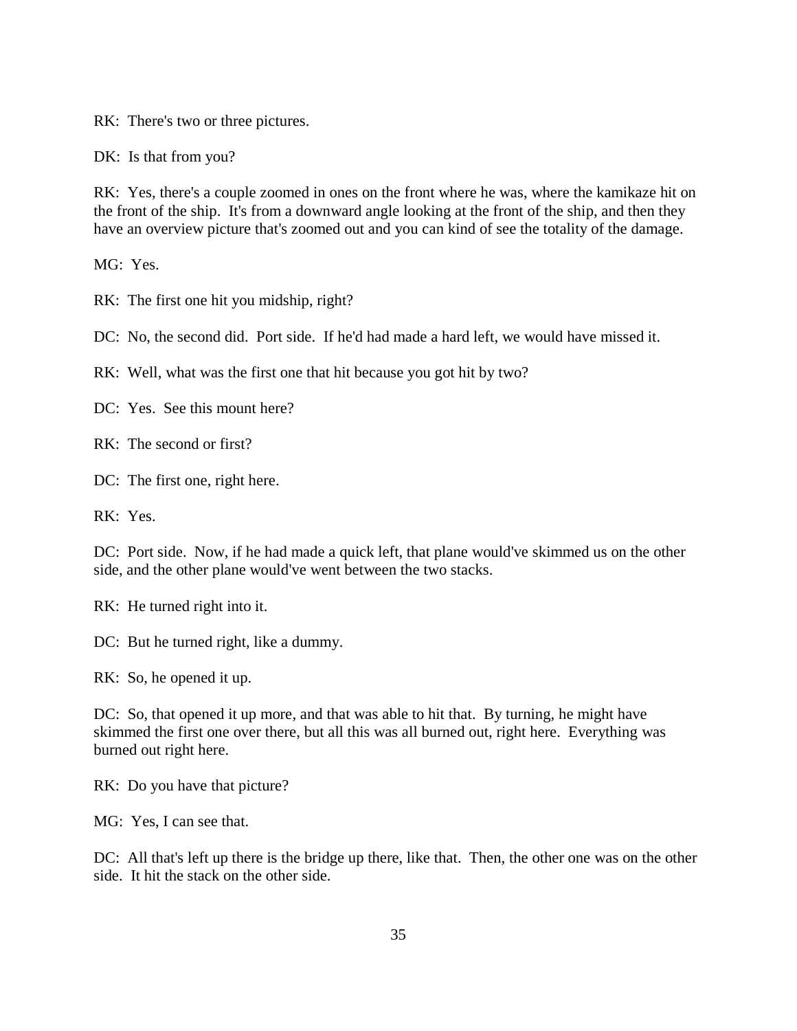RK: There's two or three pictures.

DK: Is that from you?

RK: Yes, there's a couple zoomed in ones on the front where he was, where the kamikaze hit on the front of the ship. It's from a downward angle looking at the front of the ship, and then they have an overview picture that's zoomed out and you can kind of see the totality of the damage.

MG: Yes.

RK: The first one hit you midship, right?

DC: No, the second did. Port side. If he'd had made a hard left, we would have missed it.

RK: Well, what was the first one that hit because you got hit by two?

DC: Yes. See this mount here?

RK: The second or first?

DC: The first one, right here.

RK: Yes.

DC: Port side. Now, if he had made a quick left, that plane would've skimmed us on the other side, and the other plane would've went between the two stacks.

RK: He turned right into it.

DC: But he turned right, like a dummy.

RK: So, he opened it up.

DC: So, that opened it up more, and that was able to hit that. By turning, he might have skimmed the first one over there, but all this was all burned out, right here. Everything was burned out right here.

RK: Do you have that picture?

MG: Yes, I can see that.

DC: All that's left up there is the bridge up there, like that. Then, the other one was on the other side. It hit the stack on the other side.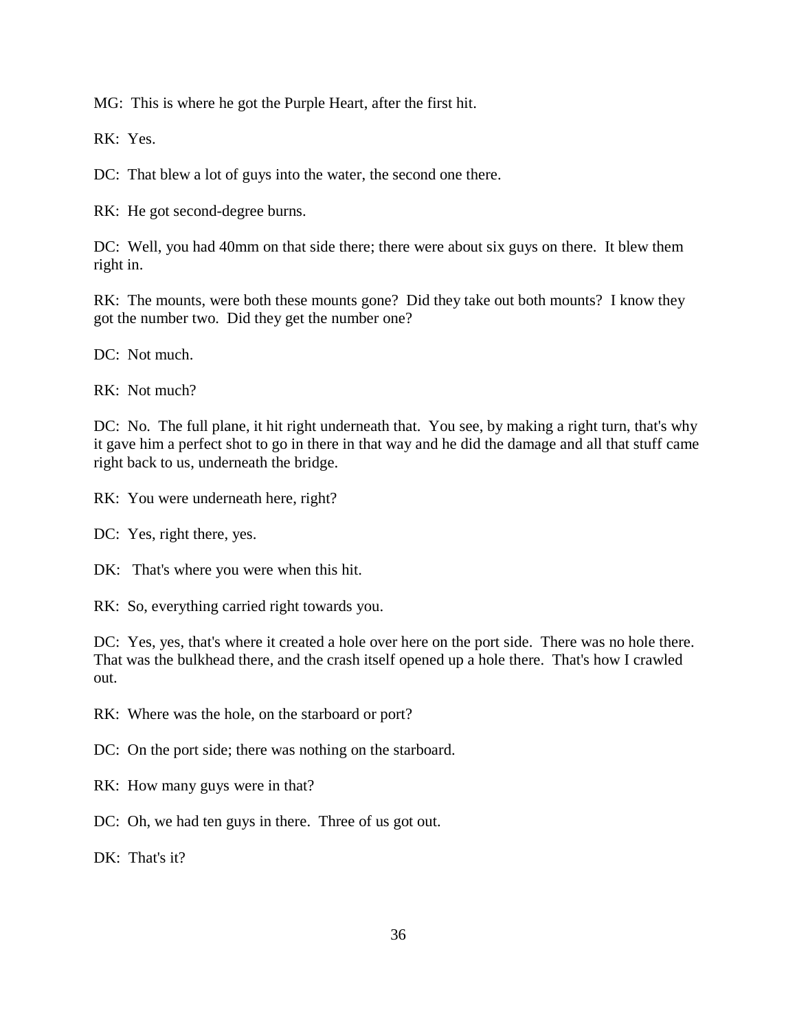MG: This is where he got the Purple Heart, after the first hit.

RK: Yes.

DC: That blew a lot of guys into the water, the second one there.

RK: He got second-degree burns.

DC: Well, you had 40mm on that side there; there were about six guys on there. It blew them right in.

RK: The mounts, were both these mounts gone? Did they take out both mounts? I know they got the number two. Did they get the number one?

DC: Not much.

RK: Not much?

DC: No. The full plane, it hit right underneath that. You see, by making a right turn, that's why it gave him a perfect shot to go in there in that way and he did the damage and all that stuff came right back to us, underneath the bridge.

RK: You were underneath here, right?

DC: Yes, right there, yes.

DK: That's where you were when this hit.

RK: So, everything carried right towards you.

DC: Yes, yes, that's where it created a hole over here on the port side. There was no hole there. That was the bulkhead there, and the crash itself opened up a hole there. That's how I crawled out.

RK: Where was the hole, on the starboard or port?

DC: On the port side; there was nothing on the starboard.

RK: How many guys were in that?

DC: Oh, we had ten guys in there. Three of us got out.

DK: That's it?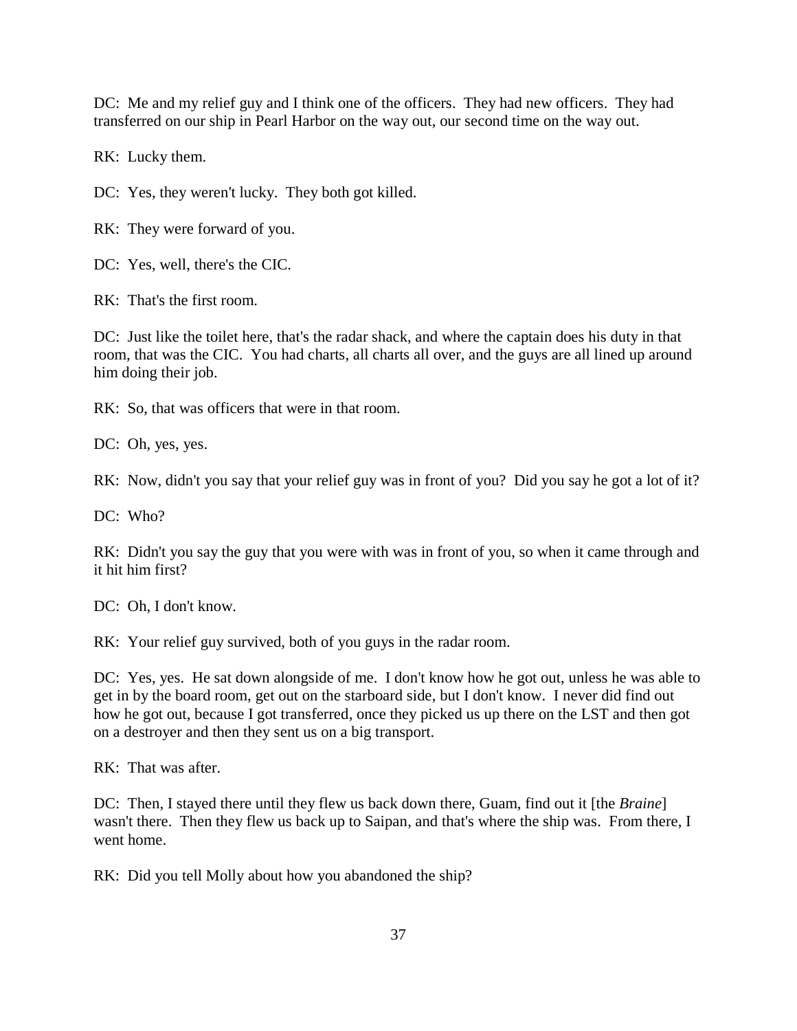DC: Me and my relief guy and I think one of the officers. They had new officers. They had transferred on our ship in Pearl Harbor on the way out, our second time on the way out.

RK: Lucky them.

DC: Yes, they weren't lucky. They both got killed.

RK: They were forward of you.

DC: Yes, well, there's the CIC.

RK: That's the first room.

DC: Just like the toilet here, that's the radar shack, and where the captain does his duty in that room, that was the CIC. You had charts, all charts all over, and the guys are all lined up around him doing their job.

RK: So, that was officers that were in that room.

DC: Oh, yes, yes.

RK: Now, didn't you say that your relief guy was in front of you? Did you say he got a lot of it?

DC: Who?

RK: Didn't you say the guy that you were with was in front of you, so when it came through and it hit him first?

DC: Oh, I don't know.

RK: Your relief guy survived, both of you guys in the radar room.

DC: Yes, yes. He sat down alongside of me. I don't know how he got out, unless he was able to get in by the board room, get out on the starboard side, but I don't know. I never did find out how he got out, because I got transferred, once they picked us up there on the LST and then got on a destroyer and then they sent us on a big transport.

RK: That was after.

DC: Then, I stayed there until they flew us back down there, Guam, find out it [the *Braine*] wasn't there. Then they flew us back up to Saipan, and that's where the ship was. From there, I went home.

RK: Did you tell Molly about how you abandoned the ship?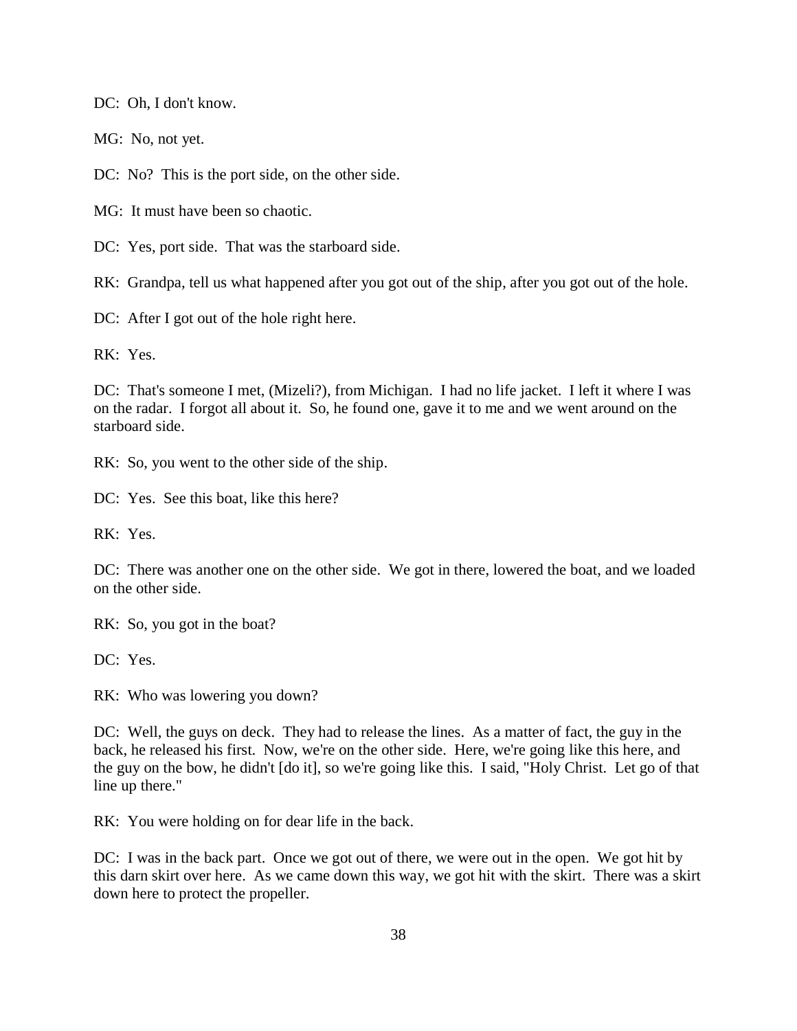DC: Oh, I don't know.

MG: No, not yet.

DC: No? This is the port side, on the other side.

MG: It must have been so chaotic.

DC: Yes, port side. That was the starboard side.

RK: Grandpa, tell us what happened after you got out of the ship, after you got out of the hole.

DC: After I got out of the hole right here.

RK: Yes.

DC: That's someone I met, (Mizeli?), from Michigan. I had no life jacket. I left it where I was on the radar. I forgot all about it. So, he found one, gave it to me and we went around on the starboard side.

RK: So, you went to the other side of the ship.

DC: Yes. See this boat, like this here?

RK: Yes.

DC: There was another one on the other side. We got in there, lowered the boat, and we loaded on the other side.

RK: So, you got in the boat?

DC: Yes.

RK: Who was lowering you down?

DC: Well, the guys on deck. They had to release the lines. As a matter of fact, the guy in the back, he released his first. Now, we're on the other side. Here, we're going like this here, and the guy on the bow, he didn't [do it], so we're going like this. I said, "Holy Christ. Let go of that line up there."

RK: You were holding on for dear life in the back.

DC: I was in the back part. Once we got out of there, we were out in the open. We got hit by this darn skirt over here. As we came down this way, we got hit with the skirt. There was a skirt down here to protect the propeller.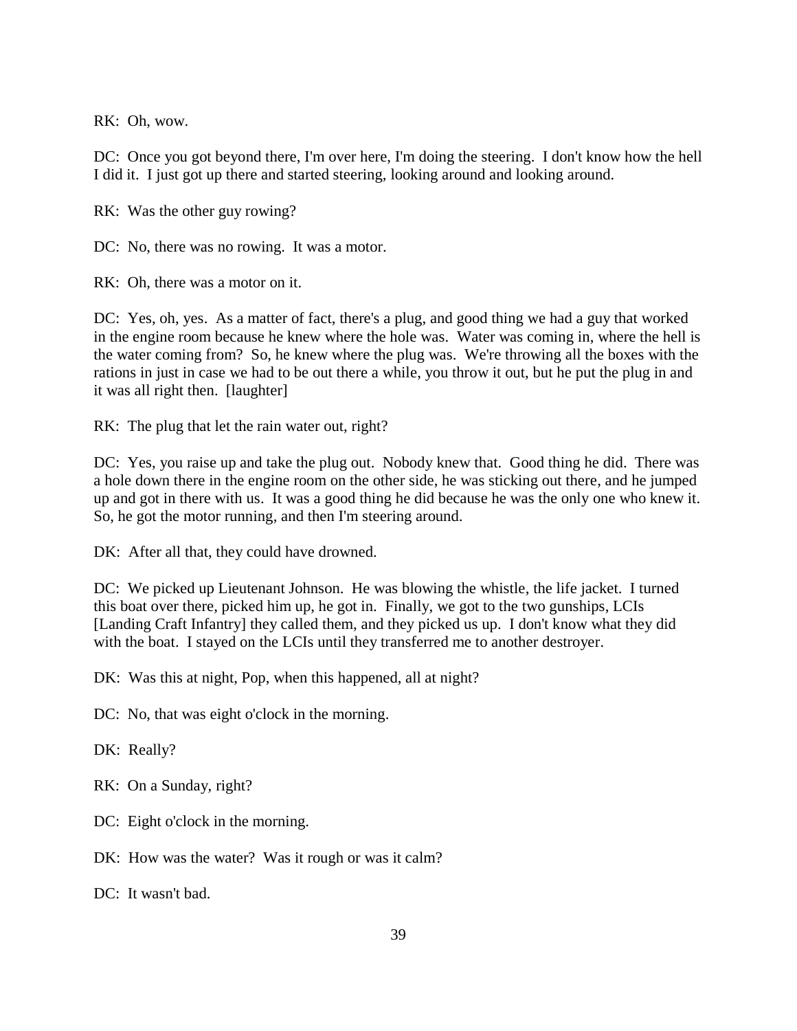RK: Oh, wow.

DC: Once you got beyond there, I'm over here, I'm doing the steering. I don't know how the hell I did it. I just got up there and started steering, looking around and looking around.

RK: Was the other guy rowing?

DC: No, there was no rowing. It was a motor.

RK: Oh, there was a motor on it.

DC: Yes, oh, yes. As a matter of fact, there's a plug, and good thing we had a guy that worked in the engine room because he knew where the hole was. Water was coming in, where the hell is the water coming from? So, he knew where the plug was. We're throwing all the boxes with the rations in just in case we had to be out there a while, you throw it out, but he put the plug in and it was all right then. [laughter]

RK: The plug that let the rain water out, right?

DC: Yes, you raise up and take the plug out. Nobody knew that. Good thing he did. There was a hole down there in the engine room on the other side, he was sticking out there, and he jumped up and got in there with us. It was a good thing he did because he was the only one who knew it. So, he got the motor running, and then I'm steering around.

DK: After all that, they could have drowned.

DC: We picked up Lieutenant Johnson. He was blowing the whistle, the life jacket. I turned this boat over there, picked him up, he got in. Finally, we got to the two gunships, LCIs [Landing Craft Infantry] they called them, and they picked us up. I don't know what they did with the boat. I stayed on the LCIs until they transferred me to another destroyer.

DK: Was this at night, Pop, when this happened, all at night?

DC: No, that was eight o'clock in the morning.

DK: Really?

RK: On a Sunday, right?

DC: Eight o'clock in the morning.

DK: How was the water? Was it rough or was it calm?

DC: It wasn't bad.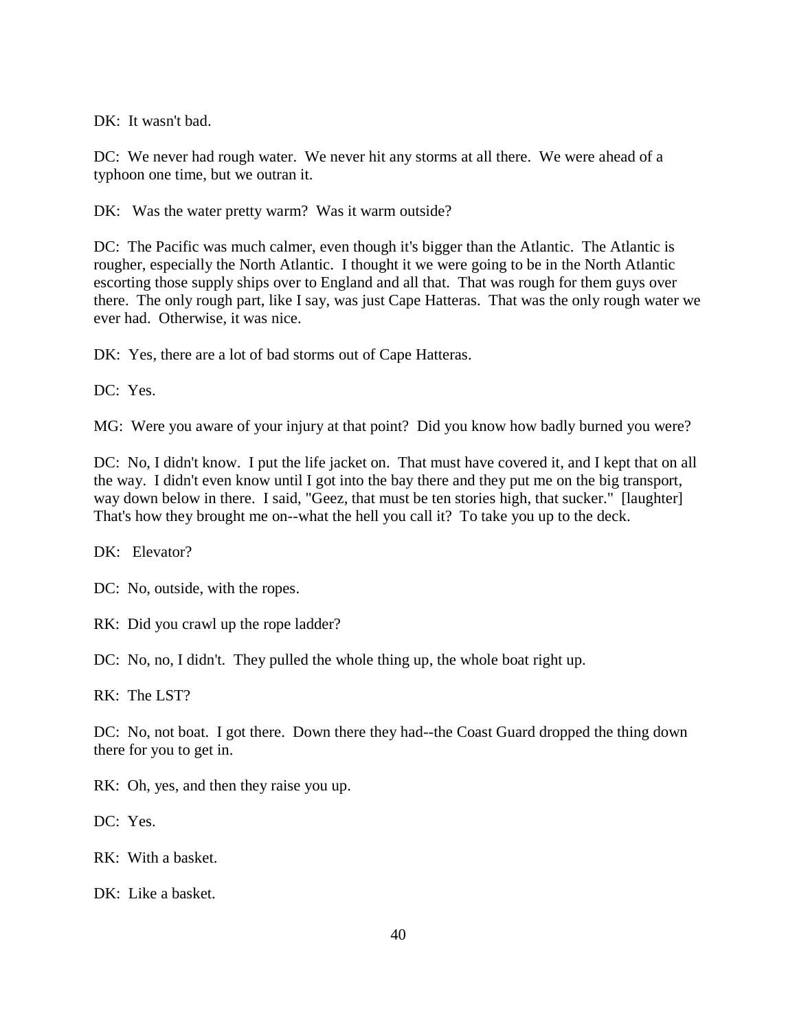DK: It wasn't bad.

DC: We never had rough water. We never hit any storms at all there. We were ahead of a typhoon one time, but we outran it.

DK: Was the water pretty warm? Was it warm outside?

DC: The Pacific was much calmer, even though it's bigger than the Atlantic. The Atlantic is rougher, especially the North Atlantic. I thought it we were going to be in the North Atlantic escorting those supply ships over to England and all that. That was rough for them guys over there. The only rough part, like I say, was just Cape Hatteras. That was the only rough water we ever had. Otherwise, it was nice.

DK: Yes, there are a lot of bad storms out of Cape Hatteras.

DC: Yes.

MG: Were you aware of your injury at that point? Did you know how badly burned you were?

DC: No, I didn't know. I put the life jacket on. That must have covered it, and I kept that on all the way. I didn't even know until I got into the bay there and they put me on the big transport, way down below in there. I said, "Geez, that must be ten stories high, that sucker." [laughter] That's how they brought me on--what the hell you call it? To take you up to the deck.

DK: Elevator?

DC: No, outside, with the ropes.

RK: Did you crawl up the rope ladder?

DC: No, no, I didn't. They pulled the whole thing up, the whole boat right up.

RK: The LST?

DC: No, not boat. I got there. Down there they had--the Coast Guard dropped the thing down there for you to get in.

RK: Oh, yes, and then they raise you up.

DC: Yes.

RK: With a basket.

DK: Like a basket.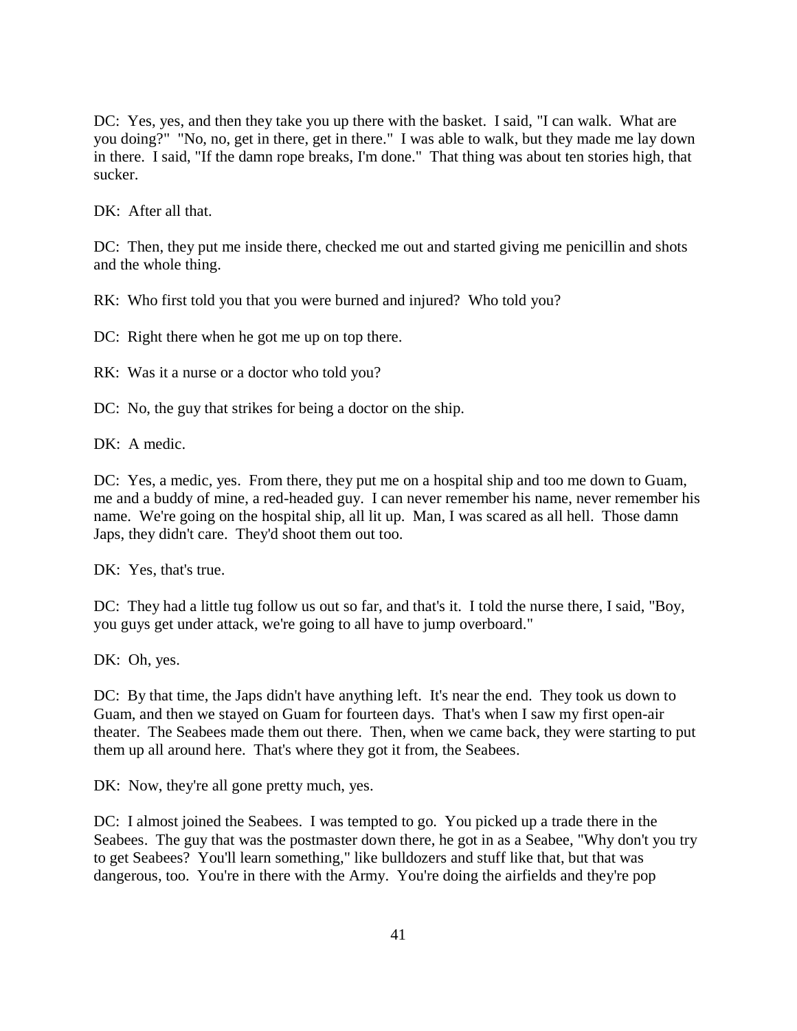DC: Yes, yes, and then they take you up there with the basket. I said, "I can walk. What are you doing?" "No, no, get in there, get in there." I was able to walk, but they made me lay down in there. I said, "If the damn rope breaks, I'm done." That thing was about ten stories high, that sucker.

DK: After all that.

DC: Then, they put me inside there, checked me out and started giving me penicillin and shots and the whole thing.

RK: Who first told you that you were burned and injured? Who told you?

DC: Right there when he got me up on top there.

RK: Was it a nurse or a doctor who told you?

DC: No, the guy that strikes for being a doctor on the ship.

DK: A medic.

DC: Yes, a medic, yes. From there, they put me on a hospital ship and too me down to Guam, me and a buddy of mine, a red-headed guy. I can never remember his name, never remember his name. We're going on the hospital ship, all lit up. Man, I was scared as all hell. Those damn Japs, they didn't care. They'd shoot them out too.

DK: Yes, that's true.

DC: They had a little tug follow us out so far, and that's it. I told the nurse there, I said, "Boy, you guys get under attack, we're going to all have to jump overboard."

DK: Oh, yes.

DC: By that time, the Japs didn't have anything left. It's near the end. They took us down to Guam, and then we stayed on Guam for fourteen days. That's when I saw my first open-air theater. The Seabees made them out there. Then, when we came back, they were starting to put them up all around here. That's where they got it from, the Seabees.

DK: Now, they're all gone pretty much, yes.

DC: I almost joined the Seabees. I was tempted to go. You picked up a trade there in the Seabees. The guy that was the postmaster down there, he got in as a Seabee, "Why don't you try to get Seabees? You'll learn something," like bulldozers and stuff like that, but that was dangerous, too. You're in there with the Army. You're doing the airfields and they're pop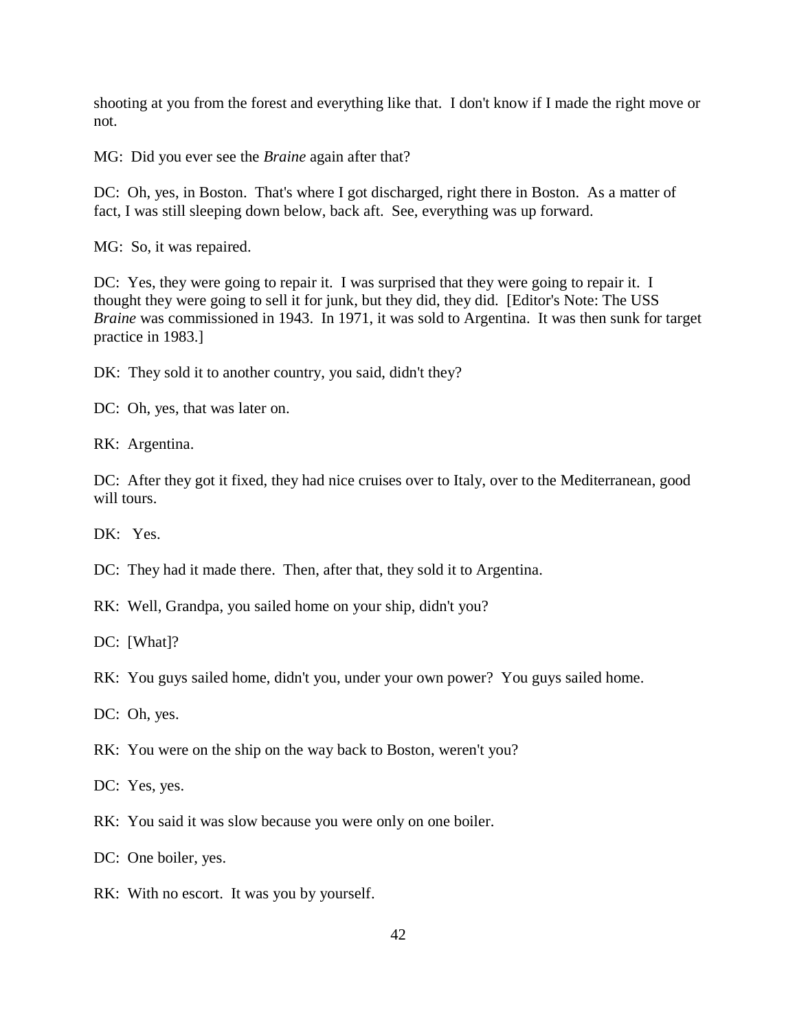shooting at you from the forest and everything like that. I don't know if I made the right move or not.

MG: Did you ever see the *Braine* again after that?

DC: Oh, yes, in Boston. That's where I got discharged, right there in Boston. As a matter of fact, I was still sleeping down below, back aft. See, everything was up forward.

MG: So, it was repaired.

DC: Yes, they were going to repair it. I was surprised that they were going to repair it. I thought they were going to sell it for junk, but they did, they did. [Editor's Note: The USS *Braine* was commissioned in 1943. In 1971, it was sold to Argentina. It was then sunk for target practice in 1983.]

DK: They sold it to another country, you said, didn't they?

DC: Oh, yes, that was later on.

RK: Argentina.

DC: After they got it fixed, they had nice cruises over to Italy, over to the Mediterranean, good will tours.

DK: Yes.

DC: They had it made there. Then, after that, they sold it to Argentina.

RK: Well, Grandpa, you sailed home on your ship, didn't you?

DC: [What]?

RK: You guys sailed home, didn't you, under your own power? You guys sailed home.

DC: Oh, yes.

RK: You were on the ship on the way back to Boston, weren't you?

DC: Yes, yes.

RK: You said it was slow because you were only on one boiler.

DC: One boiler, yes.

RK: With no escort. It was you by yourself.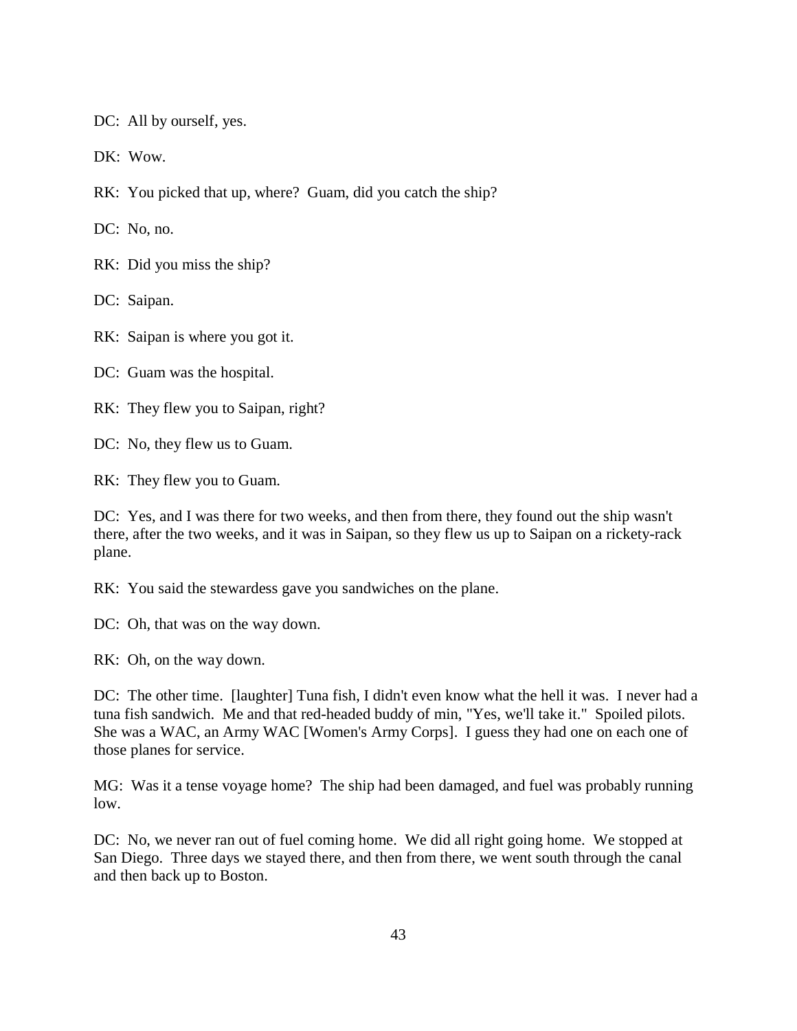DC: All by ourself, yes.

DK: Wow.

RK: You picked that up, where? Guam, did you catch the ship?

DC: No, no.

RK: Did you miss the ship?

DC: Saipan.

RK: Saipan is where you got it.

DC: Guam was the hospital.

RK: They flew you to Saipan, right?

DC: No, they flew us to Guam.

RK: They flew you to Guam.

DC: Yes, and I was there for two weeks, and then from there, they found out the ship wasn't there, after the two weeks, and it was in Saipan, so they flew us up to Saipan on a rickety-rack plane.

RK: You said the stewardess gave you sandwiches on the plane.

DC: Oh, that was on the way down.

RK: Oh, on the way down.

DC: The other time. [laughter] Tuna fish, I didn't even know what the hell it was. I never had a tuna fish sandwich. Me and that red-headed buddy of min, "Yes, we'll take it." Spoiled pilots. She was a WAC, an Army WAC [Women's Army Corps]. I guess they had one on each one of those planes for service.

MG: Was it a tense voyage home? The ship had been damaged, and fuel was probably running low.

DC: No, we never ran out of fuel coming home. We did all right going home. We stopped at San Diego. Three days we stayed there, and then from there, we went south through the canal and then back up to Boston.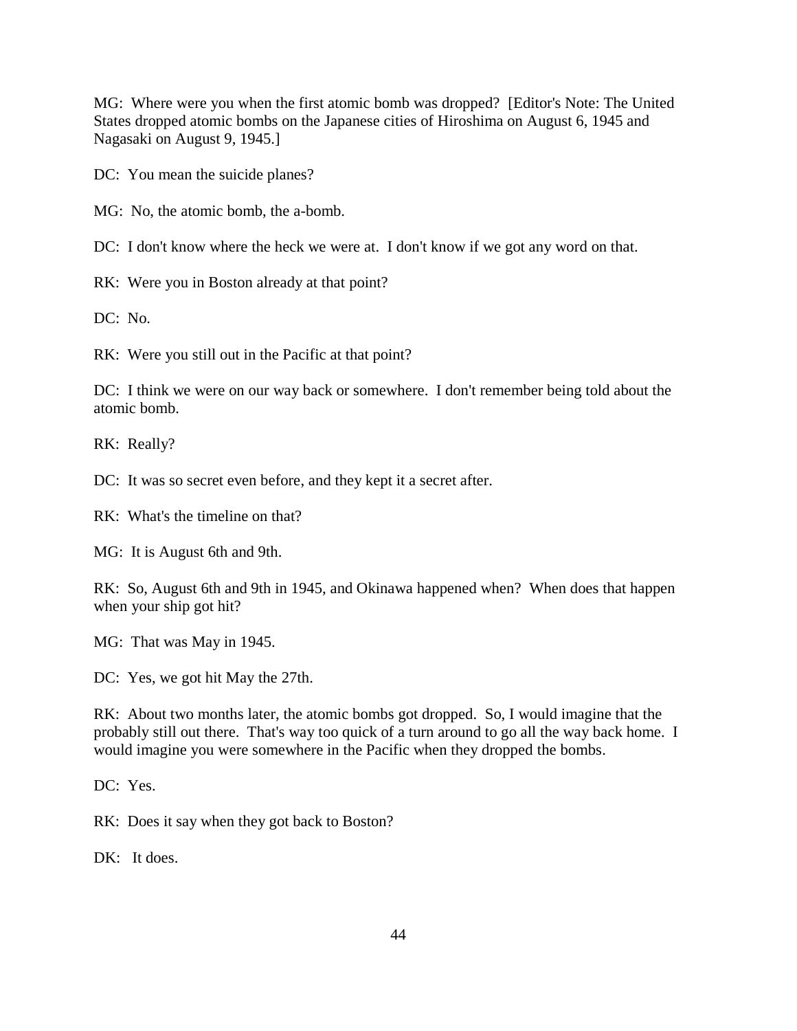MG: Where were you when the first atomic bomb was dropped? [Editor's Note: The United States dropped atomic bombs on the Japanese cities of Hiroshima on August 6, 1945 and Nagasaki on August 9, 1945.]

DC: You mean the suicide planes?

MG: No, the atomic bomb, the a-bomb.

DC: I don't know where the heck we were at. I don't know if we got any word on that.

RK: Were you in Boston already at that point?

DC: No.

RK: Were you still out in the Pacific at that point?

DC: I think we were on our way back or somewhere. I don't remember being told about the atomic bomb.

RK: Really?

DC: It was so secret even before, and they kept it a secret after.

RK: What's the timeline on that?

MG: It is August 6th and 9th.

RK: So, August 6th and 9th in 1945, and Okinawa happened when? When does that happen when your ship got hit?

MG: That was May in 1945.

DC: Yes, we got hit May the 27th.

RK: About two months later, the atomic bombs got dropped. So, I would imagine that the probably still out there. That's way too quick of a turn around to go all the way back home. I would imagine you were somewhere in the Pacific when they dropped the bombs.

DC: Yes.

RK: Does it say when they got back to Boston?

DK: It does.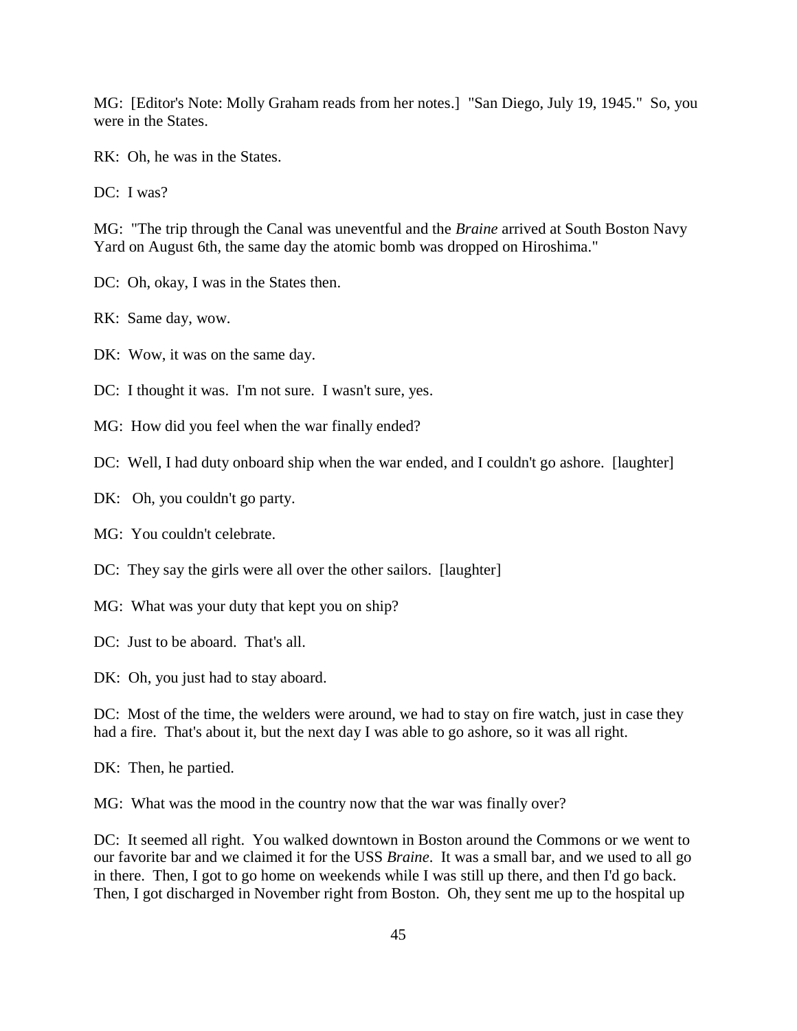MG: [Editor's Note: Molly Graham reads from her notes.] "San Diego, July 19, 1945." So, you were in the States.

RK: Oh, he was in the States.

DC: I was?

MG: "The trip through the Canal was uneventful and the *Braine* arrived at South Boston Navy Yard on August 6th, the same day the atomic bomb was dropped on Hiroshima."

- DC: Oh, okay, I was in the States then.
- RK: Same day, wow.
- DK: Wow, it was on the same day.

DC: I thought it was. I'm not sure. I wasn't sure, yes.

- MG: How did you feel when the war finally ended?
- DC: Well, I had duty onboard ship when the war ended, and I couldn't go ashore. [laughter]
- DK: Oh, you couldn't go party.
- MG: You couldn't celebrate.
- DC: They say the girls were all over the other sailors. [laughter]
- MG: What was your duty that kept you on ship?

DC: Just to be aboard. That's all.

DK: Oh, you just had to stay aboard.

DC: Most of the time, the welders were around, we had to stay on fire watch, just in case they had a fire. That's about it, but the next day I was able to go ashore, so it was all right.

DK: Then, he partied.

MG: What was the mood in the country now that the war was finally over?

DC: It seemed all right. You walked downtown in Boston around the Commons or we went to our favorite bar and we claimed it for the USS *Braine*. It was a small bar, and we used to all go in there. Then, I got to go home on weekends while I was still up there, and then I'd go back. Then, I got discharged in November right from Boston. Oh, they sent me up to the hospital up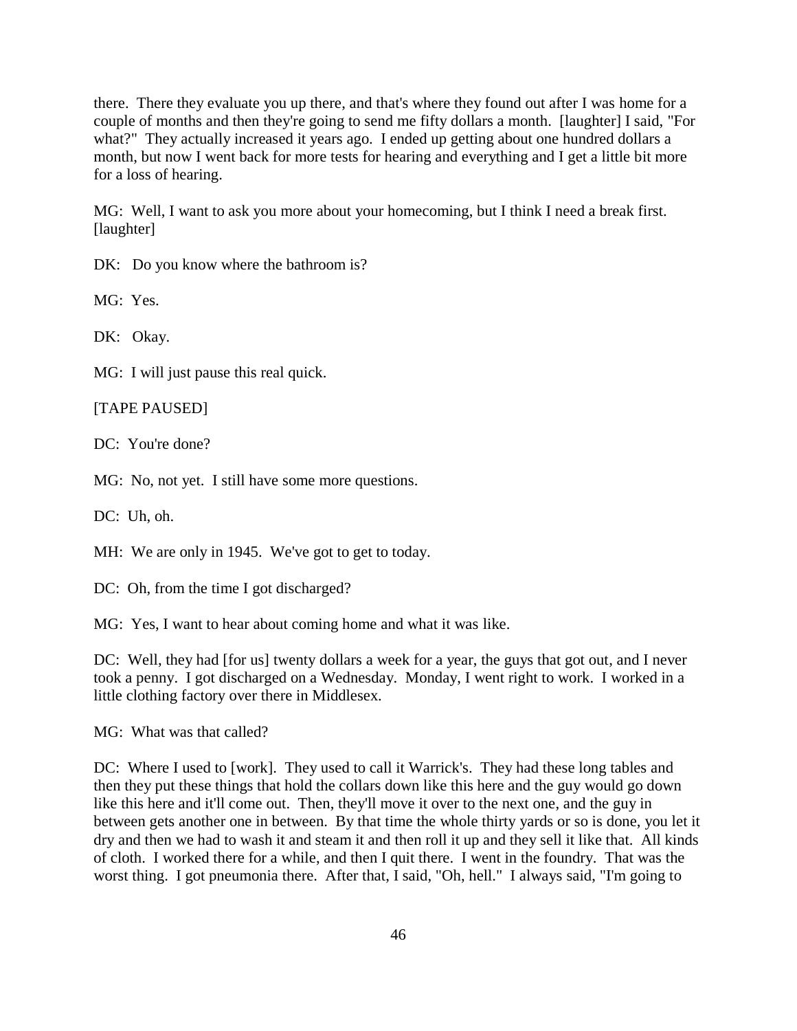there. There they evaluate you up there, and that's where they found out after I was home for a couple of months and then they're going to send me fifty dollars a month. [laughter] I said, "For what?" They actually increased it years ago. I ended up getting about one hundred dollars a month, but now I went back for more tests for hearing and everything and I get a little bit more for a loss of hearing.

MG: Well, I want to ask you more about your homecoming, but I think I need a break first. [laughter]

DK: Do you know where the bathroom is?

MG: Yes.

DK: Okay.

MG: I will just pause this real quick.

[TAPE PAUSED]

DC: You're done?

MG: No, not yet. I still have some more questions.

DC: Uh, oh.

MH: We are only in 1945. We've got to get to today.

DC: Oh, from the time I got discharged?

MG: Yes, I want to hear about coming home and what it was like.

DC: Well, they had [for us] twenty dollars a week for a year, the guys that got out, and I never took a penny. I got discharged on a Wednesday. Monday, I went right to work. I worked in a little clothing factory over there in Middlesex.

MG: What was that called?

DC: Where I used to [work]. They used to call it Warrick's. They had these long tables and then they put these things that hold the collars down like this here and the guy would go down like this here and it'll come out. Then, they'll move it over to the next one, and the guy in between gets another one in between. By that time the whole thirty yards or so is done, you let it dry and then we had to wash it and steam it and then roll it up and they sell it like that. All kinds of cloth. I worked there for a while, and then I quit there. I went in the foundry. That was the worst thing. I got pneumonia there. After that, I said, "Oh, hell." I always said, "I'm going to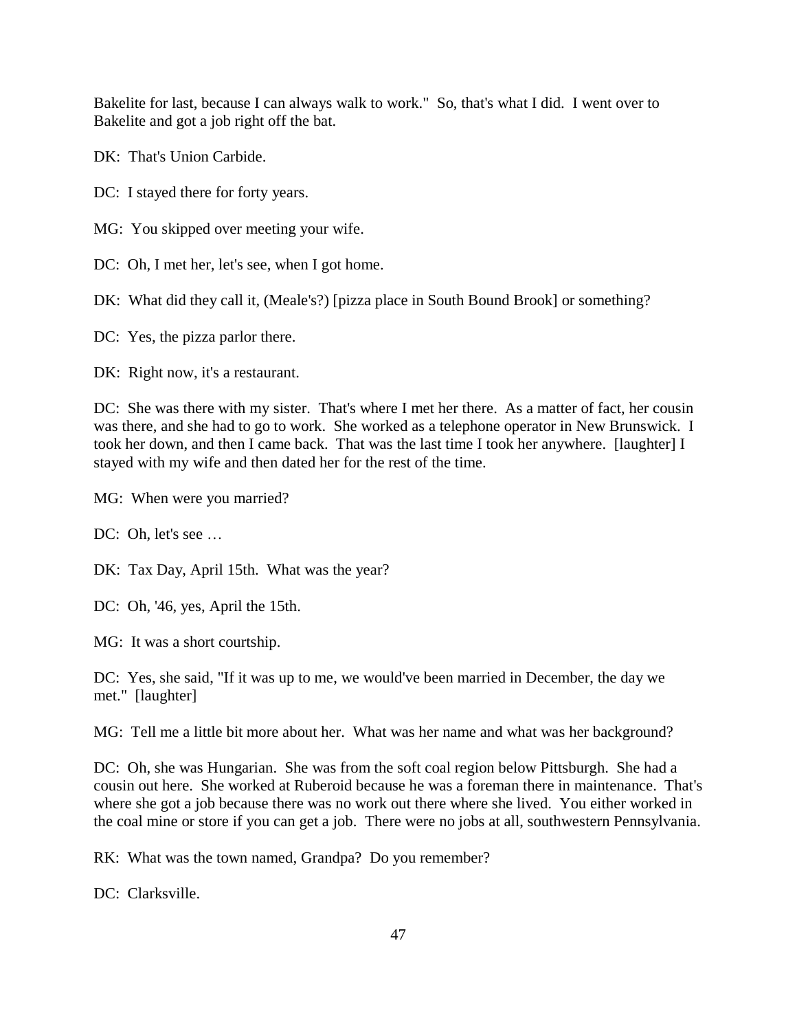Bakelite for last, because I can always walk to work." So, that's what I did. I went over to Bakelite and got a job right off the bat.

DK: That's Union Carbide.

DC: I stayed there for forty years.

MG: You skipped over meeting your wife.

DC: Oh, I met her, let's see, when I got home.

DK: What did they call it, (Meale's?) [pizza place in South Bound Brook] or something?

DC: Yes, the pizza parlor there.

DK: Right now, it's a restaurant.

DC: She was there with my sister. That's where I met her there. As a matter of fact, her cousin was there, and she had to go to work. She worked as a telephone operator in New Brunswick. I took her down, and then I came back. That was the last time I took her anywhere. [laughter] I stayed with my wife and then dated her for the rest of the time.

MG: When were you married?

DC: Oh, let's see ...

DK: Tax Day, April 15th. What was the year?

DC: Oh, '46, yes, April the 15th.

MG: It was a short courtship.

DC: Yes, she said, "If it was up to me, we would've been married in December, the day we met." [laughter]

MG: Tell me a little bit more about her. What was her name and what was her background?

DC: Oh, she was Hungarian. She was from the soft coal region below Pittsburgh. She had a cousin out here. She worked at Ruberoid because he was a foreman there in maintenance. That's where she got a job because there was no work out there where she lived. You either worked in the coal mine or store if you can get a job. There were no jobs at all, southwestern Pennsylvania.

RK: What was the town named, Grandpa? Do you remember?

DC: Clarksville.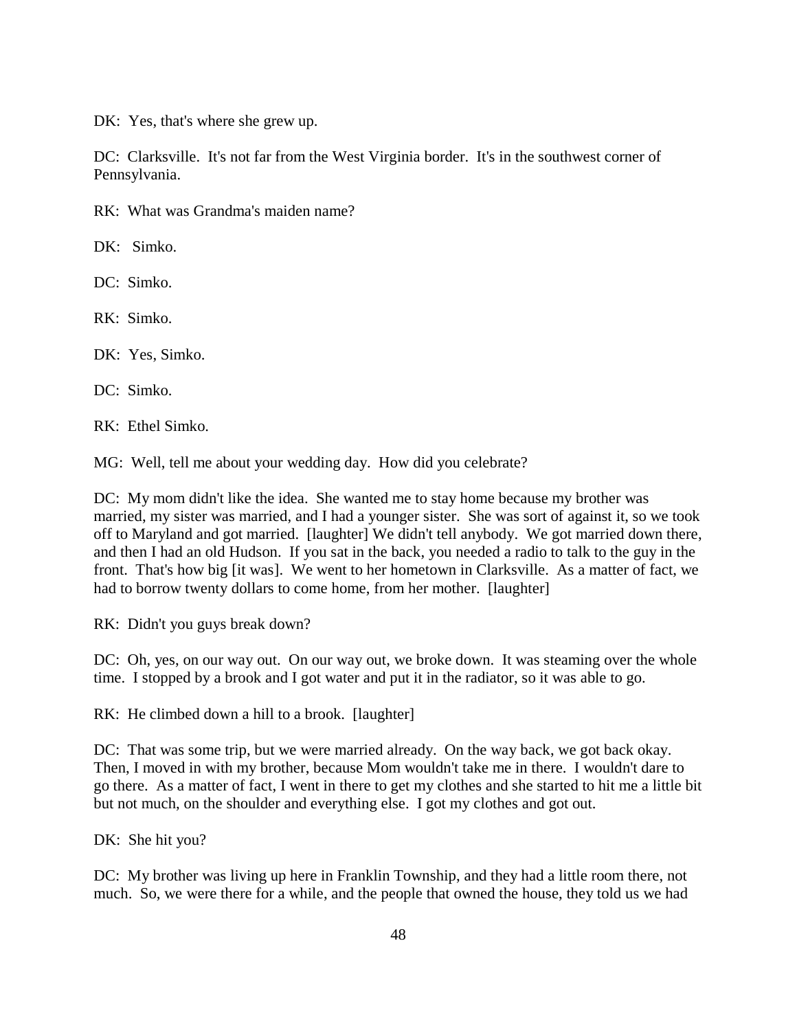DK: Yes, that's where she grew up.

DC: Clarksville. It's not far from the West Virginia border. It's in the southwest corner of Pennsylvania.

RK: What was Grandma's maiden name?

DK: Simko.

DC: Simko.

RK: Simko.

DK: Yes, Simko.

DC: Simko.

RK: Ethel Simko.

MG: Well, tell me about your wedding day. How did you celebrate?

DC: My mom didn't like the idea. She wanted me to stay home because my brother was married, my sister was married, and I had a younger sister. She was sort of against it, so we took off to Maryland and got married. [laughter] We didn't tell anybody. We got married down there, and then I had an old Hudson. If you sat in the back, you needed a radio to talk to the guy in the front. That's how big [it was]. We went to her hometown in Clarksville. As a matter of fact, we had to borrow twenty dollars to come home, from her mother. [laughter]

RK: Didn't you guys break down?

DC: Oh, yes, on our way out. On our way out, we broke down. It was steaming over the whole time. I stopped by a brook and I got water and put it in the radiator, so it was able to go.

RK: He climbed down a hill to a brook. [laughter]

DC: That was some trip, but we were married already. On the way back, we got back okay. Then, I moved in with my brother, because Mom wouldn't take me in there. I wouldn't dare to go there. As a matter of fact, I went in there to get my clothes and she started to hit me a little bit but not much, on the shoulder and everything else. I got my clothes and got out.

DK: She hit you?

DC: My brother was living up here in Franklin Township, and they had a little room there, not much. So, we were there for a while, and the people that owned the house, they told us we had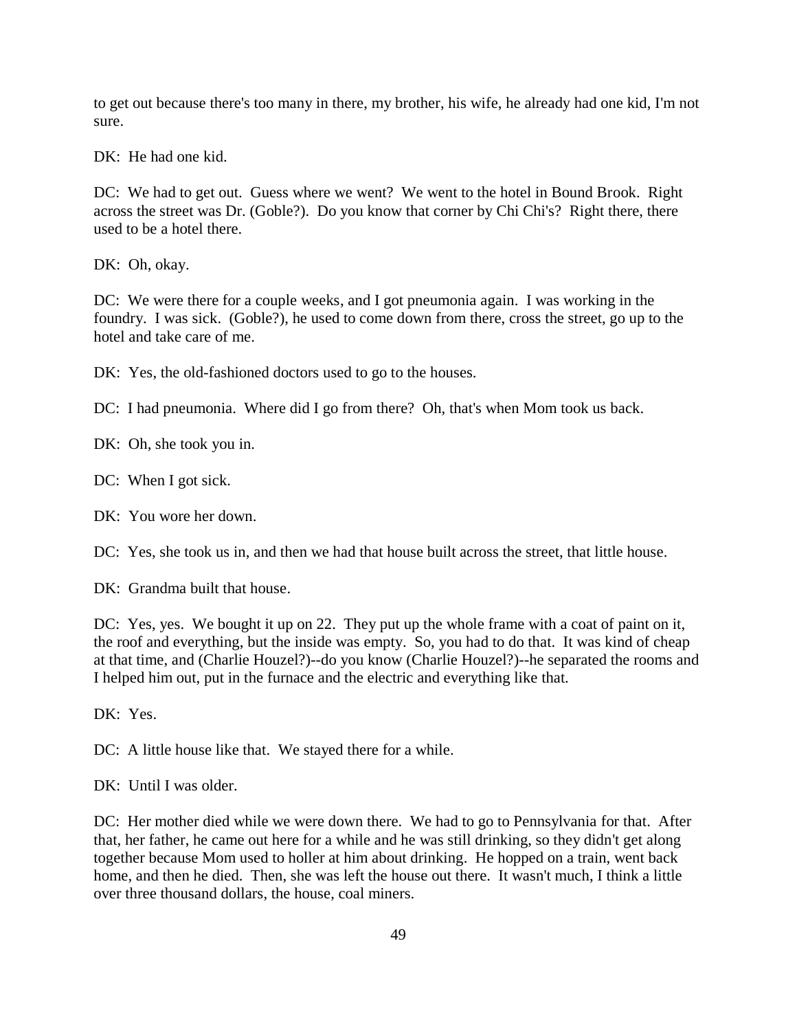to get out because there's too many in there, my brother, his wife, he already had one kid, I'm not sure.

DK: He had one kid.

DC: We had to get out. Guess where we went? We went to the hotel in Bound Brook. Right across the street was Dr. (Goble?). Do you know that corner by Chi Chi's? Right there, there used to be a hotel there.

DK: Oh, okay.

DC: We were there for a couple weeks, and I got pneumonia again. I was working in the foundry. I was sick. (Goble?), he used to come down from there, cross the street, go up to the hotel and take care of me.

DK: Yes, the old-fashioned doctors used to go to the houses.

DC: I had pneumonia. Where did I go from there? Oh, that's when Mom took us back.

DK: Oh, she took you in.

DC: When I got sick.

DK: You wore her down.

DC: Yes, she took us in, and then we had that house built across the street, that little house.

DK: Grandma built that house.

DC: Yes, yes. We bought it up on 22. They put up the whole frame with a coat of paint on it, the roof and everything, but the inside was empty. So, you had to do that. It was kind of cheap at that time, and (Charlie Houzel?)--do you know (Charlie Houzel?)--he separated the rooms and I helped him out, put in the furnace and the electric and everything like that.

DK: Yes.

DC: A little house like that. We stayed there for a while.

DK: Until I was older.

DC: Her mother died while we were down there. We had to go to Pennsylvania for that. After that, her father, he came out here for a while and he was still drinking, so they didn't get along together because Mom used to holler at him about drinking. He hopped on a train, went back home, and then he died. Then, she was left the house out there. It wasn't much, I think a little over three thousand dollars, the house, coal miners.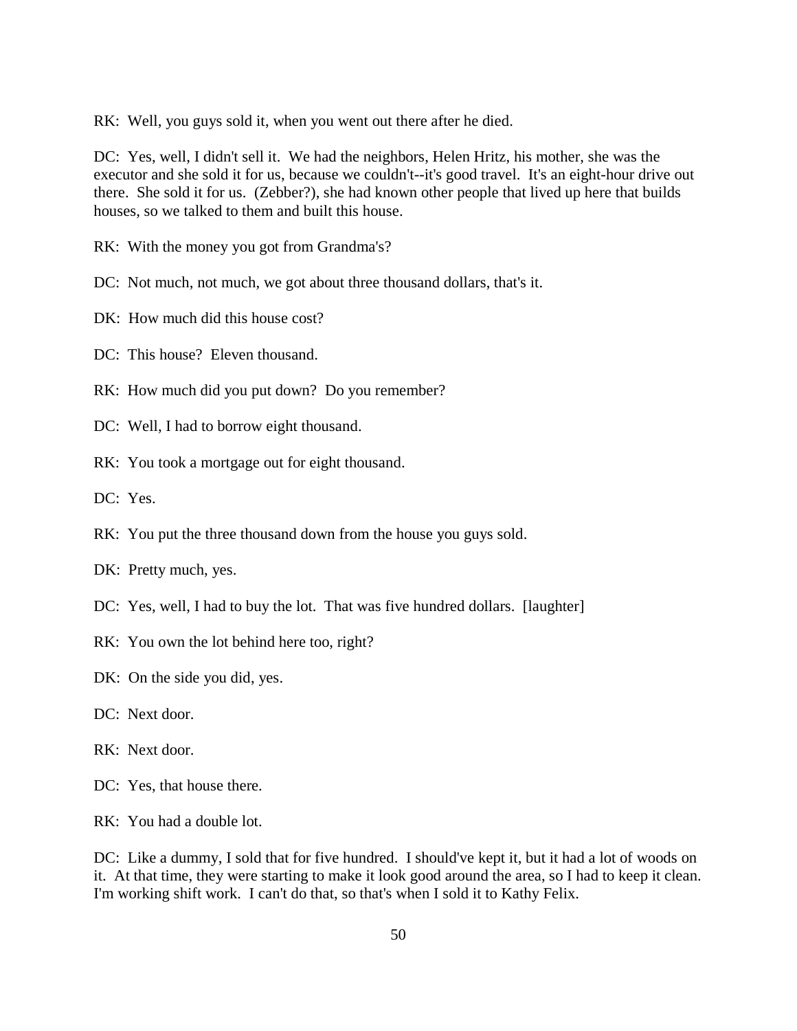RK: Well, you guys sold it, when you went out there after he died.

DC: Yes, well, I didn't sell it. We had the neighbors, Helen Hritz, his mother, she was the executor and she sold it for us, because we couldn't--it's good travel. It's an eight-hour drive out there. She sold it for us. (Zebber?), she had known other people that lived up here that builds houses, so we talked to them and built this house.

RK: With the money you got from Grandma's?

DC: Not much, not much, we got about three thousand dollars, that's it.

DK: How much did this house cost?

DC: This house? Eleven thousand.

RK: How much did you put down? Do you remember?

DC: Well, I had to borrow eight thousand.

RK: You took a mortgage out for eight thousand.

DC: Yes.

RK: You put the three thousand down from the house you guys sold.

DK: Pretty much, yes.

- DC: Yes, well, I had to buy the lot. That was five hundred dollars. [laughter]
- RK: You own the lot behind here too, right?
- DK: On the side you did, yes.
- DC: Next door.
- RK: Next door.

DC: Yes, that house there.

RK: You had a double lot.

DC: Like a dummy, I sold that for five hundred. I should've kept it, but it had a lot of woods on it. At that time, they were starting to make it look good around the area, so I had to keep it clean. I'm working shift work. I can't do that, so that's when I sold it to Kathy Felix.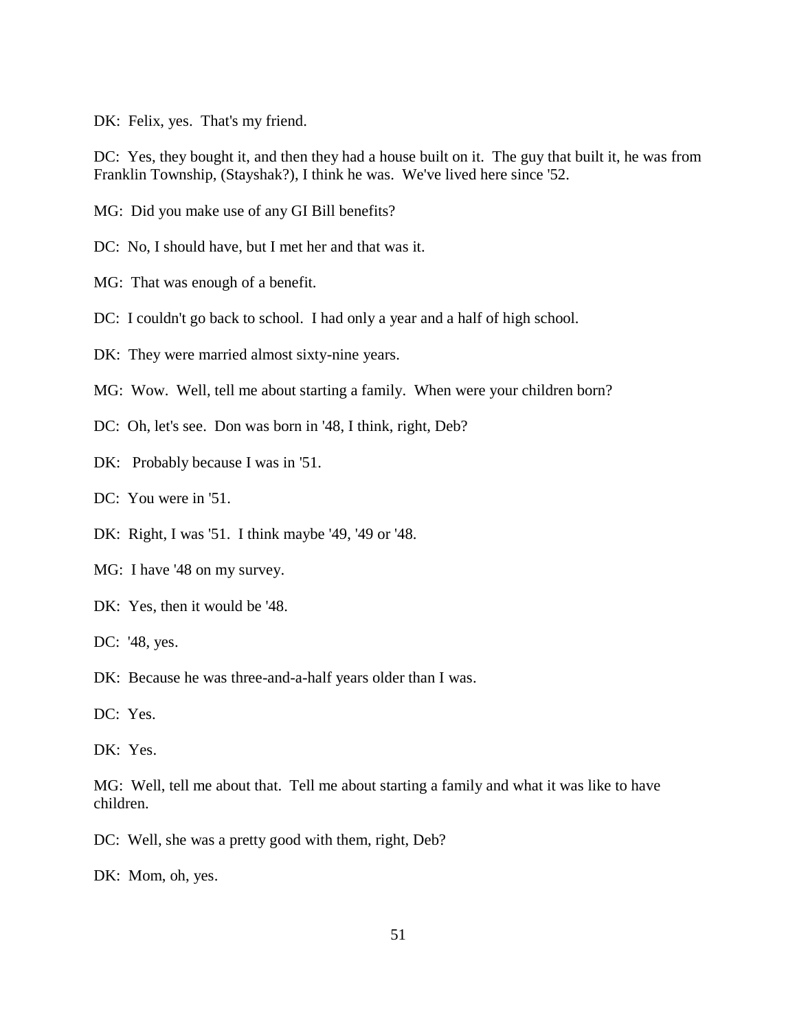DK: Felix, yes. That's my friend.

DC: Yes, they bought it, and then they had a house built on it. The guy that built it, he was from Franklin Township, (Stayshak?), I think he was. We've lived here since '52.

MG: Did you make use of any GI Bill benefits?

DC: No, I should have, but I met her and that was it.

MG: That was enough of a benefit.

DC: I couldn't go back to school. I had only a year and a half of high school.

DK: They were married almost sixty-nine years.

MG: Wow. Well, tell me about starting a family. When were your children born?

DC: Oh, let's see. Don was born in '48, I think, right, Deb?

DK: Probably because I was in '51.

DC: You were in '51.

DK: Right, I was '51. I think maybe '49, '49 or '48.

MG: I have '48 on my survey.

DK: Yes, then it would be '48.

DC: '48, yes.

DK: Because he was three-and-a-half years older than I was.

DC: Yes.

DK: Yes.

MG: Well, tell me about that. Tell me about starting a family and what it was like to have children.

DC: Well, she was a pretty good with them, right, Deb?

DK: Mom, oh, yes.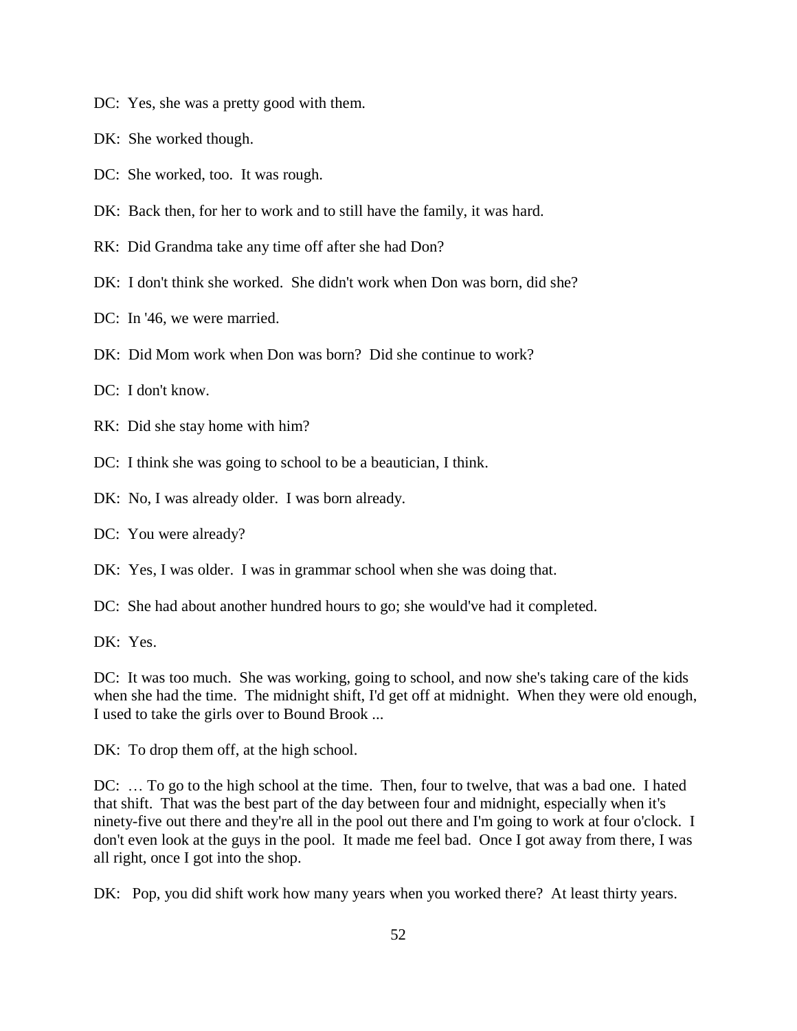- DC: Yes, she was a pretty good with them.
- DK: She worked though.
- DC: She worked, too. It was rough.
- DK: Back then, for her to work and to still have the family, it was hard.
- RK: Did Grandma take any time off after she had Don?
- DK: I don't think she worked. She didn't work when Don was born, did she?
- DC: In '46, we were married.
- DK: Did Mom work when Don was born? Did she continue to work?
- DC: I don't know.
- RK: Did she stay home with him?
- DC: I think she was going to school to be a beautician, I think.
- DK: No, I was already older. I was born already.
- DC: You were already?
- DK: Yes, I was older. I was in grammar school when she was doing that.
- DC: She had about another hundred hours to go; she would've had it completed.
- DK: Yes.

DC: It was too much. She was working, going to school, and now she's taking care of the kids when she had the time. The midnight shift, I'd get off at midnight. When they were old enough, I used to take the girls over to Bound Brook ...

DK: To drop them off, at the high school.

DC: … To go to the high school at the time. Then, four to twelve, that was a bad one. I hated that shift. That was the best part of the day between four and midnight, especially when it's ninety-five out there and they're all in the pool out there and I'm going to work at four o'clock. I don't even look at the guys in the pool. It made me feel bad. Once I got away from there, I was all right, once I got into the shop.

DK: Pop, you did shift work how many years when you worked there? At least thirty years.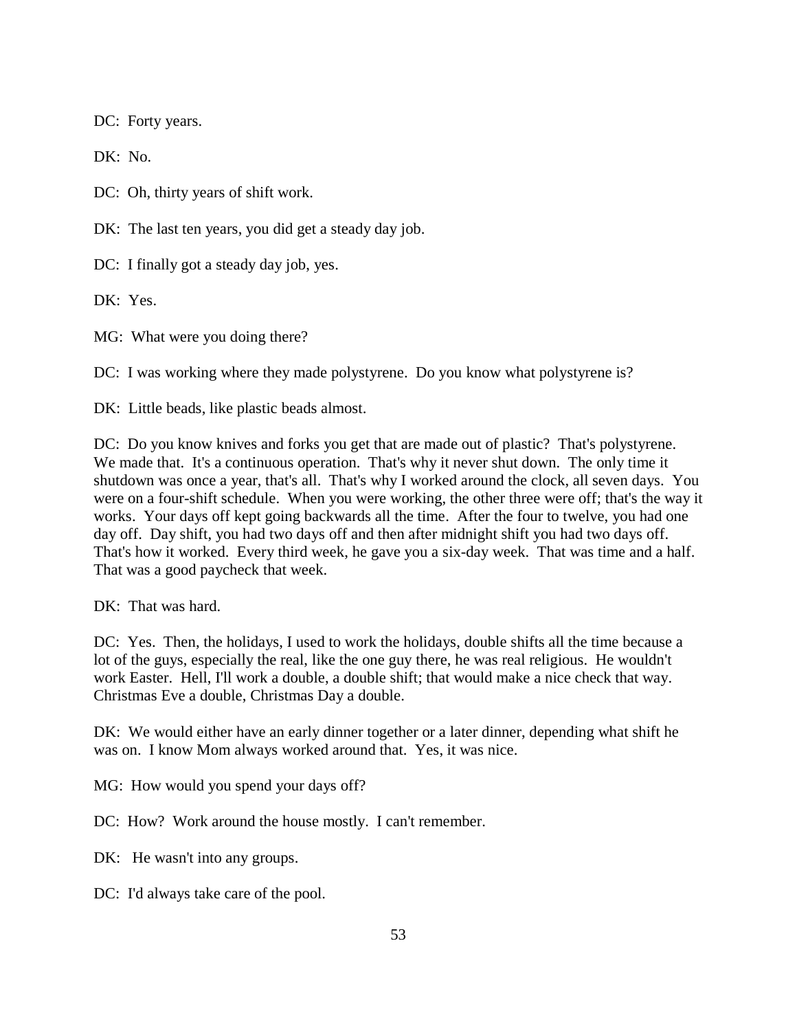DC: Forty years.

DK: No.

DC: Oh, thirty years of shift work.

DK: The last ten years, you did get a steady day job.

DC: I finally got a steady day job, yes.

DK: Yes.

MG: What were you doing there?

DC: I was working where they made polystyrene. Do you know what polystyrene is?

DK: Little beads, like plastic beads almost.

DC: Do you know knives and forks you get that are made out of plastic? That's polystyrene. We made that. It's a continuous operation. That's why it never shut down. The only time it shutdown was once a year, that's all. That's why I worked around the clock, all seven days. You were on a four-shift schedule. When you were working, the other three were off; that's the way it works. Your days off kept going backwards all the time. After the four to twelve, you had one day off. Day shift, you had two days off and then after midnight shift you had two days off. That's how it worked. Every third week, he gave you a six-day week. That was time and a half. That was a good paycheck that week.

DK: That was hard.

DC: Yes. Then, the holidays, I used to work the holidays, double shifts all the time because a lot of the guys, especially the real, like the one guy there, he was real religious. He wouldn't work Easter. Hell, I'll work a double, a double shift; that would make a nice check that way. Christmas Eve a double, Christmas Day a double.

DK: We would either have an early dinner together or a later dinner, depending what shift he was on. I know Mom always worked around that. Yes, it was nice.

MG: How would you spend your days off?

DC: How? Work around the house mostly. I can't remember.

DK: He wasn't into any groups.

DC: I'd always take care of the pool.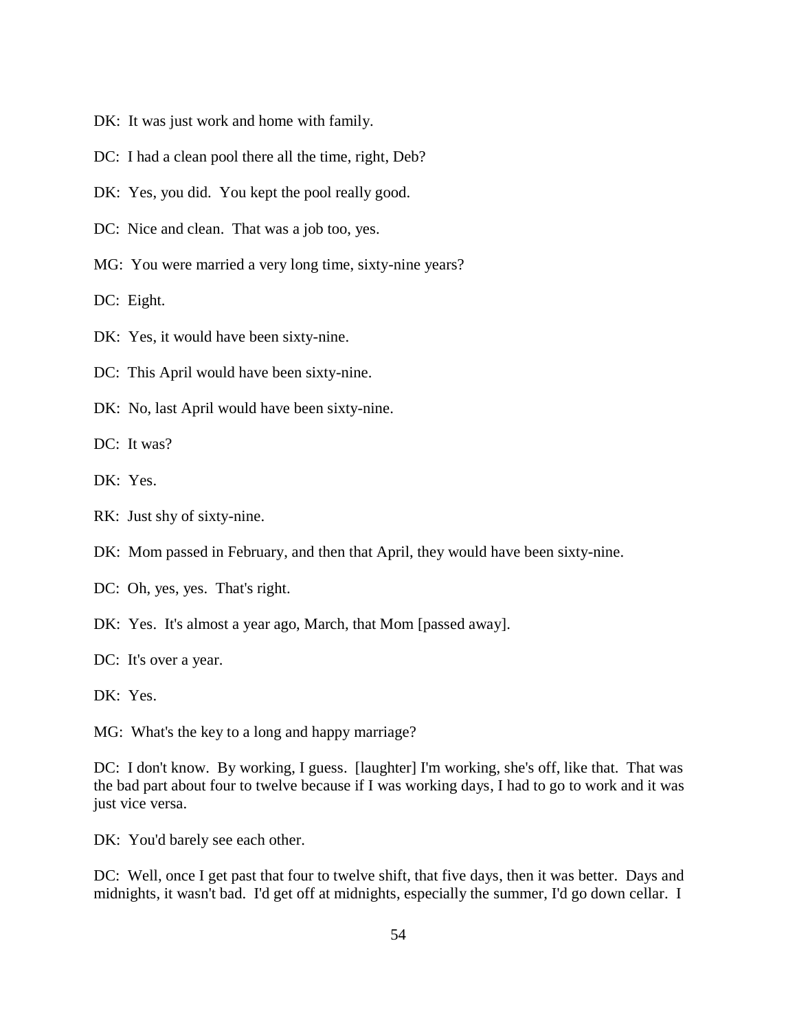- DK: It was just work and home with family.
- DC: I had a clean pool there all the time, right, Deb?
- DK: Yes, you did. You kept the pool really good.
- DC: Nice and clean. That was a job too, yes.
- MG: You were married a very long time, sixty-nine years?

DC: Eight.

- DK: Yes, it would have been sixty-nine.
- DC: This April would have been sixty-nine.
- DK: No, last April would have been sixty-nine.

DC: It was?

- DK: Yes.
- RK: Just shy of sixty-nine.
- DK: Mom passed in February, and then that April, they would have been sixty-nine.
- DC: Oh, yes, yes. That's right.
- DK: Yes. It's almost a year ago, March, that Mom [passed away].
- DC: It's over a year.
- DK: Yes.

MG: What's the key to a long and happy marriage?

DC: I don't know. By working, I guess. [laughter] I'm working, she's off, like that. That was the bad part about four to twelve because if I was working days, I had to go to work and it was just vice versa.

DK: You'd barely see each other.

DC: Well, once I get past that four to twelve shift, that five days, then it was better. Days and midnights, it wasn't bad. I'd get off at midnights, especially the summer, I'd go down cellar. I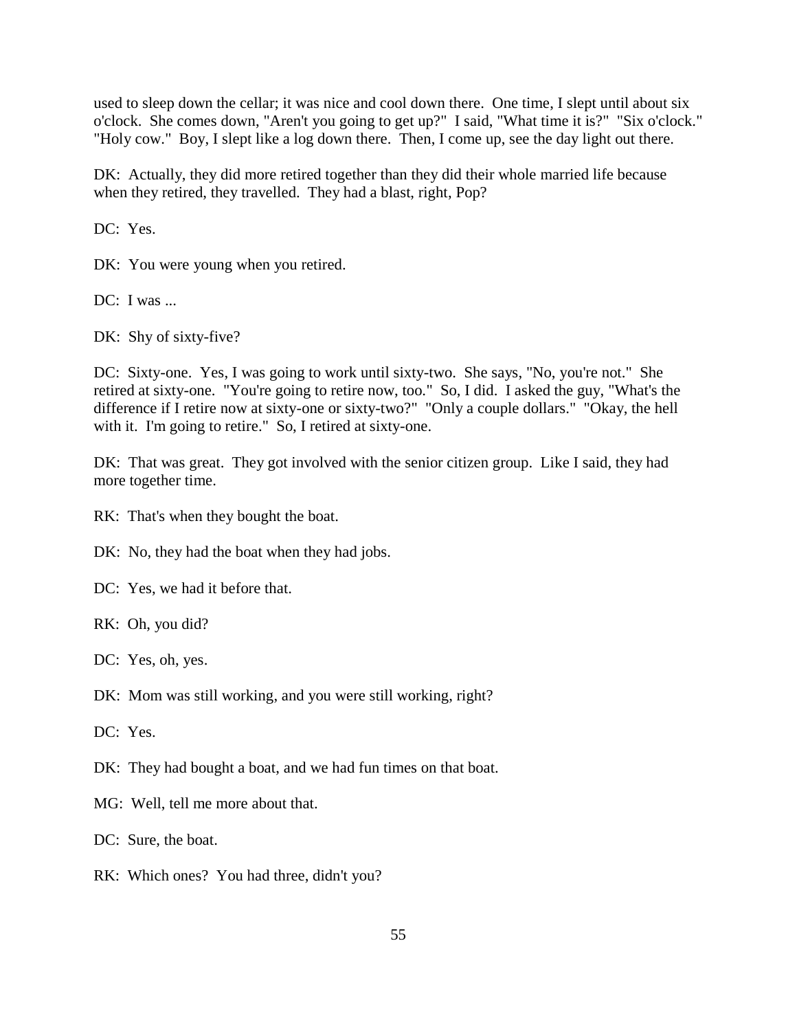used to sleep down the cellar; it was nice and cool down there. One time, I slept until about six o'clock. She comes down, "Aren't you going to get up?" I said, "What time it is?" "Six o'clock." "Holy cow." Boy, I slept like a log down there. Then, I come up, see the day light out there.

DK: Actually, they did more retired together than they did their whole married life because when they retired, they travelled. They had a blast, right, Pop?

DC: Yes.

DK: You were young when you retired.

DC: I was ...

DK: Shy of sixty-five?

DC: Sixty-one. Yes, I was going to work until sixty-two. She says, "No, you're not." She retired at sixty-one. "You're going to retire now, too." So, I did. I asked the guy, "What's the difference if I retire now at sixty-one or sixty-two?" "Only a couple dollars." "Okay, the hell with it. I'm going to retire." So, I retired at sixty-one.

DK: That was great. They got involved with the senior citizen group. Like I said, they had more together time.

RK: That's when they bought the boat.

DK: No, they had the boat when they had jobs.

DC: Yes, we had it before that.

RK: Oh, you did?

DC: Yes, oh, yes.

DK: Mom was still working, and you were still working, right?

DC: Yes.

DK: They had bought a boat, and we had fun times on that boat.

MG: Well, tell me more about that.

DC: Sure, the boat.

RK: Which ones? You had three, didn't you?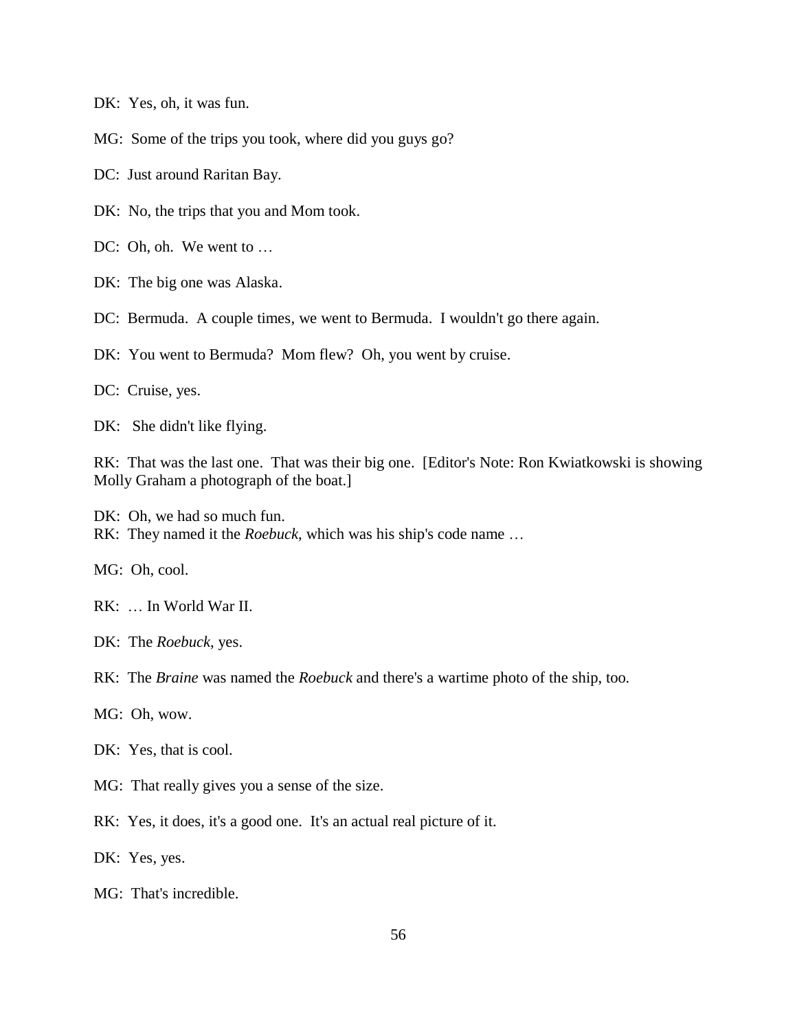DK: Yes, oh, it was fun.

MG: Some of the trips you took, where did you guys go?

DC: Just around Raritan Bay.

DK: No, the trips that you and Mom took.

DC: Oh, oh. We went to ...

DK: The big one was Alaska.

DC: Bermuda. A couple times, we went to Bermuda. I wouldn't go there again.

DK: You went to Bermuda? Mom flew? Oh, you went by cruise.

DC: Cruise, yes.

DK: She didn't like flying.

RK: That was the last one. That was their big one. [Editor's Note: Ron Kwiatkowski is showing Molly Graham a photograph of the boat.]

DK: Oh, we had so much fun. RK: They named it the *Roebuck*, which was his ship's code name …

MG: Oh, cool.

RK: … In World War II.

DK: The *Roebuck*, yes.

RK: The *Braine* was named the *Roebuck* and there's a wartime photo of the ship, too.

MG: Oh, wow.

DK: Yes, that is cool.

MG: That really gives you a sense of the size.

RK: Yes, it does, it's a good one. It's an actual real picture of it.

DK: Yes, yes.

MG: That's incredible.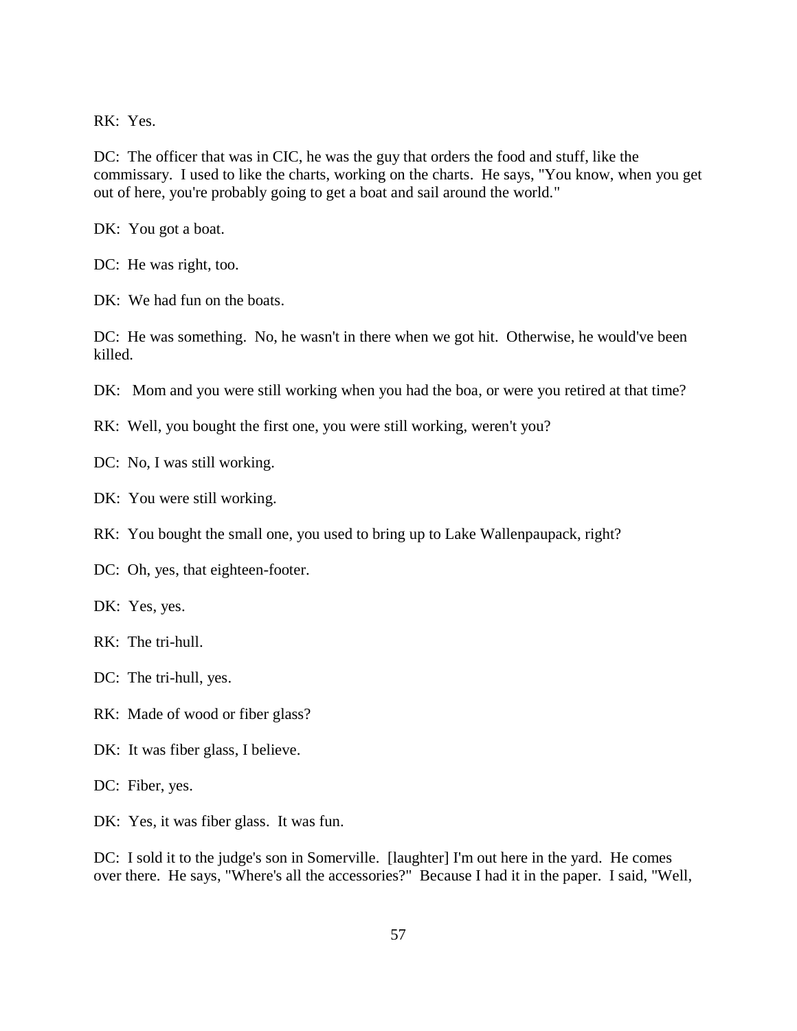RK: Yes.

DC: The officer that was in CIC, he was the guy that orders the food and stuff, like the commissary. I used to like the charts, working on the charts. He says, "You know, when you get out of here, you're probably going to get a boat and sail around the world."

DK: You got a boat.

DC: He was right, too.

DK: We had fun on the boats.

DC: He was something. No, he wasn't in there when we got hit. Otherwise, he would've been killed.

DK: Mom and you were still working when you had the boa, or were you retired at that time?

RK: Well, you bought the first one, you were still working, weren't you?

DC: No, I was still working.

DK: You were still working.

RK: You bought the small one, you used to bring up to Lake Wallenpaupack, right?

DC: Oh, yes, that eighteen-footer.

DK: Yes, yes.

RK: The tri-hull.

DC: The tri-hull, yes.

- RK: Made of wood or fiber glass?
- DK: It was fiber glass, I believe.

DC: Fiber, yes.

DK: Yes, it was fiber glass. It was fun.

DC: I sold it to the judge's son in Somerville. [laughter] I'm out here in the yard. He comes over there. He says, "Where's all the accessories?" Because I had it in the paper. I said, "Well,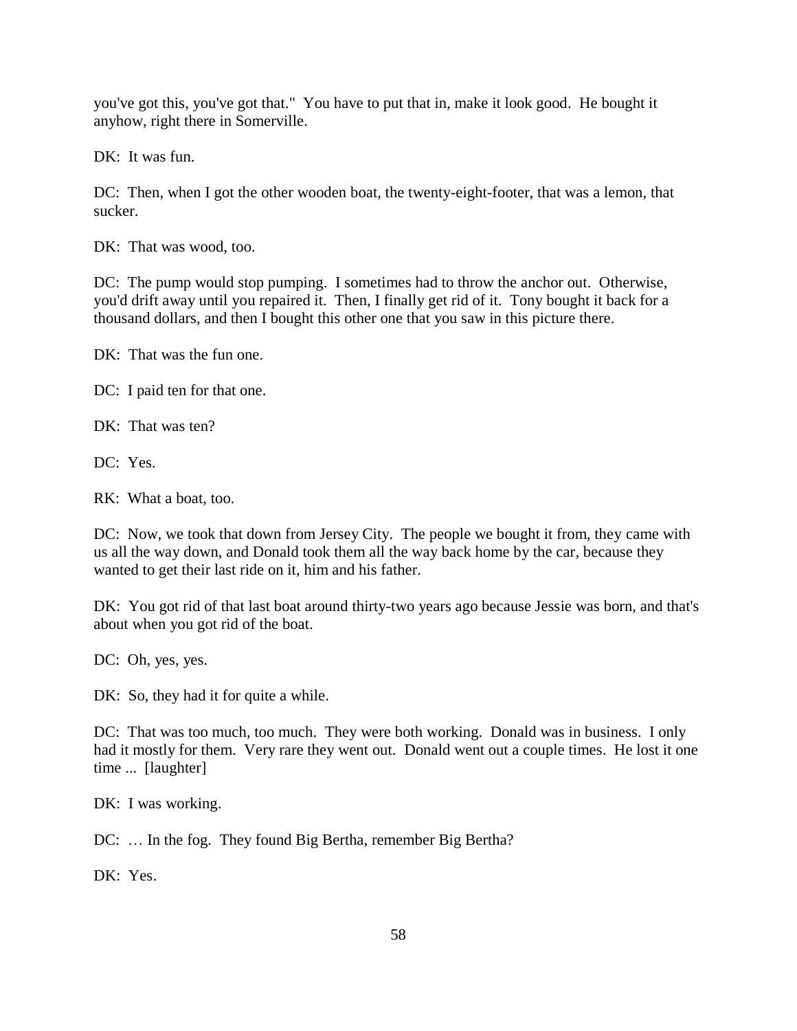you've got this, you've got that." You have to put that in, make it look good. He bought it anyhow, right there in Somerville.

DK: It was fun.

DC: Then, when I got the other wooden boat, the twenty-eight-footer, that was a lemon, that sucker.

DK: That was wood, too.

DC: The pump would stop pumping. I sometimes had to throw the anchor out. Otherwise, you'd drift away until you repaired it. Then, I finally get rid of it. Tony bought it back for a thousand dollars, and then I bought this other one that you saw in this picture there.

DK: That was the fun one.

DC: I paid ten for that one.

DK: That was ten?

DC: Yes.

RK: What a boat, too.

DC: Now, we took that down from Jersey City. The people we bought it from, they came with us all the way down, and Donald took them all the way back home by the car, because they wanted to get their last ride on it, him and his father.

DK: You got rid of that last boat around thirty-two years ago because Jessie was born, and that's about when you got rid of the boat.

DC: Oh, yes, yes.

DK: So, they had it for quite a while.

DC: That was too much, too much. They were both working. Donald was in business. I only had it mostly for them. Very rare they went out. Donald went out a couple times. He lost it one time ... [laughter]

DK: I was working.

DC: ... In the fog. They found Big Bertha, remember Big Bertha?

DK: Yes.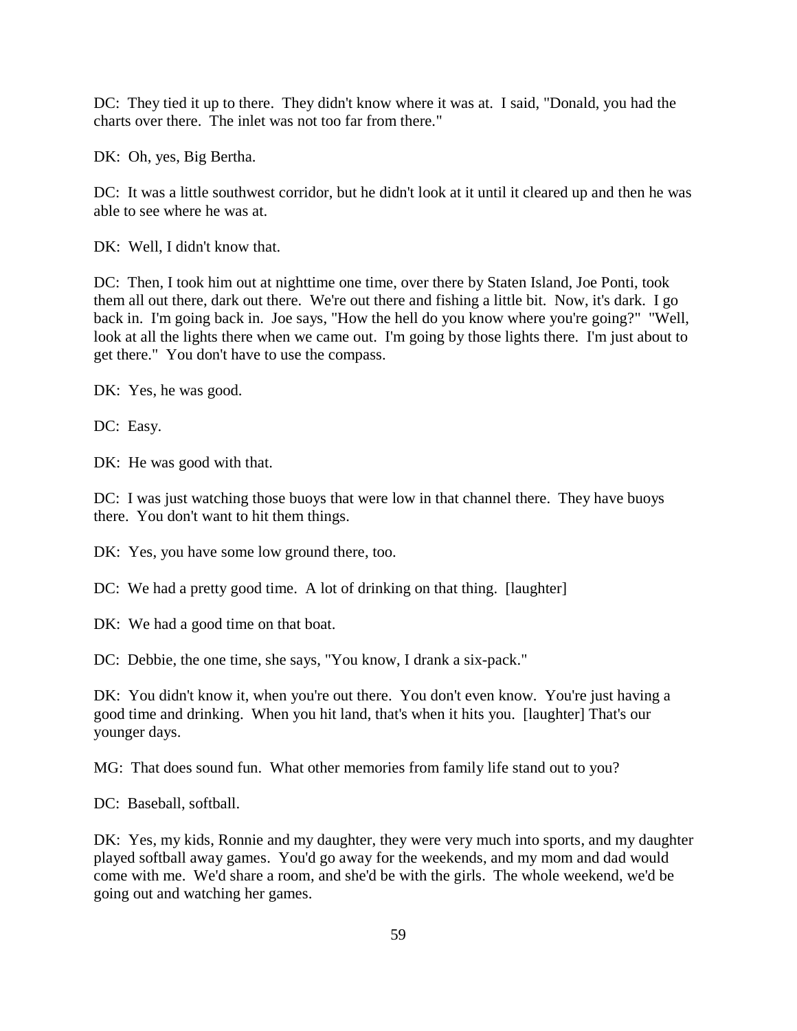DC: They tied it up to there. They didn't know where it was at. I said, "Donald, you had the charts over there. The inlet was not too far from there."

DK: Oh, yes, Big Bertha.

DC: It was a little southwest corridor, but he didn't look at it until it cleared up and then he was able to see where he was at.

DK: Well, I didn't know that.

DC: Then, I took him out at nighttime one time, over there by Staten Island, Joe Ponti, took them all out there, dark out there. We're out there and fishing a little bit. Now, it's dark. I go back in. I'm going back in. Joe says, "How the hell do you know where you're going?" "Well, look at all the lights there when we came out. I'm going by those lights there. I'm just about to get there." You don't have to use the compass.

DK: Yes, he was good.

DC: Easy.

DK: He was good with that.

DC: I was just watching those buoys that were low in that channel there. They have buoys there. You don't want to hit them things.

DK: Yes, you have some low ground there, too.

DC: We had a pretty good time. A lot of drinking on that thing. [laughter]

DK: We had a good time on that boat.

DC: Debbie, the one time, she says, "You know, I drank a six-pack."

DK: You didn't know it, when you're out there. You don't even know. You're just having a good time and drinking. When you hit land, that's when it hits you. [laughter] That's our younger days.

MG: That does sound fun. What other memories from family life stand out to you?

DC: Baseball, softball.

DK: Yes, my kids, Ronnie and my daughter, they were very much into sports, and my daughter played softball away games. You'd go away for the weekends, and my mom and dad would come with me. We'd share a room, and she'd be with the girls. The whole weekend, we'd be going out and watching her games.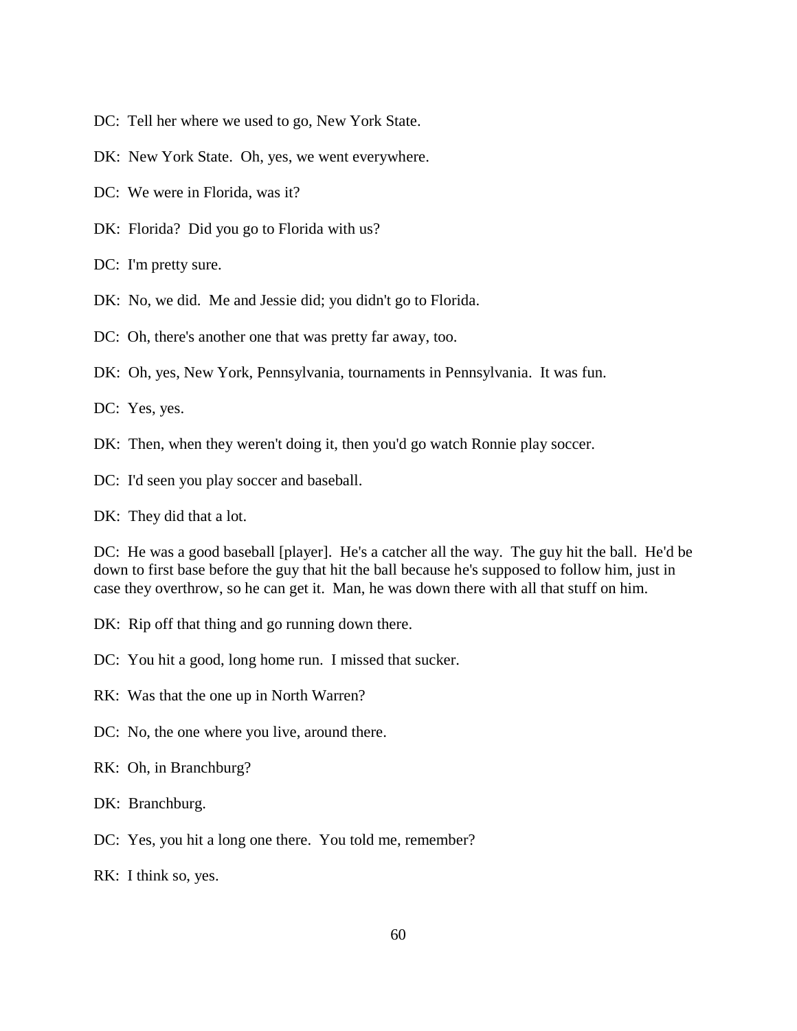- DC: Tell her where we used to go, New York State.
- DK: New York State. Oh, yes, we went everywhere.
- DC: We were in Florida, was it?
- DK: Florida? Did you go to Florida with us?
- DC: I'm pretty sure.
- DK: No, we did. Me and Jessie did; you didn't go to Florida.
- DC: Oh, there's another one that was pretty far away, too.
- DK: Oh, yes, New York, Pennsylvania, tournaments in Pennsylvania. It was fun.
- DC: Yes, yes.
- DK: Then, when they weren't doing it, then you'd go watch Ronnie play soccer.
- DC: I'd seen you play soccer and baseball.
- DK: They did that a lot.

DC: He was a good baseball [player]. He's a catcher all the way. The guy hit the ball. He'd be down to first base before the guy that hit the ball because he's supposed to follow him, just in case they overthrow, so he can get it. Man, he was down there with all that stuff on him.

- DK: Rip off that thing and go running down there.
- DC: You hit a good, long home run. I missed that sucker.
- RK: Was that the one up in North Warren?
- DC: No, the one where you live, around there.
- RK: Oh, in Branchburg?
- DK: Branchburg.
- DC: Yes, you hit a long one there. You told me, remember?
- RK: I think so, yes.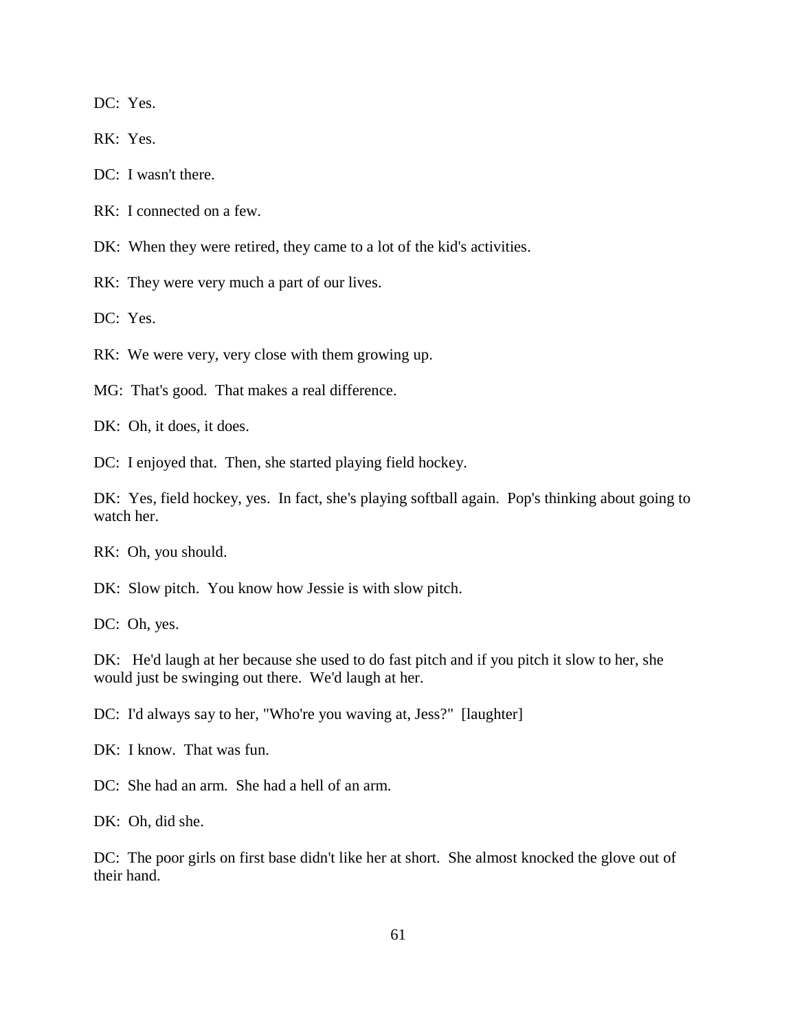DC: Yes.

RK: Yes.

DC: I wasn't there.

RK: I connected on a few.

DK: When they were retired, they came to a lot of the kid's activities.

RK: They were very much a part of our lives.

DC: Yes.

RK: We were very, very close with them growing up.

MG: That's good. That makes a real difference.

DK: Oh, it does, it does.

DC: I enjoyed that. Then, she started playing field hockey.

DK: Yes, field hockey, yes. In fact, she's playing softball again. Pop's thinking about going to watch her.

RK: Oh, you should.

DK: Slow pitch. You know how Jessie is with slow pitch.

DC: Oh, yes.

DK: He'd laugh at her because she used to do fast pitch and if you pitch it slow to her, she would just be swinging out there. We'd laugh at her.

DC: I'd always say to her, "Who're you waving at, Jess?" [laughter]

DK: I know. That was fun.

DC: She had an arm. She had a hell of an arm.

DK: Oh, did she.

DC: The poor girls on first base didn't like her at short. She almost knocked the glove out of their hand.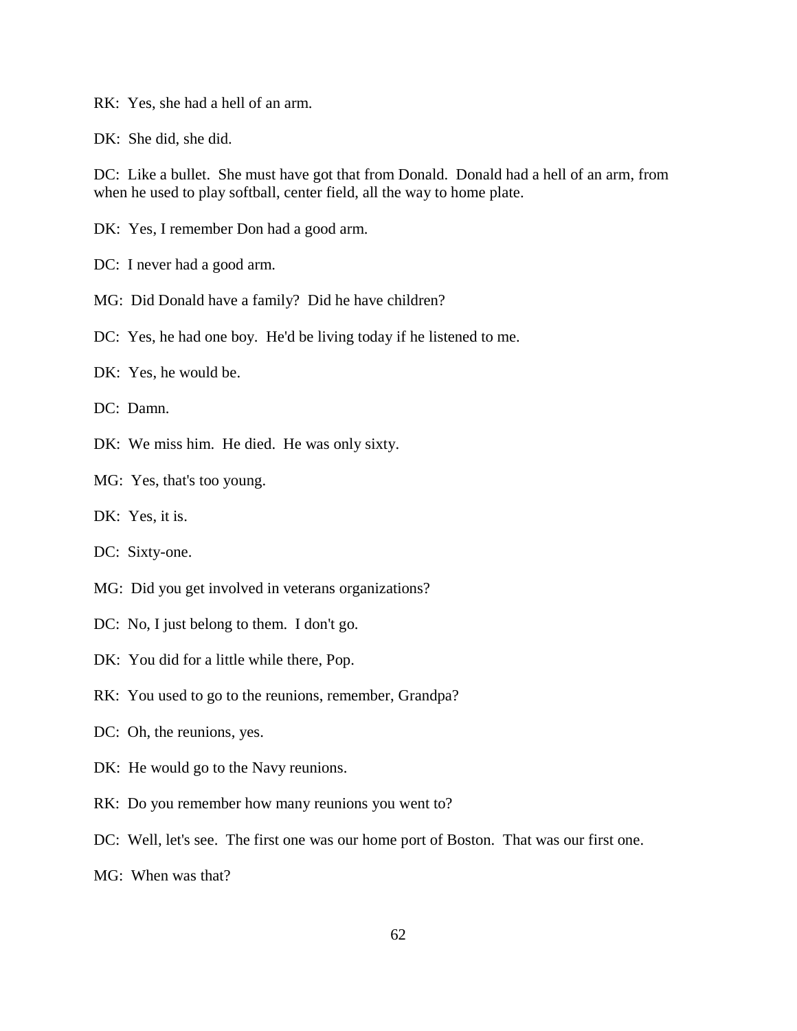RK: Yes, she had a hell of an arm.

DK: She did, she did.

DC: Like a bullet. She must have got that from Donald. Donald had a hell of an arm, from when he used to play softball, center field, all the way to home plate.

DK: Yes, I remember Don had a good arm.

DC: I never had a good arm.

MG: Did Donald have a family? Did he have children?

DC: Yes, he had one boy. He'd be living today if he listened to me.

DK: Yes, he would be.

DC: Damn.

DK: We miss him. He died. He was only sixty.

MG: Yes, that's too young.

DK: Yes, it is.

DC: Sixty-one.

- MG: Did you get involved in veterans organizations?
- DC: No, I just belong to them. I don't go.
- DK: You did for a little while there, Pop.
- RK: You used to go to the reunions, remember, Grandpa?
- DC: Oh, the reunions, yes.
- DK: He would go to the Navy reunions.
- RK: Do you remember how many reunions you went to?
- DC: Well, let's see. The first one was our home port of Boston. That was our first one.
- MG: When was that?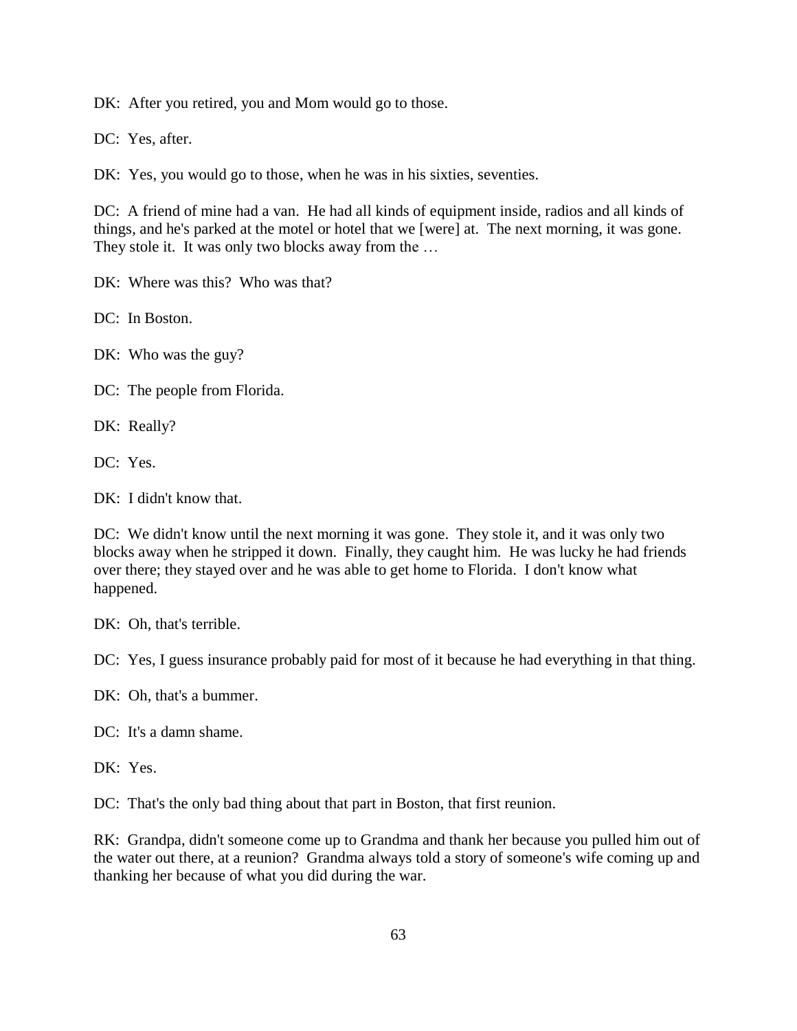DK: After you retired, you and Mom would go to those.

DC: Yes, after.

DK: Yes, you would go to those, when he was in his sixties, seventies.

DC: A friend of mine had a van. He had all kinds of equipment inside, radios and all kinds of things, and he's parked at the motel or hotel that we [were] at. The next morning, it was gone. They stole it. It was only two blocks away from the ...

DK: Where was this? Who was that?

DC: In Boston.

DK: Who was the guy?

DC: The people from Florida.

DK: Really?

DC: Yes.

DK: I didn't know that.

DC: We didn't know until the next morning it was gone. They stole it, and it was only two blocks away when he stripped it down. Finally, they caught him. He was lucky he had friends over there; they stayed over and he was able to get home to Florida. I don't know what happened.

DK: Oh, that's terrible.

DC: Yes, I guess insurance probably paid for most of it because he had everything in that thing.

DK: Oh, that's a bummer.

DC: It's a damn shame.

DK: Yes.

DC: That's the only bad thing about that part in Boston, that first reunion.

RK: Grandpa, didn't someone come up to Grandma and thank her because you pulled him out of the water out there, at a reunion? Grandma always told a story of someone's wife coming up and thanking her because of what you did during the war.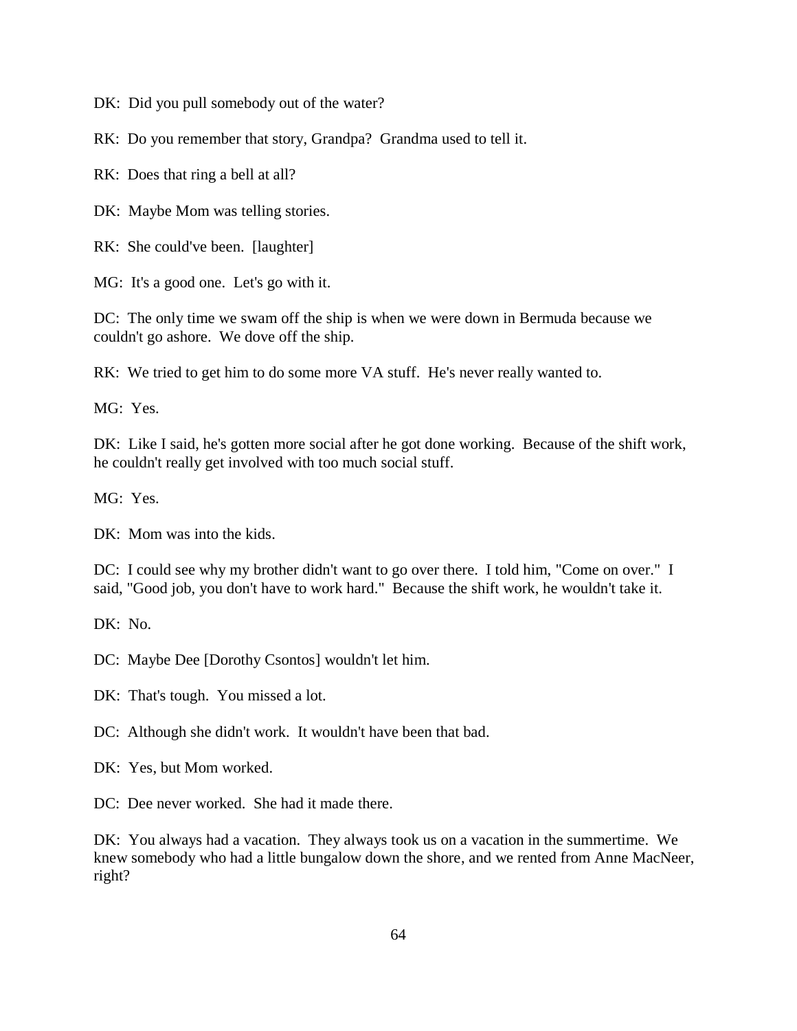DK: Did you pull somebody out of the water?

RK: Do you remember that story, Grandpa? Grandma used to tell it.

RK: Does that ring a bell at all?

DK: Maybe Mom was telling stories.

RK: She could've been. [laughter]

MG: It's a good one. Let's go with it.

DC: The only time we swam off the ship is when we were down in Bermuda because we couldn't go ashore. We dove off the ship.

RK: We tried to get him to do some more VA stuff. He's never really wanted to.

MG: Yes.

DK: Like I said, he's gotten more social after he got done working. Because of the shift work, he couldn't really get involved with too much social stuff.

MG: Yes.

DK: Mom was into the kids.

DC: I could see why my brother didn't want to go over there. I told him, "Come on over." I said, "Good job, you don't have to work hard." Because the shift work, he wouldn't take it.

 $DK: No.$ 

DC: Maybe Dee [Dorothy Csontos] wouldn't let him.

DK: That's tough. You missed a lot.

DC: Although she didn't work. It wouldn't have been that bad.

DK: Yes, but Mom worked.

DC: Dee never worked. She had it made there.

DK: You always had a vacation. They always took us on a vacation in the summertime. We knew somebody who had a little bungalow down the shore, and we rented from Anne MacNeer, right?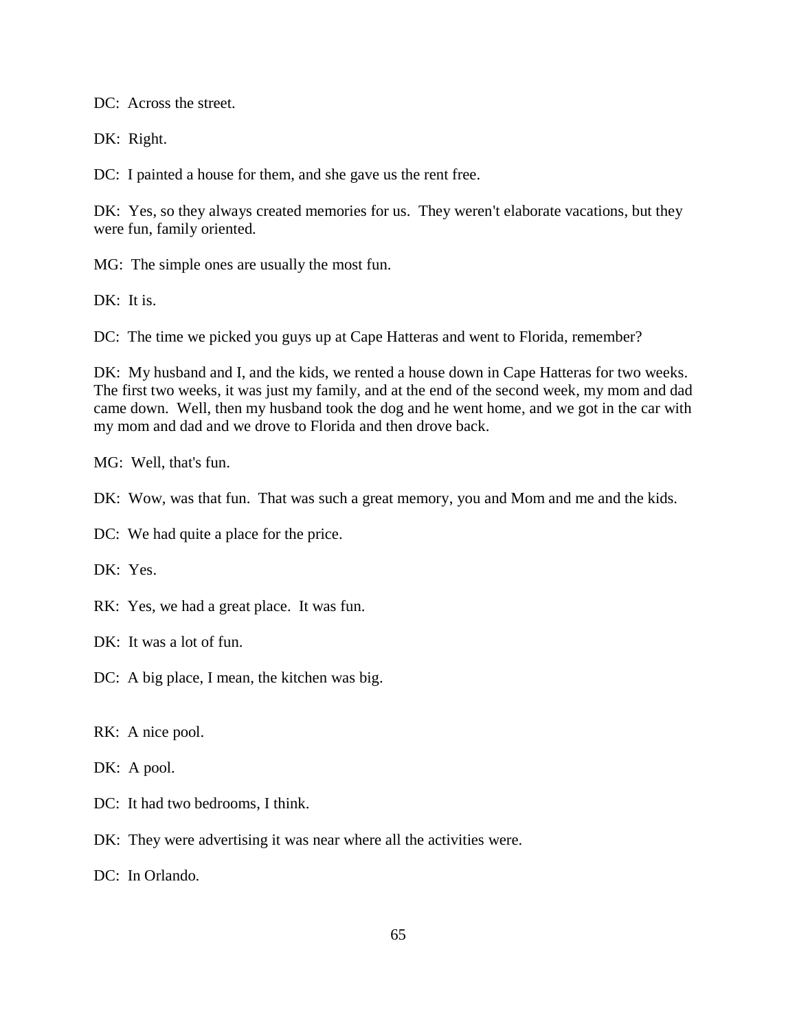DC: Across the street.

DK: Right.

DC: I painted a house for them, and she gave us the rent free.

DK: Yes, so they always created memories for us. They weren't elaborate vacations, but they were fun, family oriented.

MG: The simple ones are usually the most fun.

DK: It is.

DC: The time we picked you guys up at Cape Hatteras and went to Florida, remember?

DK: My husband and I, and the kids, we rented a house down in Cape Hatteras for two weeks. The first two weeks, it was just my family, and at the end of the second week, my mom and dad came down. Well, then my husband took the dog and he went home, and we got in the car with my mom and dad and we drove to Florida and then drove back.

MG: Well, that's fun.

DK: Wow, was that fun. That was such a great memory, you and Mom and me and the kids.

DC: We had quite a place for the price.

DK: Yes.

RK: Yes, we had a great place. It was fun.

DK: It was a lot of fun.

DC: A big place, I mean, the kitchen was big.

RK: A nice pool.

DK: A pool.

DC: It had two bedrooms, I think.

DK: They were advertising it was near where all the activities were.

DC: In Orlando.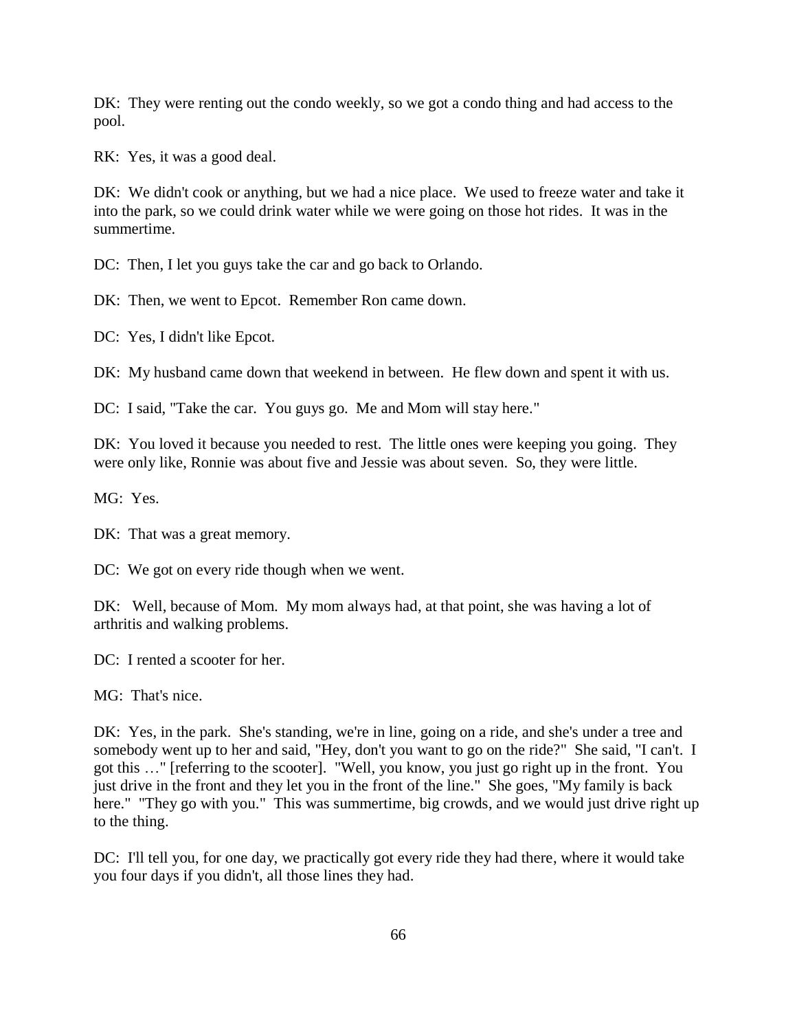DK: They were renting out the condo weekly, so we got a condo thing and had access to the pool.

RK: Yes, it was a good deal.

DK: We didn't cook or anything, but we had a nice place. We used to freeze water and take it into the park, so we could drink water while we were going on those hot rides. It was in the summertime.

DC: Then, I let you guys take the car and go back to Orlando.

DK: Then, we went to Epcot. Remember Ron came down.

DC: Yes, I didn't like Epcot.

DK: My husband came down that weekend in between. He flew down and spent it with us.

DC: I said, "Take the car. You guys go. Me and Mom will stay here."

DK: You loved it because you needed to rest. The little ones were keeping you going. They were only like, Ronnie was about five and Jessie was about seven. So, they were little.

MG: Yes.

DK: That was a great memory.

DC: We got on every ride though when we went.

DK: Well, because of Mom. My mom always had, at that point, she was having a lot of arthritis and walking problems.

DC: I rented a scooter for her.

MG: That's nice.

DK: Yes, in the park. She's standing, we're in line, going on a ride, and she's under a tree and somebody went up to her and said, "Hey, don't you want to go on the ride?" She said, "I can't. I got this …" [referring to the scooter]. "Well, you know, you just go right up in the front. You just drive in the front and they let you in the front of the line." She goes, "My family is back here." "They go with you." This was summertime, big crowds, and we would just drive right up to the thing.

DC: I'll tell you, for one day, we practically got every ride they had there, where it would take you four days if you didn't, all those lines they had.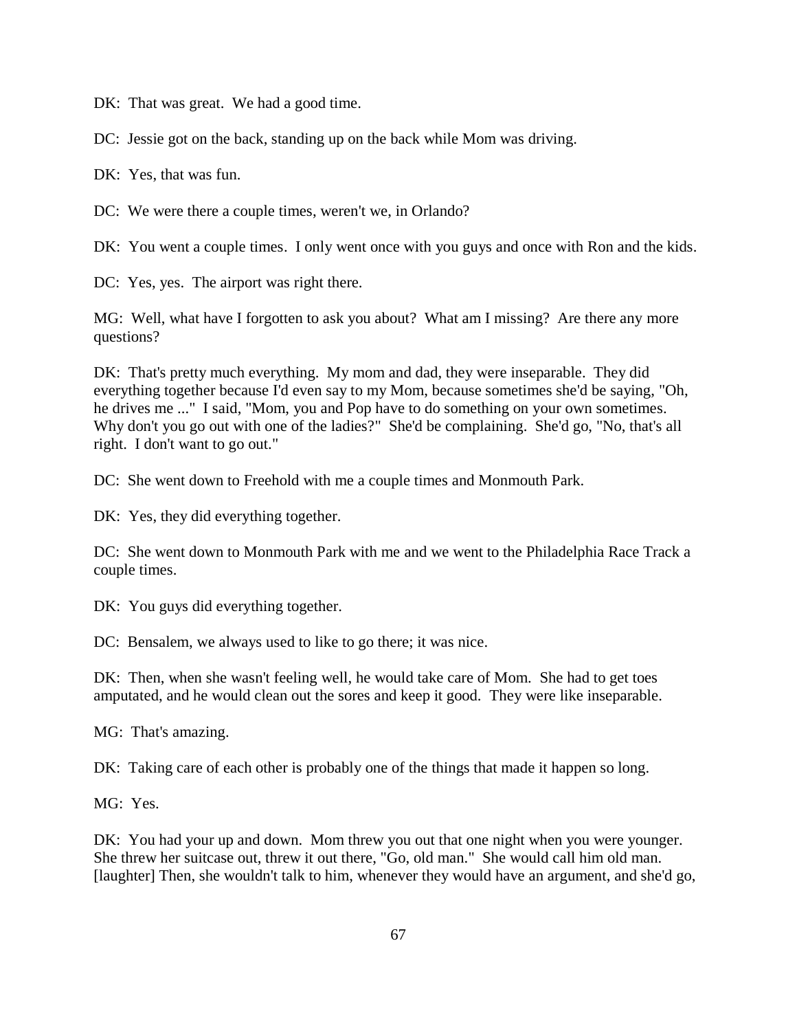DK: That was great. We had a good time.

DC: Jessie got on the back, standing up on the back while Mom was driving.

DK: Yes, that was fun.

DC: We were there a couple times, weren't we, in Orlando?

DK: You went a couple times. I only went once with you guys and once with Ron and the kids.

DC: Yes, yes. The airport was right there.

MG: Well, what have I forgotten to ask you about? What am I missing? Are there any more questions?

DK: That's pretty much everything. My mom and dad, they were inseparable. They did everything together because I'd even say to my Mom, because sometimes she'd be saying, "Oh, he drives me ..." I said, "Mom, you and Pop have to do something on your own sometimes. Why don't you go out with one of the ladies?" She'd be complaining. She'd go, "No, that's all right. I don't want to go out."

DC: She went down to Freehold with me a couple times and Monmouth Park.

DK: Yes, they did everything together.

DC: She went down to Monmouth Park with me and we went to the Philadelphia Race Track a couple times.

DK: You guys did everything together.

DC: Bensalem, we always used to like to go there; it was nice.

DK: Then, when she wasn't feeling well, he would take care of Mom. She had to get toes amputated, and he would clean out the sores and keep it good. They were like inseparable.

MG: That's amazing.

DK: Taking care of each other is probably one of the things that made it happen so long.

MG: Yes.

DK: You had your up and down. Mom threw you out that one night when you were younger. She threw her suitcase out, threw it out there, "Go, old man." She would call him old man. [laughter] Then, she wouldn't talk to him, whenever they would have an argument, and she'd go,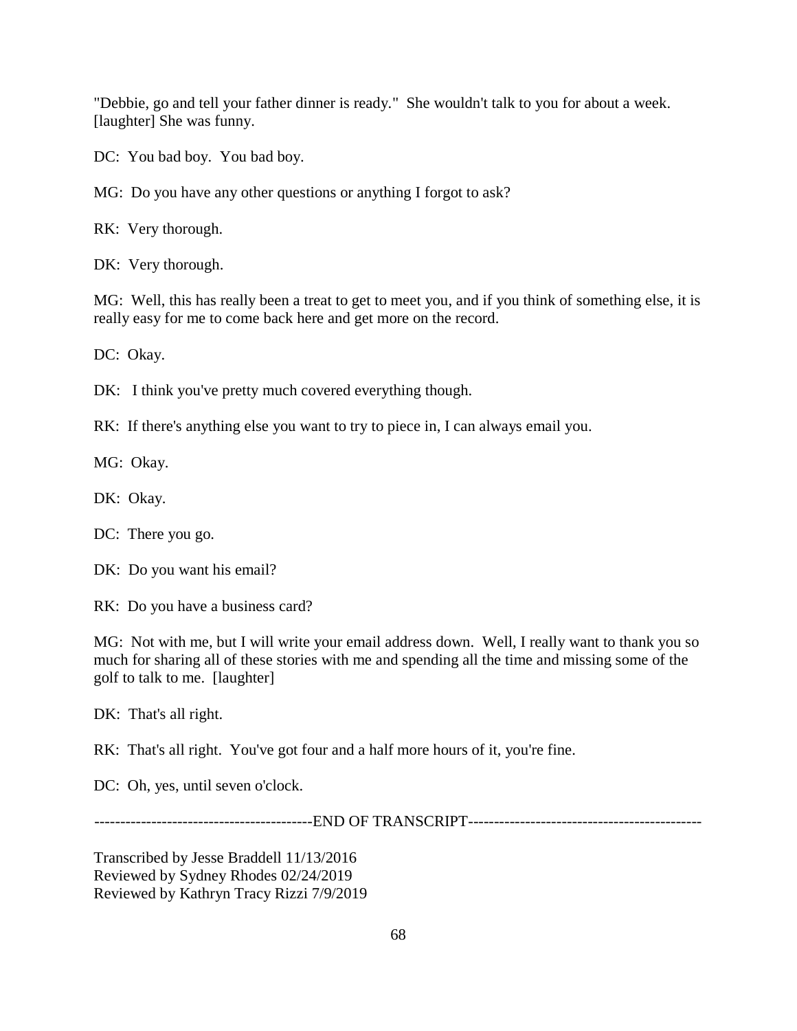"Debbie, go and tell your father dinner is ready." She wouldn't talk to you for about a week. [laughter] She was funny.

DC: You bad boy. You bad boy.

MG: Do you have any other questions or anything I forgot to ask?

RK: Very thorough.

DK: Very thorough.

MG: Well, this has really been a treat to get to meet you, and if you think of something else, it is really easy for me to come back here and get more on the record.

DC: Okay.

DK: I think you've pretty much covered everything though.

RK: If there's anything else you want to try to piece in, I can always email you.

MG: Okay.

DK: Okay.

DC: There you go.

DK: Do you want his email?

RK: Do you have a business card?

MG: Not with me, but I will write your email address down. Well, I really want to thank you so much for sharing all of these stories with me and spending all the time and missing some of the golf to talk to me. [laughter]

DK: That's all right.

RK: That's all right. You've got four and a half more hours of it, you're fine.

DC: Oh, yes, until seven o'clock.

------------------------------------------END OF TRANSCRIPT---------------------------------------------

Transcribed by Jesse Braddell 11/13/2016 Reviewed by Sydney Rhodes 02/24/2019 Reviewed by Kathryn Tracy Rizzi 7/9/2019